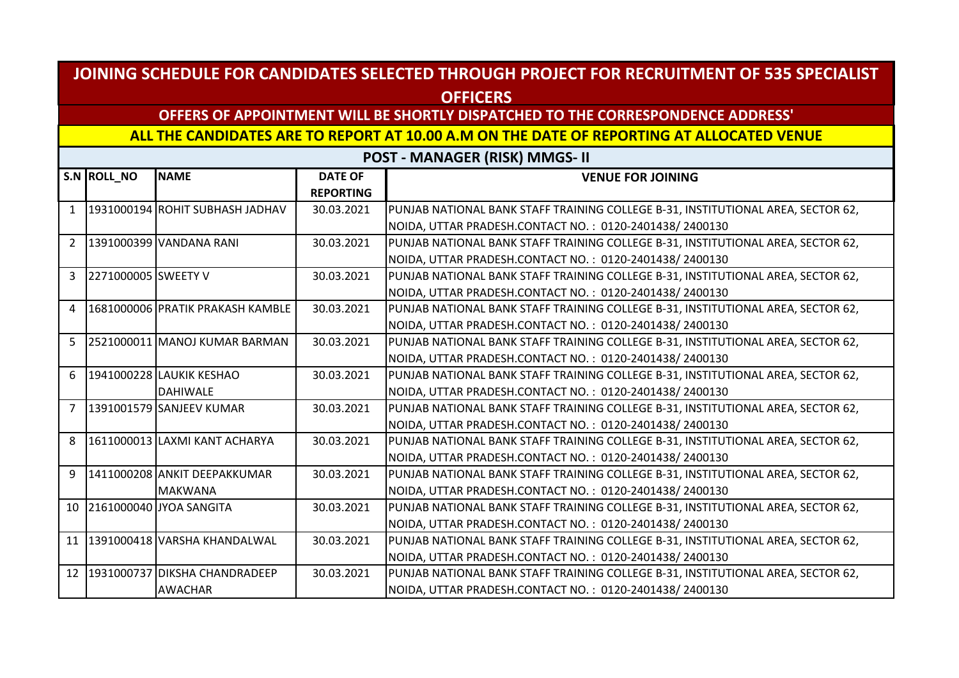### **OFFERS OF APPOINTMENT WILL BE SHORTLY DISPATCHED TO THE CORRESPONDENCE ADDRESS'**

#### **ALL THE CANDIDATES ARE TO REPORT AT 10.00 A.M ON THE DATE OF REPORTING AT ALLOCATED VENUE**

|                | S.N ROLL_NO         | <b>NAME</b>                      | <b>DATE OF</b>   | <b>VENUE FOR JOINING</b>                                                         |
|----------------|---------------------|----------------------------------|------------------|----------------------------------------------------------------------------------|
|                |                     |                                  | <b>REPORTING</b> |                                                                                  |
| $\mathbf{1}$   |                     | 1931000194 ROHIT SUBHASH JADHAV  | 30.03.2021       | PUNJAB NATIONAL BANK STAFF TRAINING COLLEGE B-31, INSTITUTIONAL AREA, SECTOR 62, |
|                |                     |                                  |                  | NOIDA, UTTAR PRADESH.CONTACT NO.: 0120-2401438/2400130                           |
| $\overline{2}$ |                     | 1391000399 VANDANA RANI          | 30.03.2021       | PUNJAB NATIONAL BANK STAFF TRAINING COLLEGE B-31, INSTITUTIONAL AREA, SECTOR 62, |
|                |                     |                                  |                  | NOIDA, UTTAR PRADESH.CONTACT NO.: 0120-2401438/2400130                           |
| 3              | 2271000005 SWEETY V |                                  | 30.03.2021       | PUNJAB NATIONAL BANK STAFF TRAINING COLLEGE B-31, INSTITUTIONAL AREA, SECTOR 62, |
|                |                     |                                  |                  | NOIDA, UTTAR PRADESH.CONTACT NO.: 0120-2401438/2400130                           |
| 4              |                     | 1681000006 PRATIK PRAKASH KAMBLE | 30.03.2021       | PUNJAB NATIONAL BANK STAFF TRAINING COLLEGE B-31, INSTITUTIONAL AREA, SECTOR 62, |
|                |                     |                                  |                  | NOIDA, UTTAR PRADESH.CONTACT NO.: 0120-2401438/2400130                           |
| 5              |                     | 2521000011 MANOJ KUMAR BARMAN    | 30.03.2021       | PUNJAB NATIONAL BANK STAFF TRAINING COLLEGE B-31, INSTITUTIONAL AREA, SECTOR 62, |
|                |                     |                                  |                  | NOIDA, UTTAR PRADESH.CONTACT NO.: 0120-2401438/2400130                           |
| 6              |                     | 1941000228 LAUKIK KESHAO         | 30.03.2021       | PUNJAB NATIONAL BANK STAFF TRAINING COLLEGE B-31, INSTITUTIONAL AREA, SECTOR 62, |
|                |                     | <b>DAHIWALE</b>                  |                  | NOIDA, UTTAR PRADESH.CONTACT NO.: 0120-2401438/2400130                           |
| $\overline{7}$ |                     | 1391001579 SANJEEV KUMAR         | 30.03.2021       | PUNJAB NATIONAL BANK STAFF TRAINING COLLEGE B-31, INSTITUTIONAL AREA, SECTOR 62, |
|                |                     |                                  |                  | NOIDA, UTTAR PRADESH.CONTACT NO.: 0120-2401438/2400130                           |
| 8              |                     | 1611000013 LAXMI KANT ACHARYA    | 30.03.2021       | PUNJAB NATIONAL BANK STAFF TRAINING COLLEGE B-31, INSTITUTIONAL AREA, SECTOR 62, |
|                |                     |                                  |                  | NOIDA, UTTAR PRADESH.CONTACT NO.: 0120-2401438/2400130                           |
| 9              |                     | 1411000208 ANKIT DEEPAKKUMAR     | 30.03.2021       | PUNJAB NATIONAL BANK STAFF TRAINING COLLEGE B-31, INSTITUTIONAL AREA, SECTOR 62, |
|                |                     | <b>MAKWANA</b>                   |                  | NOIDA, UTTAR PRADESH.CONTACT NO.: 0120-2401438/2400130                           |
| 10             |                     | 2161000040 JYOA SANGITA          | 30.03.2021       | PUNJAB NATIONAL BANK STAFF TRAINING COLLEGE B-31, INSTITUTIONAL AREA, SECTOR 62, |
|                |                     |                                  |                  | NOIDA, UTTAR PRADESH.CONTACT NO.: 0120-2401438/2400130                           |
| 11             |                     | 1391000418 VARSHA KHANDALWAL     | 30.03.2021       | PUNJAB NATIONAL BANK STAFF TRAINING COLLEGE B-31, INSTITUTIONAL AREA, SECTOR 62, |
|                |                     |                                  |                  | NOIDA, UTTAR PRADESH.CONTACT NO.: 0120-2401438/2400130                           |
| 12             |                     | 1931000737 DIKSHA CHANDRADEEP    | 30.03.2021       | PUNJAB NATIONAL BANK STAFF TRAINING COLLEGE B-31, INSTITUTIONAL AREA, SECTOR 62, |
|                |                     | <b>AWACHAR</b>                   |                  | NOIDA, UTTAR PRADESH.CONTACT NO.: 0120-2401438/2400130                           |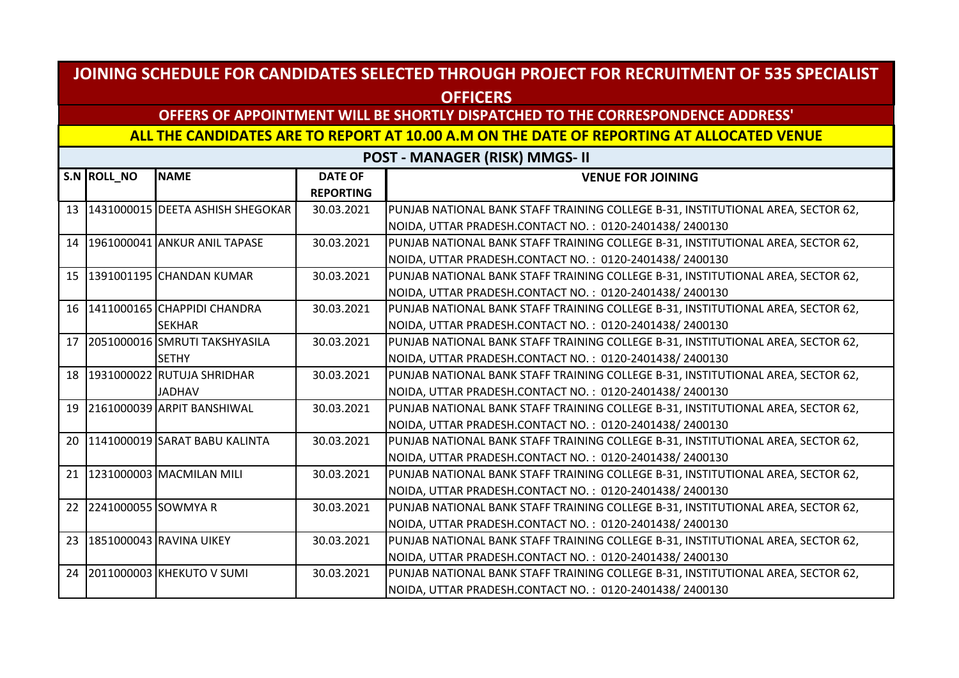## **OFFERS OF APPOINTMENT WILL BE SHORTLY DISPATCHED TO THE CORRESPONDENCE ADDRESS'**

#### **ALL THE CANDIDATES ARE TO REPORT AT 10.00 A.M ON THE DATE OF REPORTING AT ALLOCATED VENUE**

|                 | S.N ROLL_NO         | <b>NAME</b>                         | <b>DATE OF</b>   | <b>VENUE FOR JOINING</b>                                                         |
|-----------------|---------------------|-------------------------------------|------------------|----------------------------------------------------------------------------------|
|                 |                     |                                     | <b>REPORTING</b> |                                                                                  |
|                 |                     | 13 1431000015 DEETA ASHISH SHEGOKAR | 30.03.2021       | PUNJAB NATIONAL BANK STAFF TRAINING COLLEGE B-31, INSTITUTIONAL AREA, SECTOR 62, |
|                 |                     |                                     |                  | NOIDA, UTTAR PRADESH.CONTACT NO.: 0120-2401438/2400130                           |
|                 |                     | 14   1961000041   ANKUR ANIL TAPASE | 30.03.2021       | PUNJAB NATIONAL BANK STAFF TRAINING COLLEGE B-31, INSTITUTIONAL AREA, SECTOR 62, |
|                 |                     |                                     |                  | NOIDA, UTTAR PRADESH.CONTACT NO.: 0120-2401438/2400130                           |
| 15 <sup>1</sup> |                     | 1391001195 CHANDAN KUMAR            | 30.03.2021       | PUNJAB NATIONAL BANK STAFF TRAINING COLLEGE B-31, INSTITUTIONAL AREA, SECTOR 62, |
|                 |                     |                                     |                  | NOIDA, UTTAR PRADESH.CONTACT NO.: 0120-2401438/2400130                           |
| 16              |                     | 1411000165 CHAPPIDI CHANDRA         | 30.03.2021       | PUNJAB NATIONAL BANK STAFF TRAINING COLLEGE B-31, INSTITUTIONAL AREA, SECTOR 62, |
|                 |                     | <b>SEKHAR</b>                       |                  | NOIDA, UTTAR PRADESH.CONTACT NO.: 0120-2401438/2400130                           |
| 17              |                     | 2051000016 SMRUTI TAKSHYASILA       | 30.03.2021       | PUNJAB NATIONAL BANK STAFF TRAINING COLLEGE B-31, INSTITUTIONAL AREA, SECTOR 62, |
|                 |                     | <b>SETHY</b>                        |                  | NOIDA, UTTAR PRADESH.CONTACT NO.: 0120-2401438/2400130                           |
|                 |                     | 18 1931000022 RUTUJA SHRIDHAR       | 30.03.2021       | PUNJAB NATIONAL BANK STAFF TRAINING COLLEGE B-31, INSTITUTIONAL AREA, SECTOR 62, |
|                 |                     | <b>JADHAV</b>                       |                  | NOIDA, UTTAR PRADESH.CONTACT NO.: 0120-2401438/2400130                           |
|                 |                     | 19 2161000039 ARPIT BANSHIWAL       | 30.03.2021       | PUNJAB NATIONAL BANK STAFF TRAINING COLLEGE B-31, INSTITUTIONAL AREA, SECTOR 62, |
|                 |                     |                                     |                  | NOIDA, UTTAR PRADESH.CONTACT NO.: 0120-2401438/2400130                           |
| 20              |                     | 1141000019 SARAT BABU KALINTA       | 30.03.2021       | PUNJAB NATIONAL BANK STAFF TRAINING COLLEGE B-31, INSTITUTIONAL AREA, SECTOR 62, |
|                 |                     |                                     |                  | NOIDA, UTTAR PRADESH.CONTACT NO.: 0120-2401438/2400130                           |
| 21              |                     | 1231000003 MACMILAN MILI            | 30.03.2021       | PUNJAB NATIONAL BANK STAFF TRAINING COLLEGE B-31, INSTITUTIONAL AREA, SECTOR 62, |
|                 |                     |                                     |                  | NOIDA, UTTAR PRADESH.CONTACT NO.: 0120-2401438/2400130                           |
| 22              | 2241000055 SOWMYA R |                                     | 30.03.2021       | PUNJAB NATIONAL BANK STAFF TRAINING COLLEGE B-31, INSTITUTIONAL AREA, SECTOR 62, |
|                 |                     |                                     |                  | NOIDA, UTTAR PRADESH.CONTACT NO.: 0120-2401438/2400130                           |
| 23              |                     | 1851000043 RAVINA UIKEY             | 30.03.2021       | PUNJAB NATIONAL BANK STAFF TRAINING COLLEGE B-31, INSTITUTIONAL AREA, SECTOR 62, |
|                 |                     |                                     |                  | NOIDA, UTTAR PRADESH.CONTACT NO.: 0120-2401438/2400130                           |
|                 |                     | 24 2011000003 KHEKUTO V SUMI        | 30.03.2021       | PUNJAB NATIONAL BANK STAFF TRAINING COLLEGE B-31, INSTITUTIONAL AREA, SECTOR 62, |
|                 |                     |                                     |                  | NOIDA, UTTAR PRADESH.CONTACT NO.: 0120-2401438/2400130                           |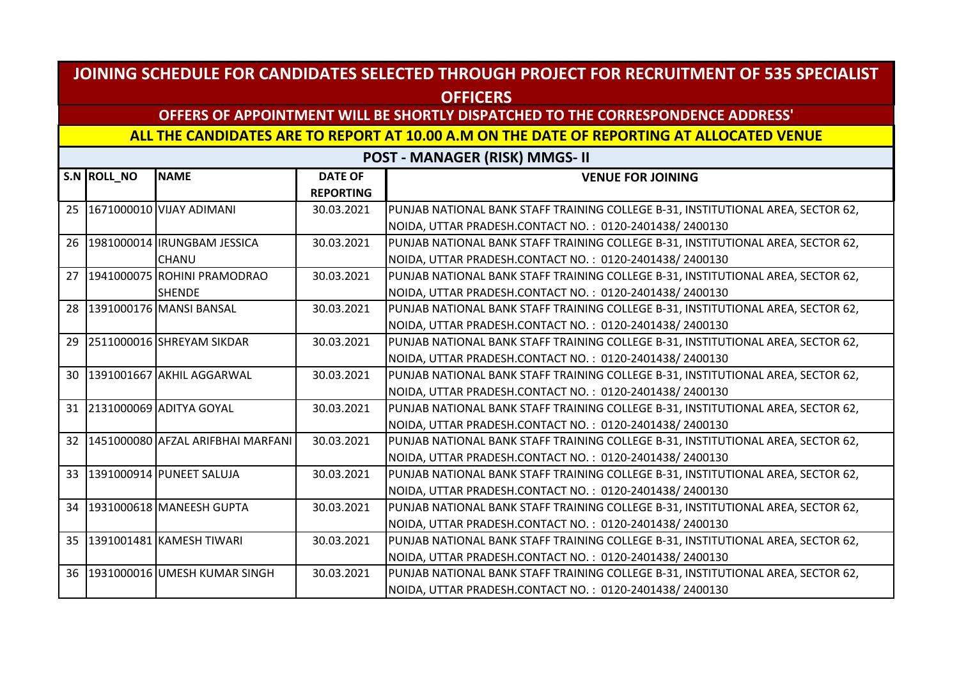## **OFFERS OF APPOINTMENT WILL BE SHORTLY DISPATCHED TO THE CORRESPONDENCE ADDRESS'**

#### **ALL THE CANDIDATES ARE TO REPORT AT 10.00 A.M ON THE DATE OF REPORTING AT ALLOCATED VENUE**

|                 | S.N ROLL_NO | <b>NAME</b>                       | <b>DATE OF</b>   | <b>VENUE FOR JOINING</b>                                                         |
|-----------------|-------------|-----------------------------------|------------------|----------------------------------------------------------------------------------|
|                 |             |                                   | <b>REPORTING</b> |                                                                                  |
| 25              |             | 1671000010 VIJAY ADIMANI          | 30.03.2021       | PUNJAB NATIONAL BANK STAFF TRAINING COLLEGE B-31, INSTITUTIONAL AREA, SECTOR 62, |
|                 |             |                                   |                  | NOIDA, UTTAR PRADESH.CONTACT NO.: 0120-2401438/2400130                           |
| 26              |             | 1981000014 IRUNGBAM JESSICA       | 30.03.2021       | PUNJAB NATIONAL BANK STAFF TRAINING COLLEGE B-31, INSTITUTIONAL AREA, SECTOR 62, |
|                 |             | <b>CHANU</b>                      |                  | NOIDA, UTTAR PRADESH.CONTACT NO.: 0120-2401438/2400130                           |
| 27              |             | 1941000075 ROHINI PRAMODRAO       | 30.03.2021       | PUNJAB NATIONAL BANK STAFF TRAINING COLLEGE B-31, INSTITUTIONAL AREA, SECTOR 62, |
|                 |             | <b>SHENDE</b>                     |                  | NOIDA, UTTAR PRADESH.CONTACT NO.: 0120-2401438/2400130                           |
| 28              |             | 1391000176 MANSI BANSAL           | 30.03.2021       | PUNJAB NATIONAL BANK STAFF TRAINING COLLEGE B-31, INSTITUTIONAL AREA, SECTOR 62, |
|                 |             |                                   |                  | NOIDA, UTTAR PRADESH.CONTACT NO.: 0120-2401438/2400130                           |
| 29              |             | 2511000016 SHREYAM SIKDAR         | 30.03.2021       | PUNJAB NATIONAL BANK STAFF TRAINING COLLEGE B-31, INSTITUTIONAL AREA, SECTOR 62, |
|                 |             |                                   |                  | NOIDA, UTTAR PRADESH.CONTACT NO.: 0120-2401438/2400130                           |
| 30 <sup>°</sup> |             | 1391001667 AKHIL AGGARWAL         | 30.03.2021       | PUNJAB NATIONAL BANK STAFF TRAINING COLLEGE B-31, INSTITUTIONAL AREA, SECTOR 62, |
|                 |             |                                   |                  | NOIDA, UTTAR PRADESH.CONTACT NO.: 0120-2401438/2400130                           |
|                 |             | 31 2131000069 ADITYA GOYAL        | 30.03.2021       | PUNJAB NATIONAL BANK STAFF TRAINING COLLEGE B-31, INSTITUTIONAL AREA, SECTOR 62, |
|                 |             |                                   |                  | NOIDA, UTTAR PRADESH.CONTACT NO.: 0120-2401438/2400130                           |
| 32              |             | 1451000080 AFZAL ARIFBHAI MARFANI | 30.03.2021       | PUNJAB NATIONAL BANK STAFF TRAINING COLLEGE B-31, INSTITUTIONAL AREA, SECTOR 62, |
|                 |             |                                   |                  | NOIDA, UTTAR PRADESH.CONTACT NO.: 0120-2401438/2400130                           |
|                 |             | 33 1391000914 PUNEET SALUJA       | 30.03.2021       | PUNJAB NATIONAL BANK STAFF TRAINING COLLEGE B-31, INSTITUTIONAL AREA, SECTOR 62, |
|                 |             |                                   |                  | NOIDA, UTTAR PRADESH.CONTACT NO.: 0120-2401438/2400130                           |
|                 |             | 34 1931000618 MANEESH GUPTA       | 30.03.2021       | PUNJAB NATIONAL BANK STAFF TRAINING COLLEGE B-31, INSTITUTIONAL AREA, SECTOR 62, |
|                 |             |                                   |                  | NOIDA, UTTAR PRADESH.CONTACT NO.: 0120-2401438/2400130                           |
|                 |             | 35 391001481 KAMESH TIWARI        | 30.03.2021       | PUNJAB NATIONAL BANK STAFF TRAINING COLLEGE B-31, INSTITUTIONAL AREA, SECTOR 62, |
|                 |             |                                   |                  | NOIDA, UTTAR PRADESH.CONTACT NO.: 0120-2401438/2400130                           |
| 36 <sup>1</sup> |             | 1931000016 UMESH KUMAR SINGH      | 30.03.2021       | PUNJAB NATIONAL BANK STAFF TRAINING COLLEGE B-31, INSTITUTIONAL AREA, SECTOR 62, |
|                 |             |                                   |                  | NOIDA, UTTAR PRADESH.CONTACT NO.: 0120-2401438/2400130                           |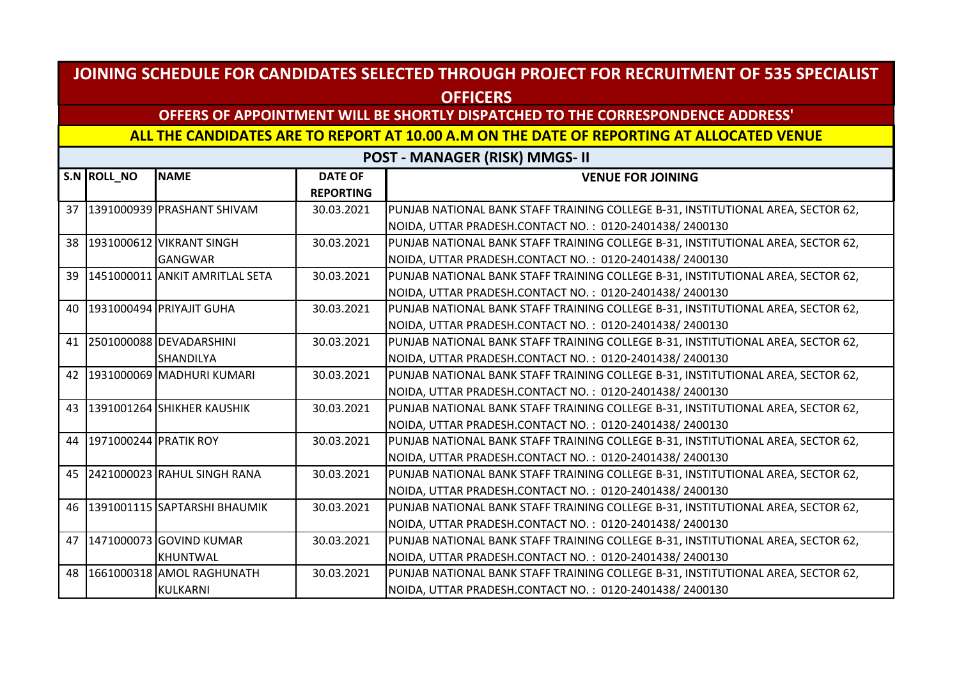## **OFFERS OF APPOINTMENT WILL BE SHORTLY DISPATCHED TO THE CORRESPONDENCE ADDRESS'**

#### **ALL THE CANDIDATES ARE TO REPORT AT 10.00 A.M ON THE DATE OF REPORTING AT ALLOCATED VENUE**

|    | S.N ROLL_NO              | <b>INAME</b>                      | <b>DATE OF</b>   | <b>VENUE FOR JOINING</b>                                                         |
|----|--------------------------|-----------------------------------|------------------|----------------------------------------------------------------------------------|
|    |                          |                                   | <b>REPORTING</b> |                                                                                  |
|    |                          | 37   1391000939   PRASHANT SHIVAM | 30.03.2021       | PUNJAB NATIONAL BANK STAFF TRAINING COLLEGE B-31, INSTITUTIONAL AREA, SECTOR 62, |
|    |                          |                                   |                  | NOIDA, UTTAR PRADESH.CONTACT NO.: 0120-2401438/2400130                           |
|    |                          | 38 1931000612 VIKRANT SINGH       | 30.03.2021       | PUNJAB NATIONAL BANK STAFF TRAINING COLLEGE B-31, INSTITUTIONAL AREA, SECTOR 62, |
|    |                          | <b>GANGWAR</b>                    |                  | NOIDA, UTTAR PRADESH.CONTACT NO.: 0120-2401438/2400130                           |
| 39 |                          | 1451000011 ANKIT AMRITLAL SETA    | 30.03.2021       | PUNJAB NATIONAL BANK STAFF TRAINING COLLEGE B-31, INSTITUTIONAL AREA, SECTOR 62, |
|    |                          |                                   |                  | NOIDA, UTTAR PRADESH.CONTACT NO.: 0120-2401438/2400130                           |
|    |                          | 40 1931000494 PRIYAJIT GUHA       | 30.03.2021       | PUNJAB NATIONAL BANK STAFF TRAINING COLLEGE B-31, INSTITUTIONAL AREA, SECTOR 62, |
|    |                          |                                   |                  | NOIDA, UTTAR PRADESH.CONTACT NO.: 0120-2401438/2400130                           |
|    |                          | 41 2501000088 DEVADARSHINI        | 30.03.2021       | PUNJAB NATIONAL BANK STAFF TRAINING COLLEGE B-31, INSTITUTIONAL AREA, SECTOR 62, |
|    |                          | <b>SHANDILYA</b>                  |                  | NOIDA, UTTAR PRADESH.CONTACT NO.: 0120-2401438/2400130                           |
|    |                          | 42 1931000069 MADHURI KUMARI      | 30.03.2021       | PUNJAB NATIONAL BANK STAFF TRAINING COLLEGE B-31, INSTITUTIONAL AREA, SECTOR 62, |
|    |                          |                                   |                  | NOIDA, UTTAR PRADESH.CONTACT NO.: 0120-2401438/2400130                           |
|    |                          | 43 1391001264 SHIKHER KAUSHIK     | 30.03.2021       | PUNJAB NATIONAL BANK STAFF TRAINING COLLEGE B-31, INSTITUTIONAL AREA, SECTOR 62, |
|    |                          |                                   |                  | NOIDA, UTTAR PRADESH.CONTACT NO.: 0120-2401438/2400130                           |
|    | 44 1971000244 PRATIK ROY |                                   | 30.03.2021       | PUNJAB NATIONAL BANK STAFF TRAINING COLLEGE B-31, INSTITUTIONAL AREA, SECTOR 62, |
|    |                          |                                   |                  | NOIDA, UTTAR PRADESH.CONTACT NO.: 0120-2401438/2400130                           |
|    |                          | 45 2421000023 RAHUL SINGH RANA    | 30.03.2021       | PUNJAB NATIONAL BANK STAFF TRAINING COLLEGE B-31, INSTITUTIONAL AREA, SECTOR 62, |
|    |                          |                                   |                  | NOIDA, UTTAR PRADESH.CONTACT NO.: 0120-2401438/2400130                           |
|    |                          | 46 1391001115 SAPTARSHI BHAUMIK   | 30.03.2021       | PUNJAB NATIONAL BANK STAFF TRAINING COLLEGE B-31, INSTITUTIONAL AREA, SECTOR 62, |
|    |                          |                                   |                  | NOIDA, UTTAR PRADESH.CONTACT NO.: 0120-2401438/2400130                           |
|    |                          | 47 1471000073 GOVIND KUMAR        | 30.03.2021       | PUNJAB NATIONAL BANK STAFF TRAINING COLLEGE B-31, INSTITUTIONAL AREA, SECTOR 62, |
|    |                          | <b>KHUNTWAL</b>                   |                  | NOIDA, UTTAR PRADESH.CONTACT NO.: 0120-2401438/2400130                           |
|    |                          | 48 1661000318 AMOL RAGHUNATH      | 30.03.2021       | PUNJAB NATIONAL BANK STAFF TRAINING COLLEGE B-31, INSTITUTIONAL AREA, SECTOR 62, |
|    |                          | KULKARNI                          |                  | NOIDA, UTTAR PRADESH.CONTACT NO.: 0120-2401438/2400130                           |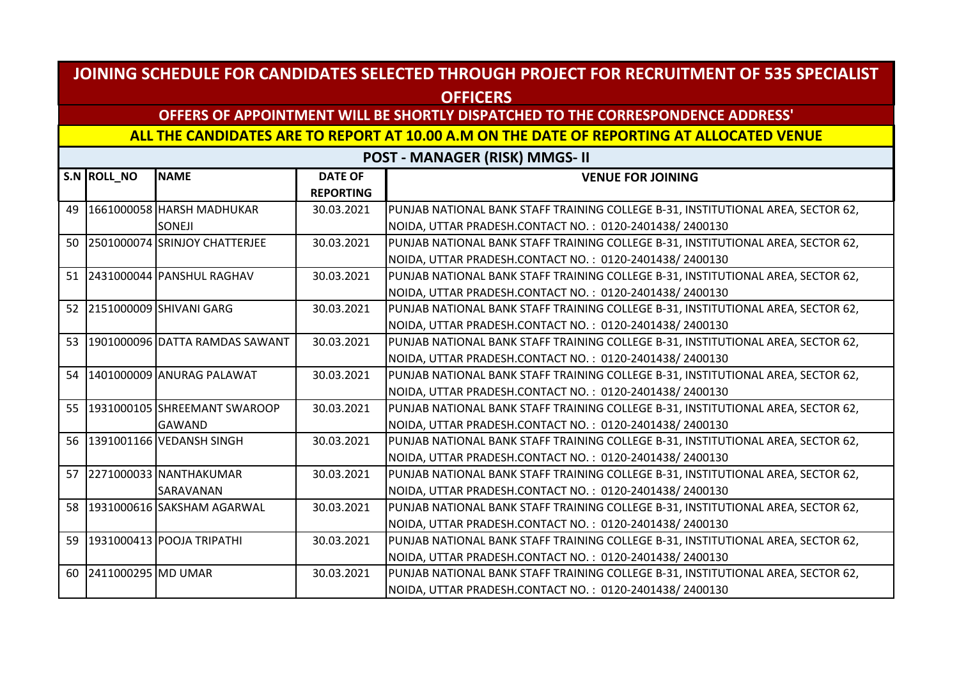## **OFFERS OF APPOINTMENT WILL BE SHORTLY DISPATCHED TO THE CORRESPONDENCE ADDRESS'**

#### **ALL THE CANDIDATES ARE TO REPORT AT 10.00 A.M ON THE DATE OF REPORTING AT ALLOCATED VENUE**

|    | S.N ROLL_NO        | <b>NAME</b>                       | <b>DATE OF</b>   | <b>VENUE FOR JOINING</b>                                                         |
|----|--------------------|-----------------------------------|------------------|----------------------------------------------------------------------------------|
|    |                    |                                   | <b>REPORTING</b> |                                                                                  |
| 49 |                    | 1661000058 HARSH MADHUKAR         | 30.03.2021       | PUNJAB NATIONAL BANK STAFF TRAINING COLLEGE B-31, INSTITUTIONAL AREA, SECTOR 62, |
|    |                    | <b>SONEJI</b>                     |                  | NOIDA, UTTAR PRADESH.CONTACT NO.: 0120-2401438/2400130                           |
| 50 |                    | 2501000074 SRINJOY CHATTERJEE     | 30.03.2021       | PUNJAB NATIONAL BANK STAFF TRAINING COLLEGE B-31, INSTITUTIONAL AREA, SECTOR 62, |
|    |                    |                                   |                  | NOIDA, UTTAR PRADESH.CONTACT NO.: 0120-2401438/2400130                           |
| 51 |                    | 2431000044 PANSHUL RAGHAV         | 30.03.2021       | PUNJAB NATIONAL BANK STAFF TRAINING COLLEGE B-31, INSTITUTIONAL AREA, SECTOR 62, |
|    |                    |                                   |                  | NOIDA, UTTAR PRADESH.CONTACT NO.: 0120-2401438/2400130                           |
|    |                    | 52 2151000009 SHIVANI GARG        | 30.03.2021       | PUNJAB NATIONAL BANK STAFF TRAINING COLLEGE B-31, INSTITUTIONAL AREA, SECTOR 62, |
|    |                    |                                   |                  | NOIDA, UTTAR PRADESH.CONTACT NO.: 0120-2401438/2400130                           |
|    |                    | 53 1901000096 DATTA RAMDAS SAWANT | 30.03.2021       | PUNJAB NATIONAL BANK STAFF TRAINING COLLEGE B-31, INSTITUTIONAL AREA, SECTOR 62, |
|    |                    |                                   |                  | NOIDA, UTTAR PRADESH.CONTACT NO.: 0120-2401438/2400130                           |
| 54 |                    | 1401000009 ANURAG PALAWAT         | 30.03.2021       | PUNJAB NATIONAL BANK STAFF TRAINING COLLEGE B-31, INSTITUTIONAL AREA, SECTOR 62, |
|    |                    |                                   |                  | NOIDA, UTTAR PRADESH.CONTACT NO.: 0120-2401438/2400130                           |
|    |                    | 55 1931000105 SHREEMANT SWAROOP   | 30.03.2021       | PUNJAB NATIONAL BANK STAFF TRAINING COLLEGE B-31, INSTITUTIONAL AREA, SECTOR 62, |
|    |                    | GAWAND                            |                  | NOIDA, UTTAR PRADESH.CONTACT NO.: 0120-2401438/2400130                           |
|    |                    | 56 1391001166 VEDANSH SINGH       | 30.03.2021       | PUNJAB NATIONAL BANK STAFF TRAINING COLLEGE B-31, INSTITUTIONAL AREA, SECTOR 62, |
|    |                    |                                   |                  | NOIDA, UTTAR PRADESH.CONTACT NO.: 0120-2401438/2400130                           |
| 57 |                    | 2271000033 NANTHAKUMAR            | 30.03.2021       | PUNJAB NATIONAL BANK STAFF TRAINING COLLEGE B-31, INSTITUTIONAL AREA, SECTOR 62, |
|    |                    | SARAVANAN                         |                  | NOIDA, UTTAR PRADESH.CONTACT NO.: 0120-2401438/2400130                           |
|    |                    | 58 1931000616 SAKSHAM AGARWAL     | 30.03.2021       | PUNJAB NATIONAL BANK STAFF TRAINING COLLEGE B-31, INSTITUTIONAL AREA, SECTOR 62, |
|    |                    |                                   |                  | NOIDA, UTTAR PRADESH.CONTACT NO.: 0120-2401438/2400130                           |
| 59 |                    | 1931000413 POOJA TRIPATHI         | 30.03.2021       | PUNJAB NATIONAL BANK STAFF TRAINING COLLEGE B-31, INSTITUTIONAL AREA, SECTOR 62, |
|    |                    |                                   |                  | NOIDA, UTTAR PRADESH.CONTACT NO.: 0120-2401438/2400130                           |
| 60 | 2411000295 MD UMAR |                                   | 30.03.2021       | PUNJAB NATIONAL BANK STAFF TRAINING COLLEGE B-31, INSTITUTIONAL AREA, SECTOR 62, |
|    |                    |                                   |                  | NOIDA, UTTAR PRADESH.CONTACT NO.: 0120-2401438/2400130                           |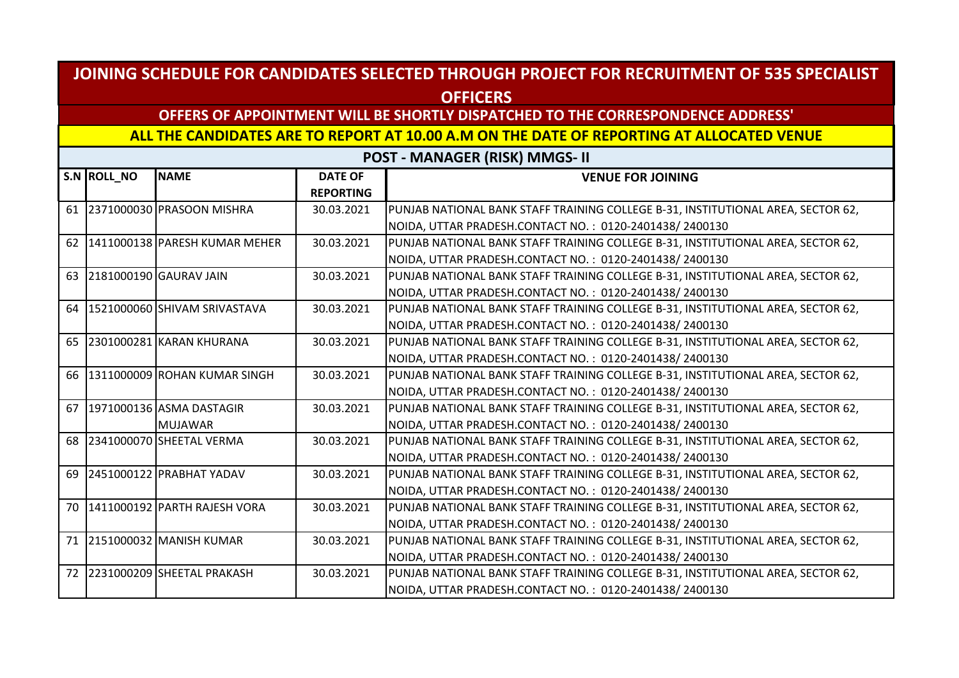## **OFFERS OF APPOINTMENT WILL BE SHORTLY DISPATCHED TO THE CORRESPONDENCE ADDRESS'**

#### **ALL THE CANDIDATES ARE TO REPORT AT 10.00 A.M ON THE DATE OF REPORTING AT ALLOCATED VENUE**

|        | S.N ROLL_NO | <b>NAME</b>                     | <b>DATE OF</b>   | <b>VENUE FOR JOINING</b>                                                         |
|--------|-------------|---------------------------------|------------------|----------------------------------------------------------------------------------|
|        |             |                                 | <b>REPORTING</b> |                                                                                  |
|        |             | 61 2371000030 PRASOON MISHRA    | 30.03.2021       | PUNJAB NATIONAL BANK STAFF TRAINING COLLEGE B-31, INSTITUTIONAL AREA, SECTOR 62, |
|        |             |                                 |                  | NOIDA, UTTAR PRADESH.CONTACT NO.: 0120-2401438/2400130                           |
| 62     |             | 1411000138 PARESH KUMAR MEHER   | 30.03.2021       | PUNJAB NATIONAL BANK STAFF TRAINING COLLEGE B-31, INSTITUTIONAL AREA, SECTOR 62, |
|        |             |                                 |                  | NOIDA, UTTAR PRADESH.CONTACT NO.: 0120-2401438/2400130                           |
| 63     |             | 2181000190 GAURAV JAIN          | 30.03.2021       | PUNJAB NATIONAL BANK STAFF TRAINING COLLEGE B-31, INSTITUTIONAL AREA, SECTOR 62, |
|        |             |                                 |                  | NOIDA, UTTAR PRADESH.CONTACT NO.: 0120-2401438/2400130                           |
|        |             | 64 1521000060 SHIVAM SRIVASTAVA | 30.03.2021       | PUNJAB NATIONAL BANK STAFF TRAINING COLLEGE B-31, INSTITUTIONAL AREA, SECTOR 62, |
|        |             |                                 |                  | NOIDA, UTTAR PRADESH.CONTACT NO.: 0120-2401438/2400130                           |
| 65     |             | 2301000281 KARAN KHURANA        | 30.03.2021       | PUNJAB NATIONAL BANK STAFF TRAINING COLLEGE B-31, INSTITUTIONAL AREA, SECTOR 62, |
|        |             |                                 |                  | NOIDA, UTTAR PRADESH.CONTACT NO.: 0120-2401438/2400130                           |
| 66     |             | 1311000009 ROHAN KUMAR SINGH    | 30.03.2021       | PUNJAB NATIONAL BANK STAFF TRAINING COLLEGE B-31, INSTITUTIONAL AREA, SECTOR 62, |
|        |             |                                 |                  | NOIDA, UTTAR PRADESH.CONTACT NO.: 0120-2401438/2400130                           |
| 67     |             | 1971000136 ASMA DASTAGIR        | 30.03.2021       | PUNJAB NATIONAL BANK STAFF TRAINING COLLEGE B-31, INSTITUTIONAL AREA, SECTOR 62, |
|        |             | <b>MUJAWAR</b>                  |                  | NOIDA, UTTAR PRADESH.CONTACT NO.: 0120-2401438/2400130                           |
|        |             | 68 2341000070 SHEETAL VERMA     | 30.03.2021       | PUNJAB NATIONAL BANK STAFF TRAINING COLLEGE B-31, INSTITUTIONAL AREA, SECTOR 62, |
|        |             |                                 |                  | NOIDA, UTTAR PRADESH.CONTACT NO.: 0120-2401438/2400130                           |
| 69     |             | 2451000122 PRABHAT YADAV        | 30.03.2021       | PUNJAB NATIONAL BANK STAFF TRAINING COLLEGE B-31, INSTITUTIONAL AREA, SECTOR 62, |
|        |             |                                 |                  | NOIDA, UTTAR PRADESH.CONTACT NO.: 0120-2401438/2400130                           |
| $70-1$ |             | 1411000192 PARTH RAJESH VORA    | 30.03.2021       | PUNJAB NATIONAL BANK STAFF TRAINING COLLEGE B-31, INSTITUTIONAL AREA, SECTOR 62, |
|        |             |                                 |                  | NOIDA, UTTAR PRADESH.CONTACT NO.: 0120-2401438/2400130                           |
| 71     |             | 2151000032 MANISH KUMAR         | 30.03.2021       | PUNJAB NATIONAL BANK STAFF TRAINING COLLEGE B-31, INSTITUTIONAL AREA, SECTOR 62, |
|        |             |                                 |                  | NOIDA, UTTAR PRADESH.CONTACT NO.: 0120-2401438/2400130                           |
| 72     |             | 2231000209 SHEETAL PRAKASH      | 30.03.2021       | PUNJAB NATIONAL BANK STAFF TRAINING COLLEGE B-31, INSTITUTIONAL AREA, SECTOR 62, |
|        |             |                                 |                  | NOIDA, UTTAR PRADESH.CONTACT NO.: 0120-2401438/2400130                           |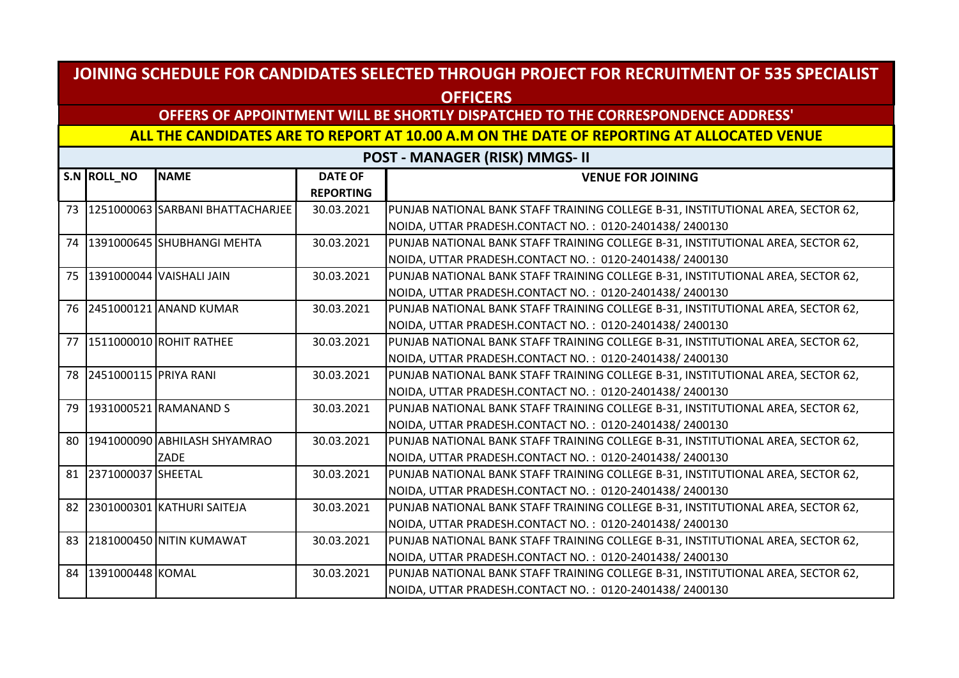## **OFFERS OF APPOINTMENT WILL BE SHORTLY DISPATCHED TO THE CORRESPONDENCE ADDRESS'**

#### **ALL THE CANDIDATES ARE TO REPORT AT 10.00 A.M ON THE DATE OF REPORTING AT ALLOCATED VENUE**

|    | S.N ROLL_NO              | <b>NAME</b>                         | <b>DATE OF</b>   | <b>VENUE FOR JOINING</b>                                                         |
|----|--------------------------|-------------------------------------|------------------|----------------------------------------------------------------------------------|
|    |                          |                                     | <b>REPORTING</b> |                                                                                  |
|    |                          | 73 1251000063 SARBANI BHATTACHARJEE | 30.03.2021       | PUNJAB NATIONAL BANK STAFF TRAINING COLLEGE B-31, INSTITUTIONAL AREA, SECTOR 62, |
|    |                          |                                     |                  | NOIDA, UTTAR PRADESH.CONTACT NO.: 0120-2401438/2400130                           |
|    |                          | 74   1391000645   SHUBHANGI MEHTA   | 30.03.2021       | PUNJAB NATIONAL BANK STAFF TRAINING COLLEGE B-31, INSTITUTIONAL AREA, SECTOR 62, |
|    |                          |                                     |                  | NOIDA, UTTAR PRADESH.CONTACT NO.: 0120-2401438/2400130                           |
| 75 |                          | 1391000044 VAISHALI JAIN            | 30.03.2021       | PUNJAB NATIONAL BANK STAFF TRAINING COLLEGE B-31, INSTITUTIONAL AREA, SECTOR 62, |
|    |                          |                                     |                  | NOIDA, UTTAR PRADESH.CONTACT NO.: 0120-2401438/2400130                           |
|    |                          | 76 2451000121 ANAND KUMAR           | 30.03.2021       | PUNJAB NATIONAL BANK STAFF TRAINING COLLEGE B-31, INSTITUTIONAL AREA, SECTOR 62, |
|    |                          |                                     |                  | NOIDA, UTTAR PRADESH.CONTACT NO.: 0120-2401438/2400130                           |
|    |                          | 77 1511000010 ROHIT RATHEE          | 30.03.2021       | PUNJAB NATIONAL BANK STAFF TRAINING COLLEGE B-31, INSTITUTIONAL AREA, SECTOR 62, |
|    |                          |                                     |                  | NOIDA, UTTAR PRADESH.CONTACT NO.: 0120-2401438/2400130                           |
|    | 78 2451000115 PRIYA RANI |                                     | 30.03.2021       | PUNJAB NATIONAL BANK STAFF TRAINING COLLEGE B-31, INSTITUTIONAL AREA, SECTOR 62, |
|    |                          |                                     |                  | NOIDA, UTTAR PRADESH.CONTACT NO.: 0120-2401438/2400130                           |
|    |                          | 79   1931000521   RAMANAND S        | 30.03.2021       | PUNJAB NATIONAL BANK STAFF TRAINING COLLEGE B-31, INSTITUTIONAL AREA, SECTOR 62, |
|    |                          |                                     |                  | NOIDA, UTTAR PRADESH.CONTACT NO.: 0120-2401438/2400130                           |
| 80 |                          | 1941000090 ABHILASH SHYAMRAO        | 30.03.2021       | PUNJAB NATIONAL BANK STAFF TRAINING COLLEGE B-31, INSTITUTIONAL AREA, SECTOR 62, |
|    |                          | ZADE                                |                  | NOIDA, UTTAR PRADESH.CONTACT NO.: 0120-2401438/2400130                           |
|    | 81 2371000037 SHEETAL    |                                     | 30.03.2021       | PUNJAB NATIONAL BANK STAFF TRAINING COLLEGE B-31, INSTITUTIONAL AREA, SECTOR 62, |
|    |                          |                                     |                  | NOIDA, UTTAR PRADESH.CONTACT NO.: 0120-2401438/2400130                           |
| 82 |                          | 2301000301 KATHURI SAITEJA          | 30.03.2021       | PUNJAB NATIONAL BANK STAFF TRAINING COLLEGE B-31, INSTITUTIONAL AREA, SECTOR 62, |
|    |                          |                                     |                  | NOIDA, UTTAR PRADESH.CONTACT NO.: 0120-2401438/2400130                           |
| 83 |                          | 2181000450 NITIN KUMAWAT            | 30.03.2021       | PUNJAB NATIONAL BANK STAFF TRAINING COLLEGE B-31, INSTITUTIONAL AREA, SECTOR 62, |
|    |                          |                                     |                  | NOIDA, UTTAR PRADESH.CONTACT NO.: 0120-2401438/2400130                           |
|    | 84 391000448 KOMAL       |                                     | 30.03.2021       | PUNJAB NATIONAL BANK STAFF TRAINING COLLEGE B-31, INSTITUTIONAL AREA, SECTOR 62, |
|    |                          |                                     |                  | NOIDA, UTTAR PRADESH.CONTACT NO.: 0120-2401438/2400130                           |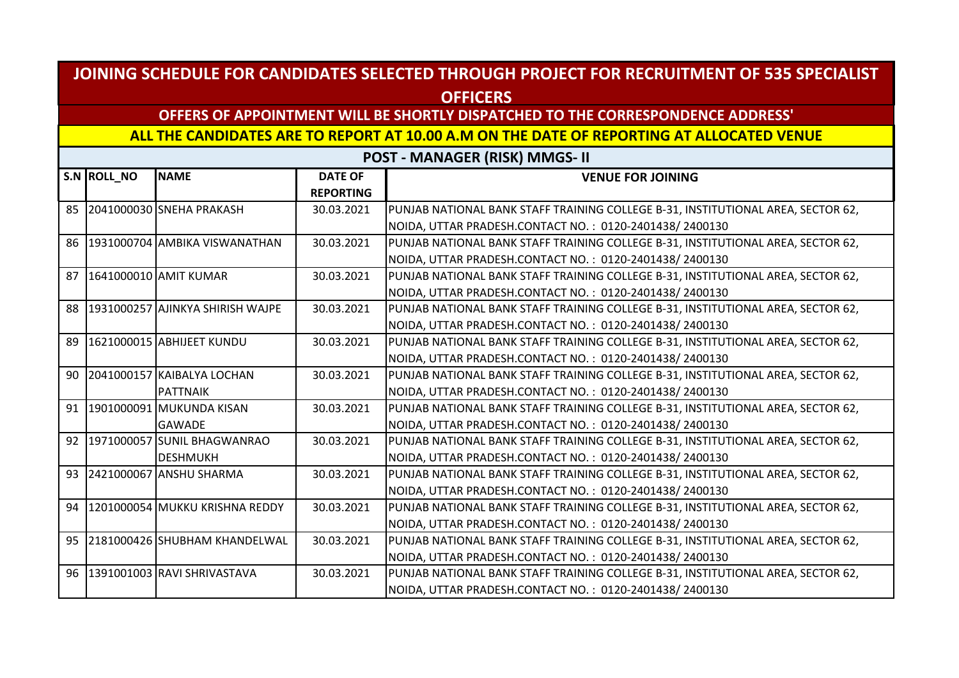## **OFFERS OF APPOINTMENT WILL BE SHORTLY DISPATCHED TO THE CORRESPONDENCE ADDRESS'**

#### **ALL THE CANDIDATES ARE TO REPORT AT 10.00 A.M ON THE DATE OF REPORTING AT ALLOCATED VENUE**

|    | S.N ROLL_NO | <b>NAME</b>                      | <b>DATE OF</b>   | <b>VENUE FOR JOINING</b>                                                         |
|----|-------------|----------------------------------|------------------|----------------------------------------------------------------------------------|
|    |             |                                  | <b>REPORTING</b> |                                                                                  |
|    |             | 85 2041000030 SNEHA PRAKASH      | 30.03.2021       | PUNJAB NATIONAL BANK STAFF TRAINING COLLEGE B-31, INSTITUTIONAL AREA, SECTOR 62, |
|    |             |                                  |                  | NOIDA, UTTAR PRADESH.CONTACT NO.: 0120-2401438/2400130                           |
| 86 |             | 1931000704 AMBIKA VISWANATHAN    | 30.03.2021       | PUNJAB NATIONAL BANK STAFF TRAINING COLLEGE B-31, INSTITUTIONAL AREA, SECTOR 62, |
|    |             |                                  |                  | NOIDA, UTTAR PRADESH.CONTACT NO.: 0120-2401438/2400130                           |
| 87 |             | 1641000010 AMIT KUMAR            | 30.03.2021       | PUNJAB NATIONAL BANK STAFF TRAINING COLLEGE B-31, INSTITUTIONAL AREA, SECTOR 62, |
|    |             |                                  |                  | NOIDA, UTTAR PRADESH.CONTACT NO.: 0120-2401438/2400130                           |
| 88 |             | 1931000257 AJINKYA SHIRISH WAJPE | 30.03.2021       | PUNJAB NATIONAL BANK STAFF TRAINING COLLEGE B-31, INSTITUTIONAL AREA, SECTOR 62, |
|    |             |                                  |                  | NOIDA, UTTAR PRADESH.CONTACT NO.: 0120-2401438/2400130                           |
| 89 |             | 1621000015 ABHIJEET KUNDU        | 30.03.2021       | PUNJAB NATIONAL BANK STAFF TRAINING COLLEGE B-31, INSTITUTIONAL AREA, SECTOR 62, |
|    |             |                                  |                  | NOIDA, UTTAR PRADESH.CONTACT NO.: 0120-2401438/2400130                           |
| 90 |             | 2041000157 KAIBALYA LOCHAN       | 30.03.2021       | PUNJAB NATIONAL BANK STAFF TRAINING COLLEGE B-31, INSTITUTIONAL AREA, SECTOR 62, |
|    |             | <b>PATTNAIK</b>                  |                  | NOIDA, UTTAR PRADESH.CONTACT NO.: 0120-2401438/2400130                           |
|    |             | 91   1901000091 MUKUNDA KISAN    | 30.03.2021       | PUNJAB NATIONAL BANK STAFF TRAINING COLLEGE B-31, INSTITUTIONAL AREA, SECTOR 62, |
|    |             | <b>GAWADE</b>                    |                  | NOIDA, UTTAR PRADESH.CONTACT NO.: 0120-2401438/2400130                           |
| 92 |             | 1971000057 SUNIL BHAGWANRAO      | 30.03.2021       | PUNJAB NATIONAL BANK STAFF TRAINING COLLEGE B-31, INSTITUTIONAL AREA, SECTOR 62, |
|    |             | <b>DESHMUKH</b>                  |                  | NOIDA, UTTAR PRADESH.CONTACT NO.: 0120-2401438/2400130                           |
| 93 |             | 2421000067 ANSHU SHARMA          | 30.03.2021       | PUNJAB NATIONAL BANK STAFF TRAINING COLLEGE B-31, INSTITUTIONAL AREA, SECTOR 62, |
|    |             |                                  |                  | NOIDA, UTTAR PRADESH.CONTACT NO.: 0120-2401438/2400130                           |
| 94 |             | 1201000054 MUKKU KRISHNA REDDY   | 30.03.2021       | PUNJAB NATIONAL BANK STAFF TRAINING COLLEGE B-31, INSTITUTIONAL AREA, SECTOR 62, |
|    |             |                                  |                  | NOIDA, UTTAR PRADESH.CONTACT NO.: 0120-2401438/2400130                           |
| 95 |             | 2181000426 SHUBHAM KHANDELWAL    | 30.03.2021       | PUNJAB NATIONAL BANK STAFF TRAINING COLLEGE B-31, INSTITUTIONAL AREA, SECTOR 62, |
|    |             |                                  |                  | NOIDA, UTTAR PRADESH.CONTACT NO.: 0120-2401438/2400130                           |
|    |             | 96 1391001003 RAVI SHRIVASTAVA   | 30.03.2021       | PUNJAB NATIONAL BANK STAFF TRAINING COLLEGE B-31, INSTITUTIONAL AREA, SECTOR 62, |
|    |             |                                  |                  | NOIDA, UTTAR PRADESH.CONTACT NO.: 0120-2401438/2400130                           |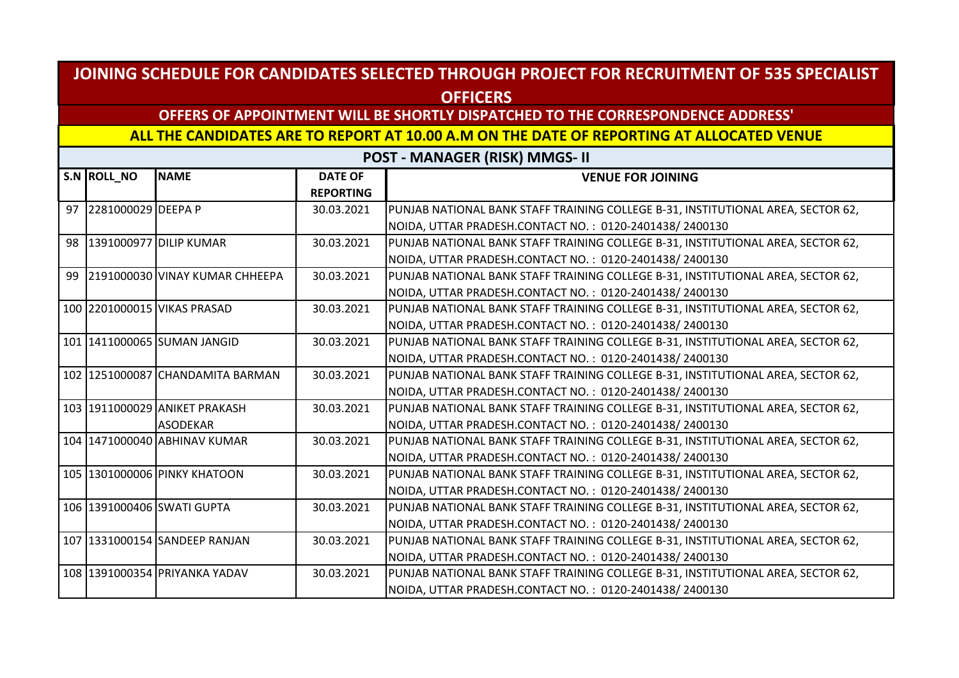## **OFFERS OF APPOINTMENT WILL BE SHORTLY DISPATCHED TO THE CORRESPONDENCE ADDRESS'**

#### **ALL THE CANDIDATES ARE TO REPORT AT 10.00 A.M ON THE DATE OF REPORTING AT ALLOCATED VENUE**

| S.N ROLL_NO           | <b>NAME</b>                       | <b>DATE OF</b>   | <b>VENUE FOR JOINING</b>                                                         |
|-----------------------|-----------------------------------|------------------|----------------------------------------------------------------------------------|
|                       |                                   | <b>REPORTING</b> |                                                                                  |
| 97 2281000029 DEEPA P |                                   | 30.03.2021       | PUNJAB NATIONAL BANK STAFF TRAINING COLLEGE B-31, INSTITUTIONAL AREA, SECTOR 62, |
|                       |                                   |                  | NOIDA, UTTAR PRADESH.CONTACT NO. : 0120-2401438/2400130                          |
|                       | 98 1391000977 DILIP KUMAR         | 30.03.2021       | PUNJAB NATIONAL BANK STAFF TRAINING COLLEGE B-31, INSTITUTIONAL AREA, SECTOR 62, |
|                       |                                   |                  | NOIDA, UTTAR PRADESH.CONTACT NO.: 0120-2401438/2400130                           |
|                       | 99 2191000030 VINAY KUMAR CHHEEPA | 30.03.2021       | PUNJAB NATIONAL BANK STAFF TRAINING COLLEGE B-31, INSTITUTIONAL AREA, SECTOR 62, |
|                       |                                   |                  | NOIDA, UTTAR PRADESH.CONTACT NO.: 0120-2401438/2400130                           |
|                       | 100 2201000015 VIKAS PRASAD       | 30.03.2021       | PUNJAB NATIONAL BANK STAFF TRAINING COLLEGE B-31, INSTITUTIONAL AREA, SECTOR 62, |
|                       |                                   |                  | NOIDA, UTTAR PRADESH.CONTACT NO.: 0120-2401438/2400130                           |
|                       | 101 1411000065 SUMAN JANGID       | 30.03.2021       | PUNJAB NATIONAL BANK STAFF TRAINING COLLEGE B-31, INSTITUTIONAL AREA, SECTOR 62, |
|                       |                                   |                  | NOIDA, UTTAR PRADESH.CONTACT NO.: 0120-2401438/2400130                           |
|                       | 102 1251000087 CHANDAMITA BARMAN  | 30.03.2021       | PUNJAB NATIONAL BANK STAFF TRAINING COLLEGE B-31, INSTITUTIONAL AREA, SECTOR 62, |
|                       |                                   |                  | NOIDA, UTTAR PRADESH.CONTACT NO.: 0120-2401438/2400130                           |
|                       | 103 1911000029 ANIKET PRAKASH     | 30.03.2021       | PUNJAB NATIONAL BANK STAFF TRAINING COLLEGE B-31, INSTITUTIONAL AREA, SECTOR 62, |
|                       | <b>ASODEKAR</b>                   |                  | NOIDA, UTTAR PRADESH.CONTACT NO.: 0120-2401438/2400130                           |
|                       | 104 1471000040 ABHINAV KUMAR      | 30.03.2021       | PUNJAB NATIONAL BANK STAFF TRAINING COLLEGE B-31, INSTITUTIONAL AREA, SECTOR 62, |
|                       |                                   |                  | NOIDA, UTTAR PRADESH.CONTACT NO.: 0120-2401438/2400130                           |
|                       | 105 1301000006 PINKY KHATOON      | 30.03.2021       | PUNJAB NATIONAL BANK STAFF TRAINING COLLEGE B-31, INSTITUTIONAL AREA, SECTOR 62, |
|                       |                                   |                  | NOIDA, UTTAR PRADESH.CONTACT NO.: 0120-2401438/2400130                           |
|                       | 106 1391000406 SWATI GUPTA        | 30.03.2021       | PUNJAB NATIONAL BANK STAFF TRAINING COLLEGE B-31, INSTITUTIONAL AREA, SECTOR 62, |
|                       |                                   |                  | NOIDA, UTTAR PRADESH.CONTACT NO.: 0120-2401438/2400130                           |
|                       | 107 1331000154 SANDEEP RANJAN     | 30.03.2021       | PUNJAB NATIONAL BANK STAFF TRAINING COLLEGE B-31, INSTITUTIONAL AREA, SECTOR 62, |
|                       |                                   |                  | NOIDA, UTTAR PRADESH.CONTACT NO.: 0120-2401438/2400130                           |
|                       | 108 1391000354 PRIYANKA YADAV     | 30.03.2021       | PUNJAB NATIONAL BANK STAFF TRAINING COLLEGE B-31, INSTITUTIONAL AREA, SECTOR 62, |
|                       |                                   |                  | NOIDA, UTTAR PRADESH.CONTACT NO.: 0120-2401438/2400130                           |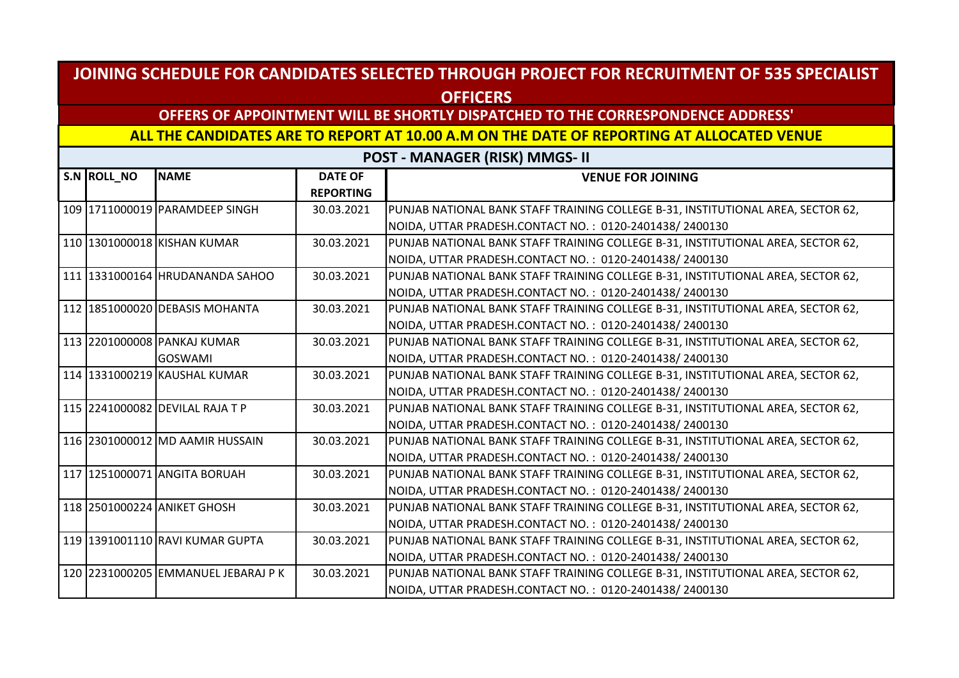## **OFFERS OF APPOINTMENT WILL BE SHORTLY DISPATCHED TO THE CORRESPONDENCE ADDRESS'**

#### **ALL THE CANDIDATES ARE TO REPORT AT 10.00 A.M ON THE DATE OF REPORTING AT ALLOCATED VENUE**

| S.N ROLL_NO | <b>NAME</b>                         | <b>DATE OF</b>   | <b>VENUE FOR JOINING</b>                                                         |
|-------------|-------------------------------------|------------------|----------------------------------------------------------------------------------|
|             |                                     | <b>REPORTING</b> |                                                                                  |
|             | 109 1711000019 PARAMDEEP SINGH      | 30.03.2021       | PUNJAB NATIONAL BANK STAFF TRAINING COLLEGE B-31, INSTITUTIONAL AREA, SECTOR 62, |
|             |                                     |                  | NOIDA, UTTAR PRADESH.CONTACT NO.: 0120-2401438/2400130                           |
|             | 110 1301000018 KISHAN KUMAR         | 30.03.2021       | PUNJAB NATIONAL BANK STAFF TRAINING COLLEGE B-31, INSTITUTIONAL AREA, SECTOR 62, |
|             |                                     |                  | NOIDA, UTTAR PRADESH.CONTACT NO.: 0120-2401438/2400130                           |
|             | 111 1331000164 HRUDANANDA SAHOO     | 30.03.2021       | PUNJAB NATIONAL BANK STAFF TRAINING COLLEGE B-31, INSTITUTIONAL AREA, SECTOR 62, |
|             |                                     |                  | NOIDA, UTTAR PRADESH.CONTACT NO.: 0120-2401438/2400130                           |
|             | 112 1851000020 DEBASIS MOHANTA      | 30.03.2021       | PUNJAB NATIONAL BANK STAFF TRAINING COLLEGE B-31, INSTITUTIONAL AREA, SECTOR 62, |
|             |                                     |                  | NOIDA, UTTAR PRADESH.CONTACT NO.: 0120-2401438/2400130                           |
|             | 113 2201000008 PANKAJ KUMAR         | 30.03.2021       | PUNJAB NATIONAL BANK STAFF TRAINING COLLEGE B-31, INSTITUTIONAL AREA, SECTOR 62, |
|             | <b>GOSWAMI</b>                      |                  | NOIDA, UTTAR PRADESH.CONTACT NO.: 0120-2401438/2400130                           |
|             | 114 1331000219 KAUSHAL KUMAR        | 30.03.2021       | PUNJAB NATIONAL BANK STAFF TRAINING COLLEGE B-31, INSTITUTIONAL AREA, SECTOR 62, |
|             |                                     |                  | NOIDA, UTTAR PRADESH.CONTACT NO.: 0120-2401438/2400130                           |
|             | 115 2241000082 DEVILAL RAJA T P     | 30.03.2021       | PUNJAB NATIONAL BANK STAFF TRAINING COLLEGE B-31, INSTITUTIONAL AREA, SECTOR 62, |
|             |                                     |                  | NOIDA, UTTAR PRADESH.CONTACT NO.: 0120-2401438/2400130                           |
|             | 116 2301000012 MD AAMIR HUSSAIN     | 30.03.2021       | PUNJAB NATIONAL BANK STAFF TRAINING COLLEGE B-31, INSTITUTIONAL AREA, SECTOR 62, |
|             |                                     |                  | NOIDA, UTTAR PRADESH.CONTACT NO.: 0120-2401438/2400130                           |
|             | 117 1251000071 ANGITA BORUAH        | 30.03.2021       | PUNJAB NATIONAL BANK STAFF TRAINING COLLEGE B-31, INSTITUTIONAL AREA, SECTOR 62, |
|             |                                     |                  | NOIDA, UTTAR PRADESH.CONTACT NO.: 0120-2401438/2400130                           |
|             | 118 2501000224 ANIKET GHOSH         | 30.03.2021       | PUNJAB NATIONAL BANK STAFF TRAINING COLLEGE B-31, INSTITUTIONAL AREA, SECTOR 62, |
|             |                                     |                  | NOIDA, UTTAR PRADESH.CONTACT NO.: 0120-2401438/2400130                           |
|             | 119 1391001110 RAVI KUMAR GUPTA     | 30.03.2021       | PUNJAB NATIONAL BANK STAFF TRAINING COLLEGE B-31, INSTITUTIONAL AREA, SECTOR 62, |
|             |                                     |                  | NOIDA, UTTAR PRADESH.CONTACT NO.: 0120-2401438/2400130                           |
|             | 120 2231000205 EMMANUEL JEBARAJ P K | 30.03.2021       | PUNJAB NATIONAL BANK STAFF TRAINING COLLEGE B-31, INSTITUTIONAL AREA, SECTOR 62, |
|             |                                     |                  | NOIDA, UTTAR PRADESH.CONTACT NO.: 0120-2401438/2400130                           |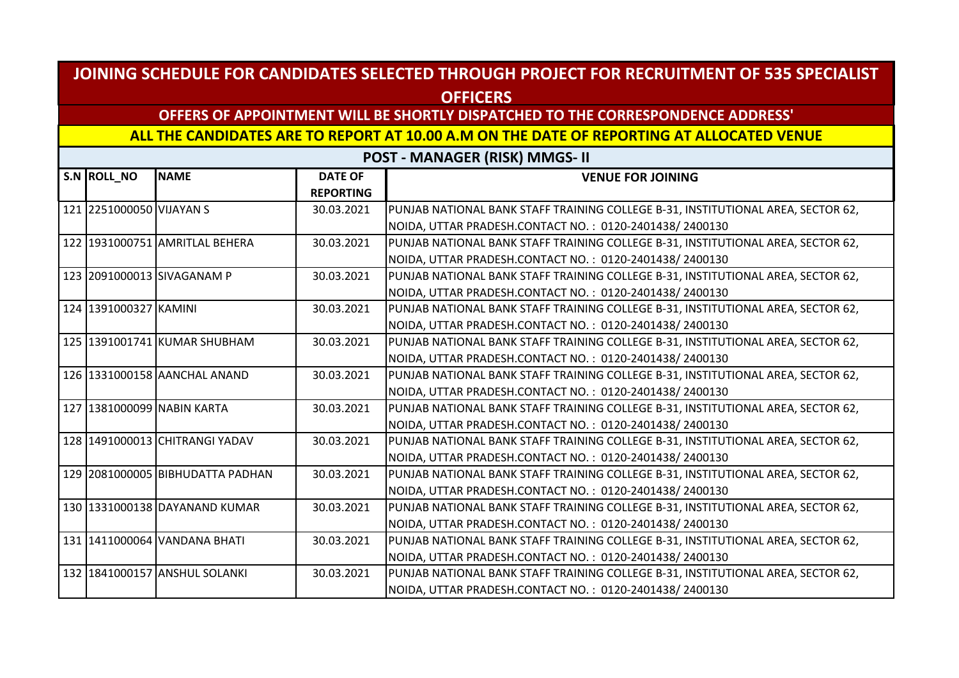## **OFFERS OF APPOINTMENT WILL BE SHORTLY DISPATCHED TO THE CORRESPONDENCE ADDRESS'**

#### **ALL THE CANDIDATES ARE TO REPORT AT 10.00 A.M ON THE DATE OF REPORTING AT ALLOCATED VENUE**

| S.N ROLL_NO              | <b>NAME</b>                      | <b>DATE OF</b>   | <b>VENUE FOR JOINING</b>                                                         |
|--------------------------|----------------------------------|------------------|----------------------------------------------------------------------------------|
|                          |                                  | <b>REPORTING</b> |                                                                                  |
| 121 2251000050 VIJAYAN S |                                  | 30.03.2021       | PUNJAB NATIONAL BANK STAFF TRAINING COLLEGE B-31, INSTITUTIONAL AREA, SECTOR 62, |
|                          |                                  |                  | NOIDA, UTTAR PRADESH.CONTACT NO.: 0120-2401438/2400130                           |
|                          | 122 1931000751 AMRITLAL BEHERA   | 30.03.2021       | PUNJAB NATIONAL BANK STAFF TRAINING COLLEGE B-31, INSTITUTIONAL AREA, SECTOR 62, |
|                          |                                  |                  | NOIDA, UTTAR PRADESH.CONTACT NO.: 0120-2401438/2400130                           |
|                          | 123 2091000013 SIVAGANAM P       | 30.03.2021       | PUNJAB NATIONAL BANK STAFF TRAINING COLLEGE B-31, INSTITUTIONAL AREA, SECTOR 62, |
|                          |                                  |                  | NOIDA, UTTAR PRADESH.CONTACT NO.: 0120-2401438/2400130                           |
| 124 1391000327 KAMINI    |                                  | 30.03.2021       | PUNJAB NATIONAL BANK STAFF TRAINING COLLEGE B-31, INSTITUTIONAL AREA, SECTOR 62, |
|                          |                                  |                  | NOIDA, UTTAR PRADESH.CONTACT NO.: 0120-2401438/2400130                           |
|                          | 125 1391001741 KUMAR SHUBHAM     | 30.03.2021       | PUNJAB NATIONAL BANK STAFF TRAINING COLLEGE B-31, INSTITUTIONAL AREA, SECTOR 62, |
|                          |                                  |                  | NOIDA, UTTAR PRADESH.CONTACT NO.: 0120-2401438/2400130                           |
|                          | 126 1331000158 AANCHAL ANAND     | 30.03.2021       | PUNJAB NATIONAL BANK STAFF TRAINING COLLEGE B-31, INSTITUTIONAL AREA, SECTOR 62, |
|                          |                                  |                  | NOIDA, UTTAR PRADESH.CONTACT NO.: 0120-2401438/2400130                           |
|                          | 127 1381000099 NABIN KARTA       | 30.03.2021       | PUNJAB NATIONAL BANK STAFF TRAINING COLLEGE B-31, INSTITUTIONAL AREA, SECTOR 62, |
|                          |                                  |                  | NOIDA, UTTAR PRADESH.CONTACT NO.: 0120-2401438/2400130                           |
|                          | 128 1491000013 CHITRANGI YADAV   | 30.03.2021       | PUNJAB NATIONAL BANK STAFF TRAINING COLLEGE B-31, INSTITUTIONAL AREA, SECTOR 62, |
|                          |                                  |                  | NOIDA, UTTAR PRADESH.CONTACT NO.: 0120-2401438/2400130                           |
|                          | 129 2081000005 BIBHUDATTA PADHAN | 30.03.2021       | PUNJAB NATIONAL BANK STAFF TRAINING COLLEGE B-31, INSTITUTIONAL AREA, SECTOR 62, |
|                          |                                  |                  | NOIDA, UTTAR PRADESH.CONTACT NO.: 0120-2401438/2400130                           |
|                          | 130 1331000138 DAYANAND KUMAR    | 30.03.2021       | PUNJAB NATIONAL BANK STAFF TRAINING COLLEGE B-31, INSTITUTIONAL AREA, SECTOR 62, |
|                          |                                  |                  | NOIDA, UTTAR PRADESH.CONTACT NO.: 0120-2401438/2400130                           |
|                          | 131 1411000064 VANDANA BHATI     | 30.03.2021       | PUNJAB NATIONAL BANK STAFF TRAINING COLLEGE B-31, INSTITUTIONAL AREA, SECTOR 62, |
|                          |                                  |                  | NOIDA, UTTAR PRADESH.CONTACT NO.: 0120-2401438/2400130                           |
|                          | 132 1841000157 ANSHUL SOLANKI    | 30.03.2021       | PUNJAB NATIONAL BANK STAFF TRAINING COLLEGE B-31, INSTITUTIONAL AREA, SECTOR 62, |
|                          |                                  |                  | NOIDA, UTTAR PRADESH.CONTACT NO.: 0120-2401438/2400130                           |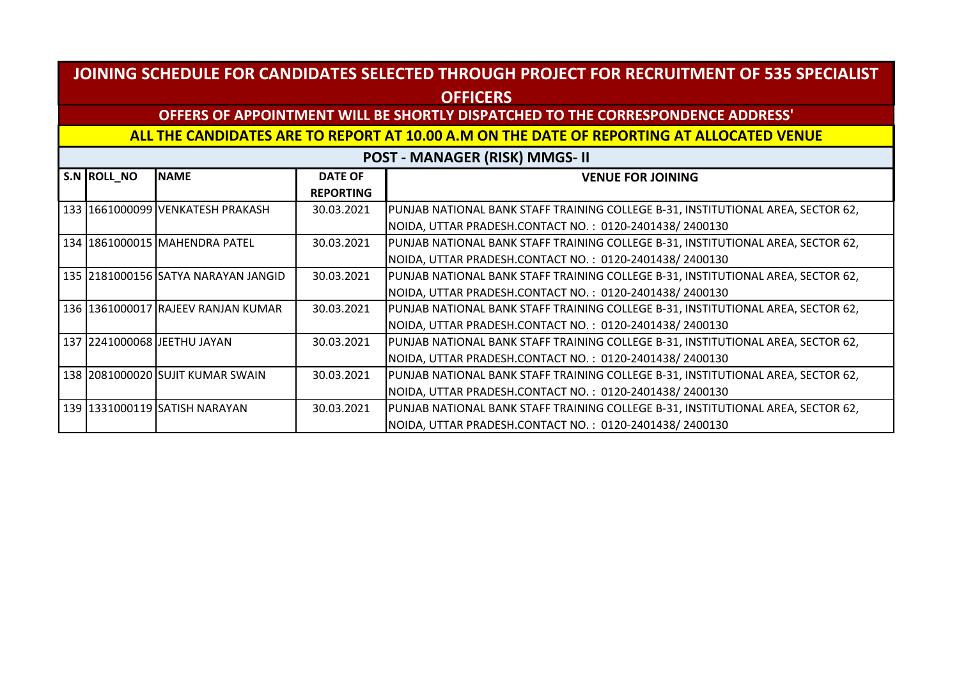## **OFFERS OF APPOINTMENT WILL BE SHORTLY DISPATCHED TO THE CORRESPONDENCE ADDRESS'**

#### **ALL THE CANDIDATES ARE TO REPORT AT 10.00 A.M ON THE DATE OF REPORTING AT ALLOCATED VENUE**

| S.N ROLL_NO | <b>NAME</b>                          | <b>DATE OF</b>   | <b>VENUE FOR JOINING</b>                                                          |
|-------------|--------------------------------------|------------------|-----------------------------------------------------------------------------------|
|             |                                      | <b>REPORTING</b> |                                                                                   |
|             | 133  1661000099  VENKATESH PRAKASH   | 30.03.2021       | [PUNJAB NATIONAL BANK STAFF TRAINING COLLEGE B-31, INSTITUTIONAL AREA, SECTOR 62, |
|             |                                      |                  | NOIDA, UTTAR PRADESH.CONTACT NO.: 0120-2401438/2400130                            |
|             | 134   1861000015   MAHENDRA PATEL    | 30.03.2021       | PUNJAB NATIONAL BANK STAFF TRAINING COLLEGE B-31, INSTITUTIONAL AREA, SECTOR 62,  |
|             |                                      |                  | NOIDA, UTTAR PRADESH.CONTACT NO.: 0120-2401438/2400130                            |
|             | 135 2181000156 SATYA NARAYAN JANGID  | 30.03.2021       | PUNJAB NATIONAL BANK STAFF TRAINING COLLEGE B-31, INSTITUTIONAL AREA, SECTOR 62,  |
|             |                                      |                  | NOIDA, UTTAR PRADESH.CONTACT NO.: 0120-2401438/2400130                            |
|             | 136  1361000017  RAJEEV RANJAN KUMAR | 30.03.2021       | PUNJAB NATIONAL BANK STAFF TRAINING COLLEGE B-31, INSTITUTIONAL AREA, SECTOR 62,  |
|             |                                      |                  | NOIDA, UTTAR PRADESH.CONTACT NO.: 0120-2401438/2400130                            |
|             | 137   2241000068   JEETHU JAYAN      | 30.03.2021       | PUNJAB NATIONAL BANK STAFF TRAINING COLLEGE B-31, INSTITUTIONAL AREA, SECTOR 62,  |
|             |                                      |                  | NOIDA, UTTAR PRADESH.CONTACT NO.: 0120-2401438/2400130                            |
|             | 138 2081000020 SUJIT KUMAR SWAIN     | 30.03.2021       | PUNJAB NATIONAL BANK STAFF TRAINING COLLEGE B-31, INSTITUTIONAL AREA, SECTOR 62,  |
|             |                                      |                  | NOIDA, UTTAR PRADESH.CONTACT NO.: 0120-2401438/2400130                            |
|             | 139   1331000119   SATISH NARAYAN    | 30.03.2021       | PUNJAB NATIONAL BANK STAFF TRAINING COLLEGE B-31, INSTITUTIONAL AREA, SECTOR 62,  |
|             |                                      |                  | NOIDA, UTTAR PRADESH.CONTACT NO.: 0120-2401438/2400130                            |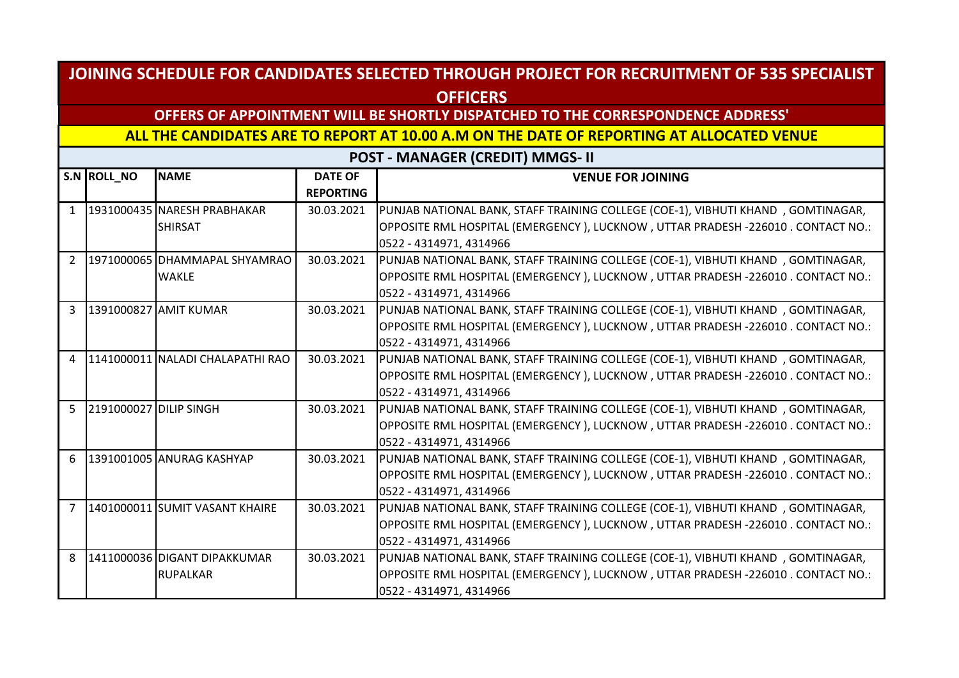## **OFFERS OF APPOINTMENT WILL BE SHORTLY DISPATCHED TO THE CORRESPONDENCE ADDRESS'**

**ALL THE CANDIDATES ARE TO REPORT AT 10.00 A.M ON THE DATE OF REPORTING AT ALLOCATED VENUE** 

|                | S.N ROLL NO            | <b>NAME</b>                      | <b>DATE OF</b>   | <b>VENUE FOR JOINING</b>                                                           |
|----------------|------------------------|----------------------------------|------------------|------------------------------------------------------------------------------------|
|                |                        |                                  | <b>REPORTING</b> |                                                                                    |
| $\mathbf{1}$   |                        | 1931000435 NARESH PRABHAKAR      | 30.03.2021       | PUNJAB NATIONAL BANK, STAFF TRAINING COLLEGE (COE-1), VIBHUTI KHAND, GOMTINAGAR,   |
|                |                        | <b>SHIRSAT</b>                   |                  | OPPOSITE RML HOSPITAL (EMERGENCY ), LUCKNOW , UTTAR PRADESH -226010 . CONTACT NO.: |
|                |                        |                                  |                  | 0522 - 4314971, 4314966                                                            |
| $\overline{2}$ |                        | 1971000065 DHAMMAPAL SHYAMRAO    | 30.03.2021       | PUNJAB NATIONAL BANK, STAFF TRAINING COLLEGE (COE-1), VIBHUTI KHAND, GOMTINAGAR,   |
|                |                        | <b>WAKLE</b>                     |                  | OPPOSITE RML HOSPITAL (EMERGENCY), LUCKNOW, UTTAR PRADESH -226010 . CONTACT NO.:   |
|                |                        |                                  |                  | 0522 - 4314971, 4314966                                                            |
| 3              |                        | 1391000827 AMIT KUMAR            | 30.03.2021       | PUNJAB NATIONAL BANK, STAFF TRAINING COLLEGE (COE-1), VIBHUTI KHAND, GOMTINAGAR,   |
|                |                        |                                  |                  | OPPOSITE RML HOSPITAL (EMERGENCY), LUCKNOW, UTTAR PRADESH -226010 . CONTACT NO.:   |
|                |                        |                                  |                  | 0522 - 4314971, 4314966                                                            |
| $\overline{4}$ |                        | 1141000011 NALADI CHALAPATHI RAO | 30.03.2021       | PUNJAB NATIONAL BANK, STAFF TRAINING COLLEGE (COE-1), VIBHUTI KHAND, GOMTINAGAR,   |
|                |                        |                                  |                  | OPPOSITE RML HOSPITAL (EMERGENCY), LUCKNOW, UTTAR PRADESH -226010 . CONTACT NO.:   |
|                |                        |                                  |                  | 0522 - 4314971, 4314966                                                            |
| $5^{\circ}$    | 2191000027 DILIP SINGH |                                  | 30.03.2021       | PUNJAB NATIONAL BANK, STAFF TRAINING COLLEGE (COE-1), VIBHUTI KHAND, GOMTINAGAR,   |
|                |                        |                                  |                  | OPPOSITE RML HOSPITAL (EMERGENCY), LUCKNOW, UTTAR PRADESH -226010 . CONTACT NO.:   |
|                |                        |                                  |                  | 0522 - 4314971, 4314966                                                            |
| 6              |                        | 1391001005 ANURAG KASHYAP        | 30.03.2021       | PUNJAB NATIONAL BANK, STAFF TRAINING COLLEGE (COE-1), VIBHUTI KHAND, GOMTINAGAR,   |
|                |                        |                                  |                  | OPPOSITE RML HOSPITAL (EMERGENCY), LUCKNOW, UTTAR PRADESH -226010 . CONTACT NO.:   |
|                |                        |                                  |                  | 0522 - 4314971, 4314966                                                            |
| 7              |                        | 1401000011 SUMIT VASANT KHAIRE   | 30.03.2021       | PUNJAB NATIONAL BANK, STAFF TRAINING COLLEGE (COE-1), VIBHUTI KHAND, GOMTINAGAR,   |
|                |                        |                                  |                  | OPPOSITE RML HOSPITAL (EMERGENCY), LUCKNOW, UTTAR PRADESH -226010. CONTACT NO.:    |
|                |                        |                                  |                  | 0522 - 4314971, 4314966                                                            |
| 8              |                        | 1411000036 DIGANT DIPAKKUMAR     | 30.03.2021       | PUNJAB NATIONAL BANK, STAFF TRAINING COLLEGE (COE-1), VIBHUTI KHAND, GOMTINAGAR,   |
|                |                        | <b>RUPALKAR</b>                  |                  | OPPOSITE RML HOSPITAL (EMERGENCY), LUCKNOW, UTTAR PRADESH -226010 . CONTACT NO.:   |
|                |                        |                                  |                  | 0522 - 4314971, 4314966                                                            |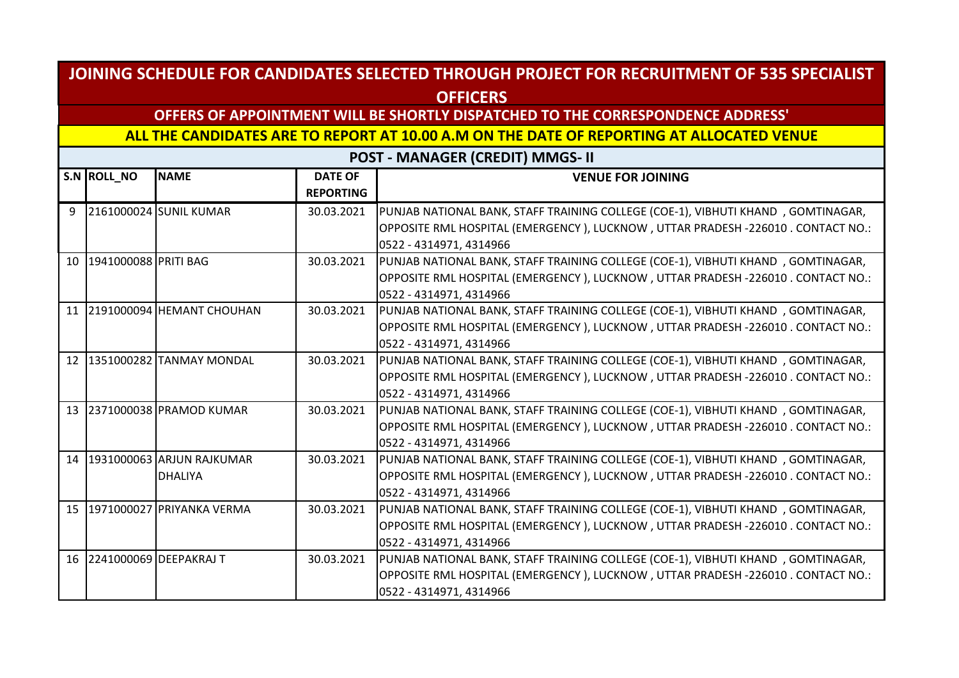## **OFFERS OF APPOINTMENT WILL BE SHORTLY DISPATCHED TO THE CORRESPONDENCE ADDRESS'**

**ALL THE CANDIDATES ARE TO REPORT AT 10.00 A.M ON THE DATE OF REPORTING AT ALLOCATED VENUE** 

|                 | S.N ROLL_NO          | <b>NAME</b>               | <b>DATE OF</b><br><b>REPORTING</b> | <b>VENUE FOR JOINING</b>                                                         |
|-----------------|----------------------|---------------------------|------------------------------------|----------------------------------------------------------------------------------|
|                 |                      |                           |                                    |                                                                                  |
| 9               |                      | 2161000024 SUNIL KUMAR    | 30.03.2021                         | PUNJAB NATIONAL BANK, STAFF TRAINING COLLEGE (COE-1), VIBHUTI KHAND, GOMTINAGAR, |
|                 |                      |                           |                                    | OPPOSITE RML HOSPITAL (EMERGENCY), LUCKNOW, UTTAR PRADESH -226010. CONTACT NO.:  |
|                 |                      |                           |                                    | 0522 - 4314971, 4314966                                                          |
| 10              | 1941000088 PRITI BAG |                           | 30.03.2021                         | PUNJAB NATIONAL BANK, STAFF TRAINING COLLEGE (COE-1), VIBHUTI KHAND, GOMTINAGAR, |
|                 |                      |                           |                                    | OPPOSITE RML HOSPITAL (EMERGENCY), LUCKNOW, UTTAR PRADESH -226010. CONTACT NO.:  |
|                 |                      |                           |                                    | 0522 - 4314971, 4314966                                                          |
| 11              |                      | 2191000094 HEMANT CHOUHAN | 30.03.2021                         | PUNJAB NATIONAL BANK, STAFF TRAINING COLLEGE (COE-1), VIBHUTI KHAND, GOMTINAGAR, |
|                 |                      |                           |                                    | OPPOSITE RML HOSPITAL (EMERGENCY), LUCKNOW, UTTAR PRADESH -226010. CONTACT NO.:  |
|                 |                      |                           |                                    | 0522 - 4314971, 4314966                                                          |
| 12              |                      | 1351000282 TANMAY MONDAL  | 30.03.2021                         | PUNJAB NATIONAL BANK, STAFF TRAINING COLLEGE (COE-1), VIBHUTI KHAND, GOMTINAGAR, |
|                 |                      |                           |                                    | OPPOSITE RML HOSPITAL (EMERGENCY), LUCKNOW, UTTAR PRADESH -226010. CONTACT NO.:  |
|                 |                      |                           |                                    | 0522 - 4314971, 4314966                                                          |
| 13              |                      | 2371000038 PRAMOD KUMAR   | 30.03.2021                         | PUNJAB NATIONAL BANK, STAFF TRAINING COLLEGE (COE-1), VIBHUTI KHAND, GOMTINAGAR, |
|                 |                      |                           |                                    | OPPOSITE RML HOSPITAL (EMERGENCY), LUCKNOW, UTTAR PRADESH -226010. CONTACT NO.:  |
|                 |                      |                           |                                    | 0522 - 4314971, 4314966                                                          |
| 14              |                      | 1931000063 ARJUN RAJKUMAR | 30.03.2021                         | PUNJAB NATIONAL BANK, STAFF TRAINING COLLEGE (COE-1), VIBHUTI KHAND, GOMTINAGAR, |
|                 |                      | <b>DHALIYA</b>            |                                    | OPPOSITE RML HOSPITAL (EMERGENCY), LUCKNOW, UTTAR PRADESH -226010. CONTACT NO.:  |
|                 |                      |                           |                                    | 0522 - 4314971, 4314966                                                          |
| 15 <sup>1</sup> |                      | 1971000027 PRIYANKA VERMA | 30.03.2021                         | PUNJAB NATIONAL BANK, STAFF TRAINING COLLEGE (COE-1), VIBHUTI KHAND, GOMTINAGAR, |
|                 |                      |                           |                                    | OPPOSITE RML HOSPITAL (EMERGENCY), LUCKNOW, UTTAR PRADESH -226010. CONTACT NO.:  |
|                 |                      |                           |                                    | 0522 - 4314971, 4314966                                                          |
| 16 <sup>1</sup> |                      | 2241000069 DEEPAKRAJ T    | 30.03.2021                         | PUNJAB NATIONAL BANK, STAFF TRAINING COLLEGE (COE-1), VIBHUTI KHAND, GOMTINAGAR, |
|                 |                      |                           |                                    | OPPOSITE RML HOSPITAL (EMERGENCY), LUCKNOW, UTTAR PRADESH -226010. CONTACT NO.:  |
|                 |                      |                           |                                    | 0522 - 4314971, 4314966                                                          |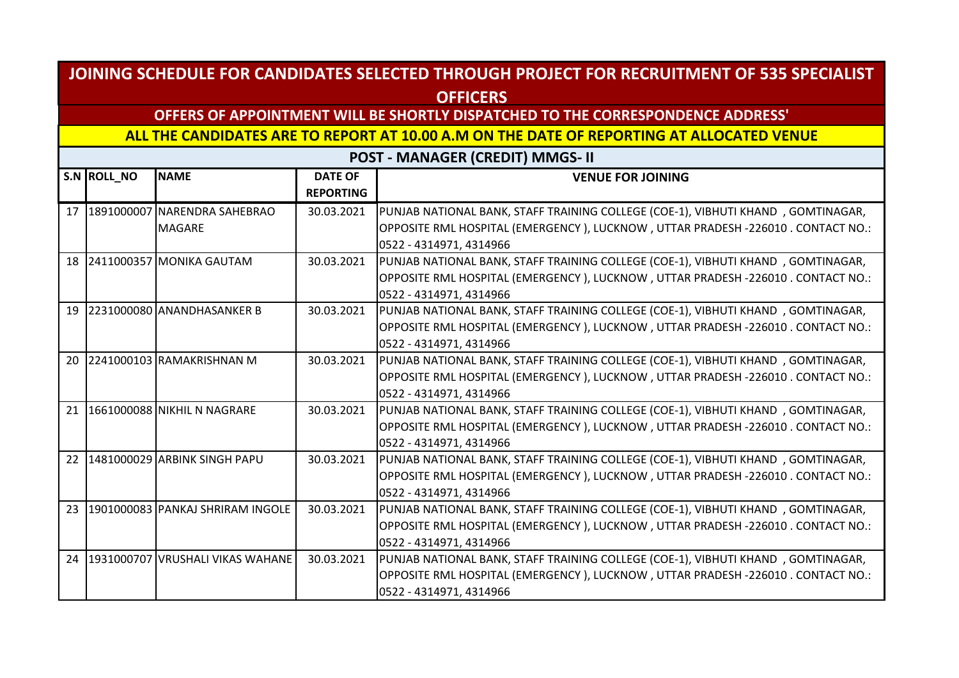## **OFFERS OF APPOINTMENT WILL BE SHORTLY DISPATCHED TO THE CORRESPONDENCE ADDRESS'**

**ALL THE CANDIDATES ARE TO REPORT AT 10.00 A.M ON THE DATE OF REPORTING AT ALLOCATED VENUE** 

|    | S.N ROLL_NO | <b>NAME</b>                         | <b>DATE OF</b><br><b>REPORTING</b> | <b>VENUE FOR JOINING</b>                                                         |
|----|-------------|-------------------------------------|------------------------------------|----------------------------------------------------------------------------------|
| 17 |             | 1891000007 NARENDRA SAHEBRAO        | 30.03.2021                         | PUNJAB NATIONAL BANK, STAFF TRAINING COLLEGE (COE-1), VIBHUTI KHAND, GOMTINAGAR, |
|    |             | <b>MAGARE</b>                       |                                    | OPPOSITE RML HOSPITAL (EMERGENCY), LUCKNOW, UTTAR PRADESH -226010. CONTACT NO.:  |
|    |             |                                     |                                    | 0522 - 4314971, 4314966                                                          |
|    |             | 18 2411000357 MONIKA GAUTAM         | 30.03.2021                         | PUNJAB NATIONAL BANK, STAFF TRAINING COLLEGE (COE-1), VIBHUTI KHAND, GOMTINAGAR, |
|    |             |                                     |                                    | OPPOSITE RML HOSPITAL (EMERGENCY), LUCKNOW, UTTAR PRADESH -226010. CONTACT NO.:  |
|    |             |                                     |                                    | 0522 - 4314971, 4314966                                                          |
| 19 |             | 2231000080 ANANDHASANKER B          | 30.03.2021                         | PUNJAB NATIONAL BANK, STAFF TRAINING COLLEGE (COE-1), VIBHUTI KHAND, GOMTINAGAR, |
|    |             |                                     |                                    | OPPOSITE RML HOSPITAL (EMERGENCY), LUCKNOW, UTTAR PRADESH -226010. CONTACT NO.:  |
|    |             |                                     |                                    | 0522 - 4314971, 4314966                                                          |
| 20 |             | 2241000103 RAMAKRISHNAN M           | 30.03.2021                         | PUNJAB NATIONAL BANK, STAFF TRAINING COLLEGE (COE-1), VIBHUTI KHAND, GOMTINAGAR, |
|    |             |                                     |                                    | OPPOSITE RML HOSPITAL (EMERGENCY), LUCKNOW, UTTAR PRADESH -226010. CONTACT NO.:  |
|    |             |                                     |                                    | 0522 - 4314971, 4314966                                                          |
| 21 |             | 1661000088 NIKHIL N NAGRARE         | 30.03.2021                         | PUNJAB NATIONAL BANK, STAFF TRAINING COLLEGE (COE-1), VIBHUTI KHAND, GOMTINAGAR, |
|    |             |                                     |                                    | OPPOSITE RML HOSPITAL (EMERGENCY), LUCKNOW, UTTAR PRADESH -226010 . CONTACT NO.: |
|    |             |                                     |                                    | 0522 - 4314971, 4314966                                                          |
| 22 |             | 1481000029 ARBINK SINGH PAPU        | 30.03.2021                         | PUNJAB NATIONAL BANK, STAFF TRAINING COLLEGE (COE-1), VIBHUTI KHAND, GOMTINAGAR, |
|    |             |                                     |                                    | OPPOSITE RML HOSPITAL (EMERGENCY), LUCKNOW, UTTAR PRADESH -226010 . CONTACT NO.: |
|    |             |                                     |                                    | 0522 - 4314971, 4314966                                                          |
| 23 |             | 1901000083 PANKAJ SHRIRAM INGOLE    | 30.03.2021                         | PUNJAB NATIONAL BANK, STAFF TRAINING COLLEGE (COE-1), VIBHUTI KHAND, GOMTINAGAR, |
|    |             |                                     |                                    | OPPOSITE RML HOSPITAL (EMERGENCY), LUCKNOW, UTTAR PRADESH -226010. CONTACT NO.:  |
|    |             |                                     |                                    | 0522 - 4314971, 4314966                                                          |
|    |             | 24 1931000707 VRUSHALI VIKAS WAHANE | 30.03.2021                         | PUNJAB NATIONAL BANK, STAFF TRAINING COLLEGE (COE-1), VIBHUTI KHAND, GOMTINAGAR, |
|    |             |                                     |                                    | OPPOSITE RML HOSPITAL (EMERGENCY), LUCKNOW, UTTAR PRADESH -226010 . CONTACT NO.: |
|    |             |                                     |                                    | 0522 - 4314971, 4314966                                                          |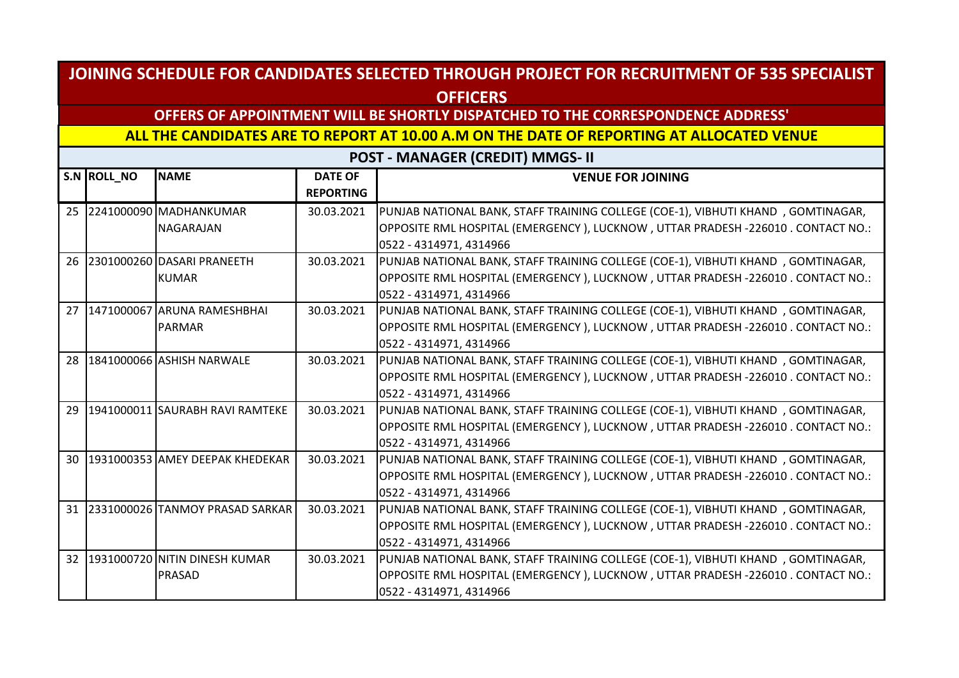## **OFFERS OF APPOINTMENT WILL BE SHORTLY DISPATCHED TO THE CORRESPONDENCE ADDRESS'**

**ALL THE CANDIDATES ARE TO REPORT AT 10.00 A.M ON THE DATE OF REPORTING AT ALLOCATED VENUE** 

|                 | S.N ROLL NO | <b>NAME</b>                        | <b>DATE OF</b><br><b>REPORTING</b> | <b>VENUE FOR JOINING</b>                                                         |
|-----------------|-------------|------------------------------------|------------------------------------|----------------------------------------------------------------------------------|
|                 |             | 25 2241000090 MADHANKUMAR          | 30.03.2021                         | PUNJAB NATIONAL BANK, STAFF TRAINING COLLEGE (COE-1), VIBHUTI KHAND, GOMTINAGAR, |
|                 |             | <b>NAGARAJAN</b>                   |                                    | OPPOSITE RML HOSPITAL (EMERGENCY), LUCKNOW, UTTAR PRADESH -226010. CONTACT NO.:  |
|                 |             |                                    |                                    | 0522 - 4314971, 4314966                                                          |
|                 |             | 26 2301000260 DASARI PRANEETH      | 30.03.2021                         | PUNJAB NATIONAL BANK, STAFF TRAINING COLLEGE (COE-1), VIBHUTI KHAND, GOMTINAGAR, |
|                 |             | <b>KUMAR</b>                       |                                    | OPPOSITE RML HOSPITAL (EMERGENCY), LUCKNOW, UTTAR PRADESH -226010. CONTACT NO.:  |
|                 |             |                                    |                                    | 0522 - 4314971, 4314966                                                          |
| 27              |             | 1471000067 ARUNA RAMESHBHAI        | 30.03.2021                         | PUNJAB NATIONAL BANK, STAFF TRAINING COLLEGE (COE-1), VIBHUTI KHAND, GOMTINAGAR, |
|                 |             | <b>PARMAR</b>                      |                                    | OPPOSITE RML HOSPITAL (EMERGENCY), LUCKNOW, UTTAR PRADESH -226010. CONTACT NO.:  |
|                 |             |                                    |                                    | 0522 - 4314971, 4314966                                                          |
| 28              |             | 1841000066 ASHISH NARWALE          | 30.03.2021                         | PUNJAB NATIONAL BANK, STAFF TRAINING COLLEGE (COE-1), VIBHUTI KHAND, GOMTINAGAR, |
|                 |             |                                    |                                    | OPPOSITE RML HOSPITAL (EMERGENCY), LUCKNOW, UTTAR PRADESH -226010. CONTACT NO.:  |
|                 |             |                                    |                                    | 0522 - 4314971, 4314966                                                          |
| 29              |             | 1941000011 SAURABH RAVI RAMTEKE    | 30.03.2021                         | PUNJAB NATIONAL BANK, STAFF TRAINING COLLEGE (COE-1), VIBHUTI KHAND, GOMTINAGAR, |
|                 |             |                                    |                                    | OPPOSITE RML HOSPITAL (EMERGENCY), LUCKNOW, UTTAR PRADESH -226010. CONTACT NO.:  |
|                 |             |                                    |                                    | 0522 - 4314971, 4314966                                                          |
| 30              |             | 1931000353 AMEY DEEPAK KHEDEKAR    | 30.03.2021                         | PUNJAB NATIONAL BANK, STAFF TRAINING COLLEGE (COE-1), VIBHUTI KHAND, GOMTINAGAR, |
|                 |             |                                    |                                    | OPPOSITE RML HOSPITAL (EMERGENCY), LUCKNOW, UTTAR PRADESH -226010. CONTACT NO.:  |
|                 |             |                                    |                                    | 0522 - 4314971, 4314966                                                          |
|                 |             | 31 2331000026 TANMOY PRASAD SARKAR | 30.03.2021                         | PUNJAB NATIONAL BANK, STAFF TRAINING COLLEGE (COE-1), VIBHUTI KHAND, GOMTINAGAR, |
|                 |             |                                    |                                    | OPPOSITE RML HOSPITAL (EMERGENCY), LUCKNOW, UTTAR PRADESH -226010. CONTACT NO.:  |
|                 |             |                                    |                                    | 0522 - 4314971, 4314966                                                          |
| 32 <sup>2</sup> |             | 1931000720 NITIN DINESH KUMAR      | 30.03.2021                         | PUNJAB NATIONAL BANK, STAFF TRAINING COLLEGE (COE-1), VIBHUTI KHAND, GOMTINAGAR, |
|                 |             | PRASAD                             |                                    | OPPOSITE RML HOSPITAL (EMERGENCY), LUCKNOW, UTTAR PRADESH -226010. CONTACT NO.:  |
|                 |             |                                    |                                    | 0522 - 4314971, 4314966                                                          |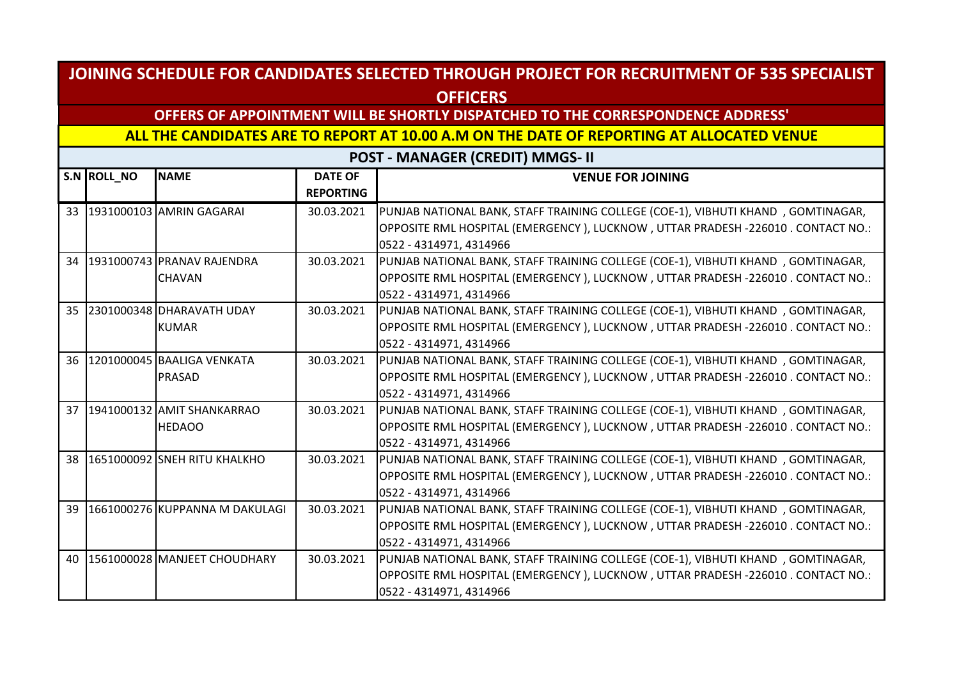## **OFFERS OF APPOINTMENT WILL BE SHORTLY DISPATCHED TO THE CORRESPONDENCE ADDRESS'**

**ALL THE CANDIDATES ARE TO REPORT AT 10.00 A.M ON THE DATE OF REPORTING AT ALLOCATED VENUE** 

|    | S.N ROLL_NO | <b>NAME</b>                    | <b>DATE OF</b><br><b>REPORTING</b> | <b>VENUE FOR JOINING</b>                                                         |
|----|-------------|--------------------------------|------------------------------------|----------------------------------------------------------------------------------|
|    |             | 33 1931000103 AMRIN GAGARAI    | 30.03.2021                         | PUNJAB NATIONAL BANK, STAFF TRAINING COLLEGE (COE-1), VIBHUTI KHAND, GOMTINAGAR, |
|    |             |                                |                                    | OPPOSITE RML HOSPITAL (EMERGENCY), LUCKNOW, UTTAR PRADESH -226010. CONTACT NO.:  |
|    |             |                                |                                    | 0522 - 4314971, 4314966                                                          |
|    |             | 34 1931000743 PRANAV RAJENDRA  | 30.03.2021                         | PUNJAB NATIONAL BANK, STAFF TRAINING COLLEGE (COE-1), VIBHUTI KHAND, GOMTINAGAR, |
|    |             | <b>CHAVAN</b>                  |                                    | OPPOSITE RML HOSPITAL (EMERGENCY), LUCKNOW, UTTAR PRADESH -226010. CONTACT NO.:  |
|    |             |                                |                                    | 0522 - 4314971, 4314966                                                          |
| 35 |             | 2301000348 DHARAVATH UDAY      | 30.03.2021                         | PUNJAB NATIONAL BANK, STAFF TRAINING COLLEGE (COE-1), VIBHUTI KHAND, GOMTINAGAR, |
|    |             | <b>KUMAR</b>                   |                                    | OPPOSITE RML HOSPITAL (EMERGENCY), LUCKNOW, UTTAR PRADESH -226010. CONTACT NO.:  |
|    |             |                                |                                    | 0522 - 4314971, 4314966                                                          |
| 36 |             | 1201000045 BAALIGA VENKATA     | 30.03.2021                         | PUNJAB NATIONAL BANK, STAFF TRAINING COLLEGE (COE-1), VIBHUTI KHAND, GOMTINAGAR, |
|    |             | PRASAD                         |                                    | OPPOSITE RML HOSPITAL (EMERGENCY), LUCKNOW, UTTAR PRADESH -226010. CONTACT NO.:  |
|    |             |                                |                                    | 0522 - 4314971, 4314966                                                          |
| 37 |             | 1941000132 AMIT SHANKARRAO     | 30.03.2021                         | PUNJAB NATIONAL BANK, STAFF TRAINING COLLEGE (COE-1), VIBHUTI KHAND, GOMTINAGAR, |
|    |             | <b>HEDAOO</b>                  |                                    | OPPOSITE RML HOSPITAL (EMERGENCY), LUCKNOW, UTTAR PRADESH -226010. CONTACT NO.:  |
|    |             |                                |                                    | 0522 - 4314971, 4314966                                                          |
| 38 |             | 1651000092 SNEH RITU KHALKHO   | 30.03.2021                         | PUNJAB NATIONAL BANK, STAFF TRAINING COLLEGE (COE-1), VIBHUTI KHAND, GOMTINAGAR, |
|    |             |                                |                                    | OPPOSITE RML HOSPITAL (EMERGENCY), LUCKNOW, UTTAR PRADESH -226010 . CONTACT NO.: |
|    |             |                                |                                    | 0522 - 4314971, 4314966                                                          |
| 39 |             | 1661000276 KUPPANNA M DAKULAGI | 30.03.2021                         | PUNJAB NATIONAL BANK, STAFF TRAINING COLLEGE (COE-1), VIBHUTI KHAND, GOMTINAGAR, |
|    |             |                                |                                    | OPPOSITE RML HOSPITAL (EMERGENCY), LUCKNOW, UTTAR PRADESH -226010. CONTACT NO.:  |
|    |             |                                |                                    | 0522 - 4314971, 4314966                                                          |
| 40 |             | 1561000028 MANJEET CHOUDHARY   | 30.03.2021                         | PUNJAB NATIONAL BANK, STAFF TRAINING COLLEGE (COE-1), VIBHUTI KHAND, GOMTINAGAR, |
|    |             |                                |                                    | OPPOSITE RML HOSPITAL (EMERGENCY), LUCKNOW, UTTAR PRADESH -226010 . CONTACT NO.: |
|    |             |                                |                                    | 0522 - 4314971, 4314966                                                          |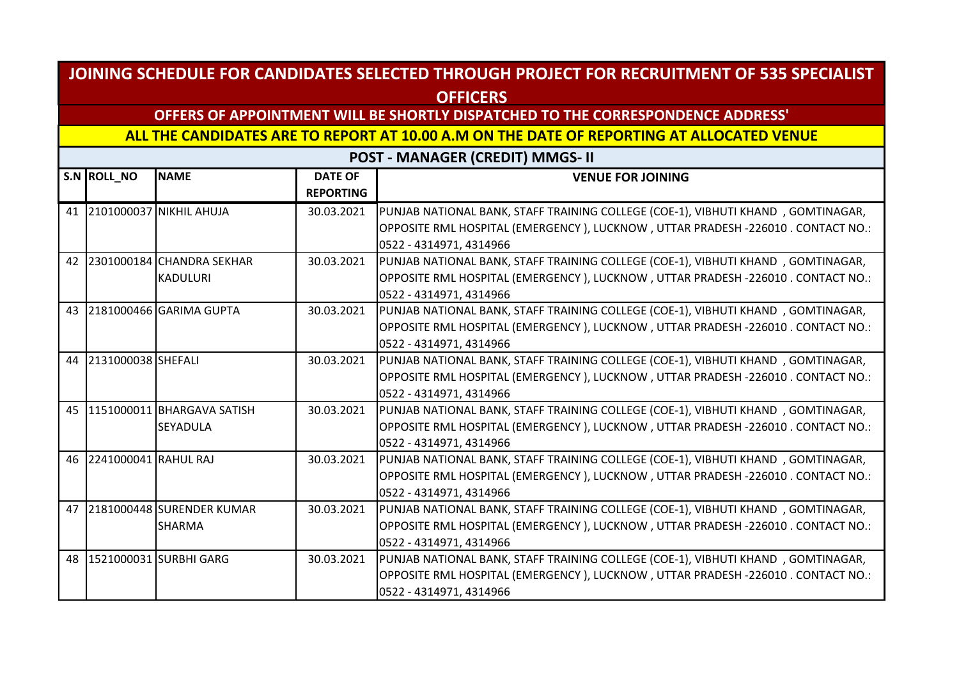## **OFFERS OF APPOINTMENT WILL BE SHORTLY DISPATCHED TO THE CORRESPONDENCE ADDRESS'**

**ALL THE CANDIDATES ARE TO REPORT AT 10.00 A.M ON THE DATE OF REPORTING AT ALLOCATED VENUE** 

|    | S.N ROLL_NO             | <b>NAME</b>                                     | <b>DATE OF</b><br><b>REPORTING</b> | <b>VENUE FOR JOINING</b>                                                                                                                                             |
|----|-------------------------|-------------------------------------------------|------------------------------------|----------------------------------------------------------------------------------------------------------------------------------------------------------------------|
|    |                         | 41 2101000037 NIKHIL AHUJA                      | 30.03.2021                         | PUNJAB NATIONAL BANK, STAFF TRAINING COLLEGE (COE-1), VIBHUTI KHAND, GOMTINAGAR,<br>OPPOSITE RML HOSPITAL (EMERGENCY), LUCKNOW, UTTAR PRADESH -226010. CONTACT NO.:  |
|    |                         |                                                 |                                    | 0522 - 4314971, 4314966                                                                                                                                              |
|    |                         | 42 2301000184 CHANDRA SEKHAR<br><b>KADULURI</b> | 30.03.2021                         | PUNJAB NATIONAL BANK, STAFF TRAINING COLLEGE (COE-1), VIBHUTI KHAND, GOMTINAGAR,<br>OPPOSITE RML HOSPITAL (EMERGENCY), LUCKNOW, UTTAR PRADESH -226010 . CONTACT NO.: |
|    |                         |                                                 |                                    | 0522 - 4314971, 4314966                                                                                                                                              |
| 43 |                         | 2181000466 GARIMA GUPTA                         | 30.03.2021                         | PUNJAB NATIONAL BANK, STAFF TRAINING COLLEGE (COE-1), VIBHUTI KHAND, GOMTINAGAR,                                                                                     |
|    |                         |                                                 |                                    | OPPOSITE RML HOSPITAL (EMERGENCY), LUCKNOW, UTTAR PRADESH -226010. CONTACT NO.:                                                                                      |
|    |                         |                                                 |                                    | 0522 - 4314971, 4314966                                                                                                                                              |
|    | 44 2131000038 SHEFALI   |                                                 | 30.03.2021                         | PUNJAB NATIONAL BANK, STAFF TRAINING COLLEGE (COE-1), VIBHUTI KHAND, GOMTINAGAR,                                                                                     |
|    |                         |                                                 |                                    | OPPOSITE RML HOSPITAL (EMERGENCY ), LUCKNOW , UTTAR PRADESH -226010 . CONTACT NO.:                                                                                   |
|    |                         |                                                 |                                    | 0522 - 4314971, 4314966                                                                                                                                              |
|    |                         | 45 1151000011 BHARGAVA SATISH                   | 30.03.2021                         | PUNJAB NATIONAL BANK, STAFF TRAINING COLLEGE (COE-1), VIBHUTI KHAND, GOMTINAGAR,                                                                                     |
|    |                         | <b>SEYADULA</b>                                 |                                    | OPPOSITE RML HOSPITAL (EMERGENCY), LUCKNOW, UTTAR PRADESH -226010. CONTACT NO.:                                                                                      |
|    |                         |                                                 |                                    | 0522 - 4314971, 4314966                                                                                                                                              |
|    | 46 2241000041 RAHUL RAJ |                                                 | 30.03.2021                         | PUNJAB NATIONAL BANK, STAFF TRAINING COLLEGE (COE-1), VIBHUTI KHAND, GOMTINAGAR,                                                                                     |
|    |                         |                                                 |                                    | OPPOSITE RML HOSPITAL (EMERGENCY), LUCKNOW, UTTAR PRADESH -226010 . CONTACT NO.:                                                                                     |
|    |                         |                                                 |                                    | 0522 - 4314971, 4314966                                                                                                                                              |
| 47 |                         | 2181000448 SURENDER KUMAR                       | 30.03.2021                         | PUNJAB NATIONAL BANK, STAFF TRAINING COLLEGE (COE-1), VIBHUTI KHAND, GOMTINAGAR,                                                                                     |
|    |                         | SHARMA                                          |                                    | OPPOSITE RML HOSPITAL (EMERGENCY), LUCKNOW, UTTAR PRADESH -226010. CONTACT NO.:                                                                                      |
|    |                         |                                                 |                                    | 0522 - 4314971, 4314966                                                                                                                                              |
|    |                         | 48 1521000031 SURBHI GARG                       | 30.03.2021                         | PUNJAB NATIONAL BANK, STAFF TRAINING COLLEGE (COE-1), VIBHUTI KHAND, GOMTINAGAR,                                                                                     |
|    |                         |                                                 |                                    | OPPOSITE RML HOSPITAL (EMERGENCY), LUCKNOW, UTTAR PRADESH -226010 . CONTACT NO.:                                                                                     |
|    |                         |                                                 |                                    | 0522 - 4314971, 4314966                                                                                                                                              |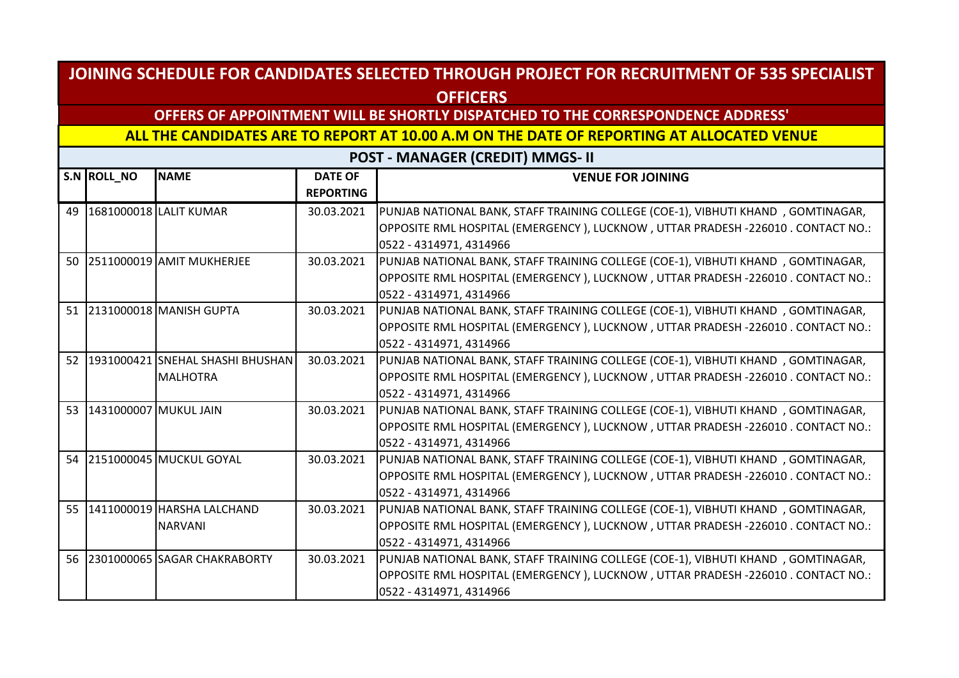## **OFFERS OF APPOINTMENT WILL BE SHORTLY DISPATCHED TO THE CORRESPONDENCE ADDRESS'**

**ALL THE CANDIDATES ARE TO REPORT AT 10.00 A.M ON THE DATE OF REPORTING AT ALLOCATED VENUE** 

|                 | S.N ROLL_NO           | <b>NAME</b>                                            | <b>DATE OF</b><br><b>REPORTING</b> | <b>VENUE FOR JOINING</b>                                                                                                                                                                        |
|-----------------|-----------------------|--------------------------------------------------------|------------------------------------|-------------------------------------------------------------------------------------------------------------------------------------------------------------------------------------------------|
| 49              |                       | 1681000018 LALIT KUMAR                                 | 30.03.2021                         | PUNJAB NATIONAL BANK, STAFF TRAINING COLLEGE (COE-1), VIBHUTI KHAND, GOMTINAGAR,<br>OPPOSITE RML HOSPITAL (EMERGENCY), LUCKNOW, UTTAR PRADESH -226010. CONTACT NO.:<br>0522 - 4314971, 4314966  |
|                 |                       | 50 2511000019 AMIT MUKHERJEE                           | 30.03.2021                         | PUNJAB NATIONAL BANK, STAFF TRAINING COLLEGE (COE-1), VIBHUTI KHAND, GOMTINAGAR,<br>OPPOSITE RML HOSPITAL (EMERGENCY), LUCKNOW, UTTAR PRADESH -226010 . CONTACT NO.:<br>0522 - 4314971, 4314966 |
|                 |                       | 51 2131000018 MANISH GUPTA                             | 30.03.2021                         | PUNJAB NATIONAL BANK, STAFF TRAINING COLLEGE (COE-1), VIBHUTI KHAND, GOMTINAGAR,<br>OPPOSITE RML HOSPITAL (EMERGENCY), LUCKNOW, UTTAR PRADESH -226010. CONTACT NO.:<br>0522 - 4314971, 4314966  |
|                 |                       | 52 1931000421 SNEHAL SHASHI BHUSHAN<br><b>MALHOTRA</b> | 30.03.2021                         | PUNJAB NATIONAL BANK, STAFF TRAINING COLLEGE (COE-1), VIBHUTI KHAND, GOMTINAGAR,<br>OPPOSITE RML HOSPITAL (EMERGENCY), LUCKNOW, UTTAR PRADESH -226010. CONTACT NO.:<br>0522 - 4314971, 4314966  |
| 53              | 1431000007 MUKUL JAIN |                                                        | 30.03.2021                         | PUNJAB NATIONAL BANK, STAFF TRAINING COLLEGE (COE-1), VIBHUTI KHAND, GOMTINAGAR,<br>OPPOSITE RML HOSPITAL (EMERGENCY), LUCKNOW, UTTAR PRADESH -226010 . CONTACT NO.:<br>0522 - 4314971, 4314966 |
| 54              |                       | 2151000045 MUCKUL GOYAL                                | 30.03.2021                         | PUNJAB NATIONAL BANK, STAFF TRAINING COLLEGE (COE-1), VIBHUTI KHAND, GOMTINAGAR,<br>OPPOSITE RML HOSPITAL (EMERGENCY), LUCKNOW, UTTAR PRADESH -226010. CONTACT NO.:<br>0522 - 4314971, 4314966  |
| 55 <sub>1</sub> |                       | 1411000019 HARSHA LALCHAND<br><b>NARVANI</b>           | 30.03.2021                         | PUNJAB NATIONAL BANK, STAFF TRAINING COLLEGE (COE-1), VIBHUTI KHAND, GOMTINAGAR,<br>OPPOSITE RML HOSPITAL (EMERGENCY), LUCKNOW, UTTAR PRADESH -226010. CONTACT NO.:<br>0522 - 4314971, 4314966  |
|                 |                       | 56 2301000065 SAGAR CHAKRABORTY                        | 30.03.2021                         | PUNJAB NATIONAL BANK, STAFF TRAINING COLLEGE (COE-1), VIBHUTI KHAND, GOMTINAGAR,<br>OPPOSITE RML HOSPITAL (EMERGENCY), LUCKNOW, UTTAR PRADESH -226010 . CONTACT NO.:<br>0522 - 4314971, 4314966 |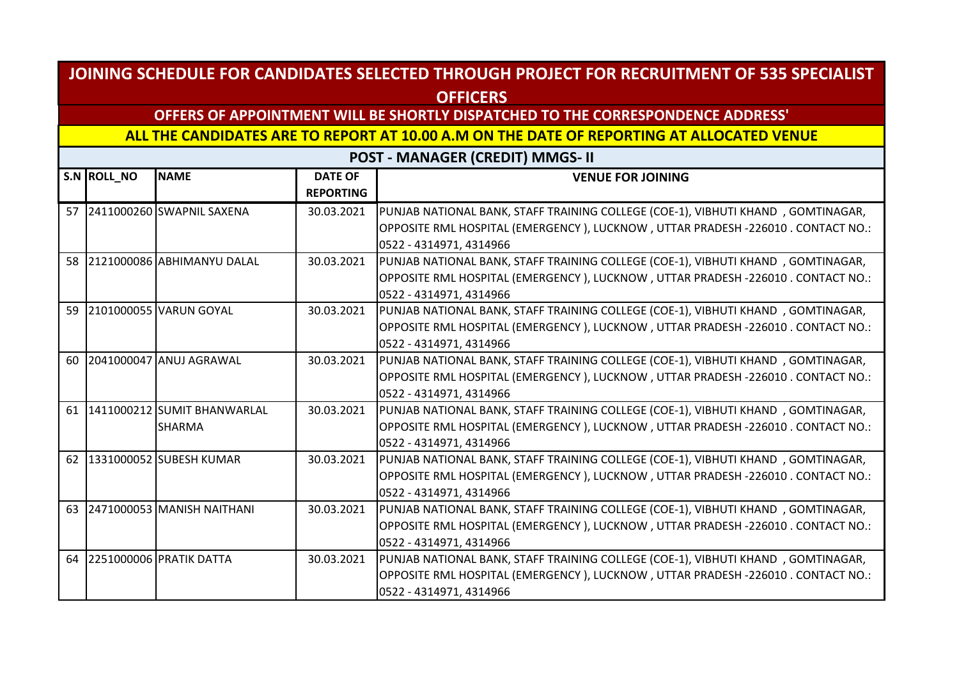## **OFFERS OF APPOINTMENT WILL BE SHORTLY DISPATCHED TO THE CORRESPONDENCE ADDRESS'**

**ALL THE CANDIDATES ARE TO REPORT AT 10.00 A.M ON THE DATE OF REPORTING AT ALLOCATED VENUE** 

| S.N ROLL_NO | <b>NAME</b>                    | <b>DATE OF</b>   | <b>VENUE FOR JOINING</b>                                                         |
|-------------|--------------------------------|------------------|----------------------------------------------------------------------------------|
|             |                                | <b>REPORTING</b> |                                                                                  |
|             | 57 2411000260 SWAPNIL SAXENA   | 30.03.2021       | PUNJAB NATIONAL BANK, STAFF TRAINING COLLEGE (COE-1), VIBHUTI KHAND, GOMTINAGAR, |
|             |                                |                  | OPPOSITE RML HOSPITAL (EMERGENCY), LUCKNOW, UTTAR PRADESH -226010. CONTACT NO.:  |
|             |                                |                  | 0522 - 4314971, 4314966                                                          |
|             | 58 2121000086 ABHIMANYU DALAL  | 30.03.2021       | PUNJAB NATIONAL BANK, STAFF TRAINING COLLEGE (COE-1), VIBHUTI KHAND, GOMTINAGAR, |
|             |                                |                  | OPPOSITE RML HOSPITAL (EMERGENCY), LUCKNOW, UTTAR PRADESH -226010. CONTACT NO.:  |
|             |                                |                  | 0522 - 4314971, 4314966                                                          |
|             | 59 2101000055 VARUN GOYAL      | 30.03.2021       | PUNJAB NATIONAL BANK, STAFF TRAINING COLLEGE (COE-1), VIBHUTI KHAND, GOMTINAGAR, |
|             |                                |                  | OPPOSITE RML HOSPITAL (EMERGENCY), LUCKNOW, UTTAR PRADESH -226010. CONTACT NO.:  |
|             |                                |                  | 0522 - 4314971, 4314966                                                          |
|             | 60 2041000047 ANUJ AGRAWAL     | 30.03.2021       | PUNJAB NATIONAL BANK, STAFF TRAINING COLLEGE (COE-1), VIBHUTI KHAND, GOMTINAGAR, |
|             |                                |                  | OPPOSITE RML HOSPITAL (EMERGENCY), LUCKNOW, UTTAR PRADESH -226010. CONTACT NO.:  |
|             |                                |                  | 0522 - 4314971, 4314966                                                          |
|             | 61 1411000212 SUMIT BHANWARLAL | 30.03.2021       | PUNJAB NATIONAL BANK, STAFF TRAINING COLLEGE (COE-1), VIBHUTI KHAND, GOMTINAGAR, |
|             | SHARMA                         |                  | OPPOSITE RML HOSPITAL (EMERGENCY), LUCKNOW, UTTAR PRADESH -226010. CONTACT NO.:  |
|             |                                |                  | 0522 - 4314971, 4314966                                                          |
|             | 62 1331000052 SUBESH KUMAR     | 30.03.2021       | PUNJAB NATIONAL BANK, STAFF TRAINING COLLEGE (COE-1), VIBHUTI KHAND, GOMTINAGAR, |
|             |                                |                  | OPPOSITE RML HOSPITAL (EMERGENCY), LUCKNOW, UTTAR PRADESH -226010. CONTACT NO.:  |
|             |                                |                  | 0522 - 4314971, 4314966                                                          |
|             | 63 2471000053 MANISH NAITHANI  | 30.03.2021       | PUNJAB NATIONAL BANK, STAFF TRAINING COLLEGE (COE-1), VIBHUTI KHAND, GOMTINAGAR, |
|             |                                |                  | OPPOSITE RML HOSPITAL (EMERGENCY), LUCKNOW, UTTAR PRADESH -226010. CONTACT NO.:  |
|             |                                |                  | 0522 - 4314971, 4314966                                                          |
|             | 64 2251000006 PRATIK DATTA     | 30.03.2021       | PUNJAB NATIONAL BANK, STAFF TRAINING COLLEGE (COE-1), VIBHUTI KHAND, GOMTINAGAR, |
|             |                                |                  | OPPOSITE RML HOSPITAL (EMERGENCY), LUCKNOW, UTTAR PRADESH -226010. CONTACT NO.:  |
|             |                                |                  | 0522 - 4314971, 4314966                                                          |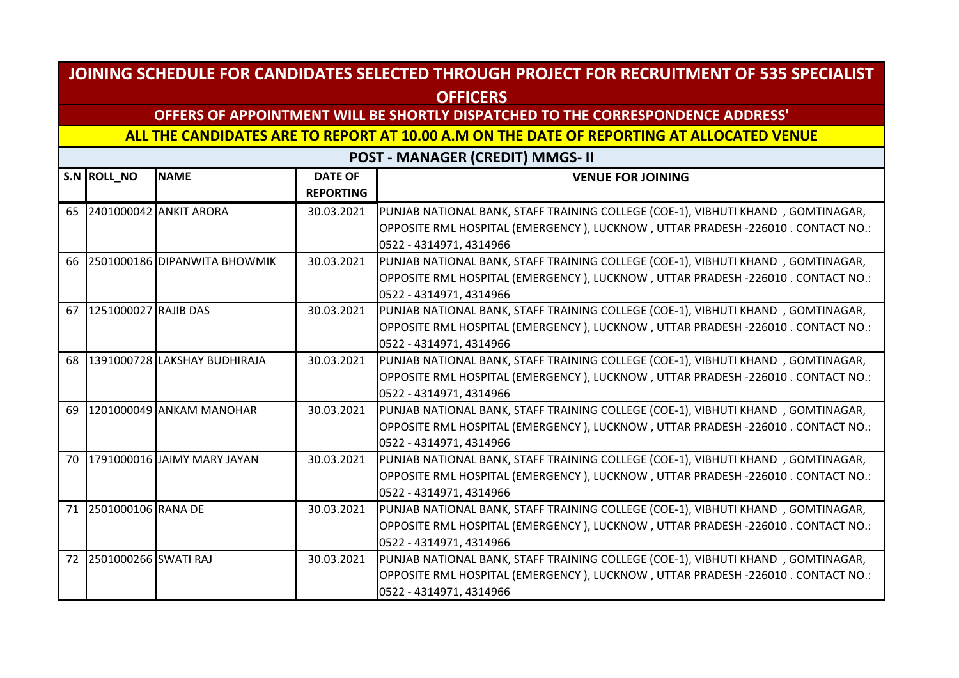## **OFFERS OF APPOINTMENT WILL BE SHORTLY DISPATCHED TO THE CORRESPONDENCE ADDRESS'**

**ALL THE CANDIDATES ARE TO REPORT AT 10.00 A.M ON THE DATE OF REPORTING AT ALLOCATED VENUE** 

|    | S.N ROLL_NO             | <b>NAME</b>                     | <b>DATE OF</b><br><b>REPORTING</b> | <b>VENUE FOR JOINING</b>                                                           |
|----|-------------------------|---------------------------------|------------------------------------|------------------------------------------------------------------------------------|
| 65 |                         | 2401000042 ANKIT ARORA          | 30.03.2021                         | PUNJAB NATIONAL BANK, STAFF TRAINING COLLEGE (COE-1), VIBHUTI KHAND, GOMTINAGAR,   |
|    |                         |                                 |                                    | OPPOSITE RML HOSPITAL (EMERGENCY ), LUCKNOW , UTTAR PRADESH -226010 . CONTACT NO.: |
|    |                         |                                 |                                    | 0522 - 4314971, 4314966                                                            |
|    |                         | 66 2501000186 DIPANWITA BHOWMIK | 30.03.2021                         | PUNJAB NATIONAL BANK, STAFF TRAINING COLLEGE (COE-1), VIBHUTI KHAND, GOMTINAGAR,   |
|    |                         |                                 |                                    | OPPOSITE RML HOSPITAL (EMERGENCY), LUCKNOW, UTTAR PRADESH -226010 . CONTACT NO.:   |
|    |                         |                                 |                                    | 0522 - 4314971, 4314966                                                            |
| 67 | 1251000027 RAJIB DAS    |                                 | 30.03.2021                         | PUNJAB NATIONAL BANK, STAFF TRAINING COLLEGE (COE-1), VIBHUTI KHAND, GOMTINAGAR,   |
|    |                         |                                 |                                    | OPPOSITE RML HOSPITAL (EMERGENCY), LUCKNOW, UTTAR PRADESH -226010 . CONTACT NO.:   |
|    |                         |                                 |                                    | 0522 - 4314971, 4314966                                                            |
|    |                         | 68 1391000728 LAKSHAY BUDHIRAJA | 30.03.2021                         | PUNJAB NATIONAL BANK, STAFF TRAINING COLLEGE (COE-1), VIBHUTI KHAND, GOMTINAGAR,   |
|    |                         |                                 |                                    | OPPOSITE RML HOSPITAL (EMERGENCY), LUCKNOW, UTTAR PRADESH -226010. CONTACT NO.:    |
|    |                         |                                 |                                    | 0522 - 4314971, 4314966                                                            |
| 69 |                         | 1201000049 ANKAM MANOHAR        | 30.03.2021                         | PUNJAB NATIONAL BANK, STAFF TRAINING COLLEGE (COE-1), VIBHUTI KHAND, GOMTINAGAR,   |
|    |                         |                                 |                                    | OPPOSITE RML HOSPITAL (EMERGENCY), LUCKNOW, UTTAR PRADESH -226010. CONTACT NO.:    |
|    |                         |                                 |                                    | 0522 - 4314971, 4314966                                                            |
|    |                         | 70 1791000016 JAIMY MARY JAYAN  | 30.03.2021                         | PUNJAB NATIONAL BANK, STAFF TRAINING COLLEGE (COE-1), VIBHUTI KHAND, GOMTINAGAR,   |
|    |                         |                                 |                                    | OPPOSITE RML HOSPITAL (EMERGENCY), LUCKNOW, UTTAR PRADESH -226010 . CONTACT NO.:   |
|    |                         |                                 |                                    | 0522 - 4314971, 4314966                                                            |
| 71 | 2501000106 RANA DE      |                                 | 30.03.2021                         | PUNJAB NATIONAL BANK, STAFF TRAINING COLLEGE (COE-1), VIBHUTI KHAND, GOMTINAGAR,   |
|    |                         |                                 |                                    | OPPOSITE RML HOSPITAL (EMERGENCY), LUCKNOW, UTTAR PRADESH -226010. CONTACT NO.:    |
|    |                         |                                 |                                    | 0522 - 4314971, 4314966                                                            |
|    | 72 2501000266 SWATI RAJ |                                 | 30.03.2021                         | PUNJAB NATIONAL BANK, STAFF TRAINING COLLEGE (COE-1), VIBHUTI KHAND, GOMTINAGAR,   |
|    |                         |                                 |                                    | OPPOSITE RML HOSPITAL (EMERGENCY), LUCKNOW, UTTAR PRADESH -226010 . CONTACT NO.:   |
|    |                         |                                 |                                    | 0522 - 4314971, 4314966                                                            |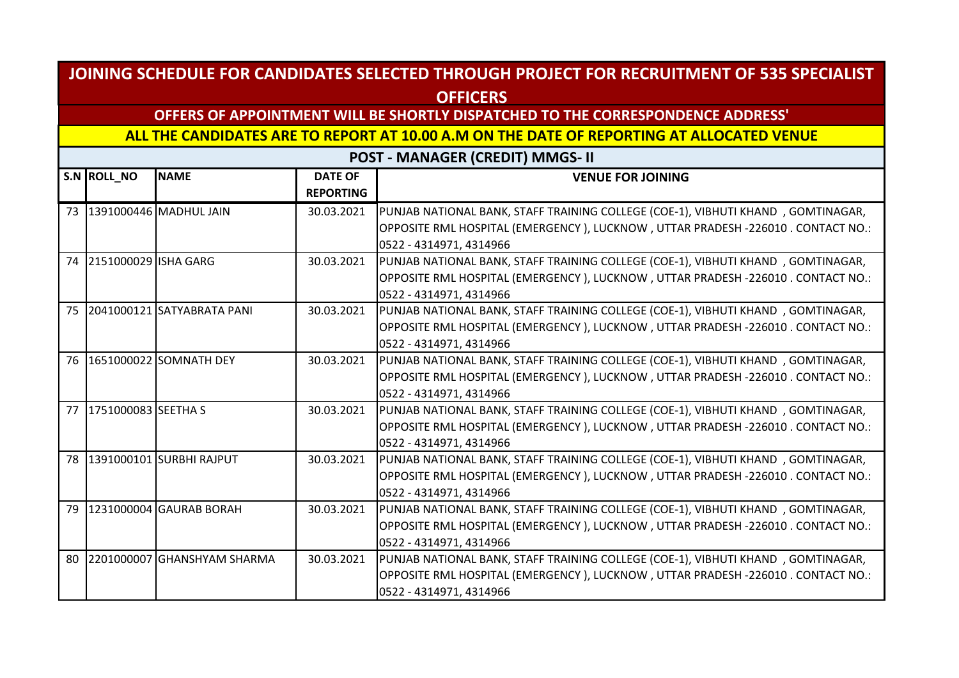## **OFFERS OF APPOINTMENT WILL BE SHORTLY DISPATCHED TO THE CORRESPONDENCE ADDRESS'**

**ALL THE CANDIDATES ARE TO REPORT AT 10.00 A.M ON THE DATE OF REPORTING AT ALLOCATED VENUE** 

|    | S.N ROLL_NO             | <b>NAME</b>                    | <b>DATE OF</b>   | <b>VENUE FOR JOINING</b>                                                         |
|----|-------------------------|--------------------------------|------------------|----------------------------------------------------------------------------------|
|    |                         |                                | <b>REPORTING</b> |                                                                                  |
|    |                         | 73 391000446 MADHUL JAIN       | 30.03.2021       | PUNJAB NATIONAL BANK, STAFF TRAINING COLLEGE (COE-1), VIBHUTI KHAND, GOMTINAGAR, |
|    |                         |                                |                  | OPPOSITE RML HOSPITAL (EMERGENCY), LUCKNOW, UTTAR PRADESH -226010. CONTACT NO.:  |
|    |                         |                                |                  | 0522 - 4314971, 4314966                                                          |
|    | 74 2151000029 ISHA GARG |                                | 30.03.2021       | PUNJAB NATIONAL BANK, STAFF TRAINING COLLEGE (COE-1), VIBHUTI KHAND, GOMTINAGAR, |
|    |                         |                                |                  | OPPOSITE RML HOSPITAL (EMERGENCY), LUCKNOW, UTTAR PRADESH -226010. CONTACT NO.:  |
|    |                         |                                |                  | 0522 - 4314971, 4314966                                                          |
|    |                         | 75 2041000121 SATYABRATA PANI  | 30.03.2021       | PUNJAB NATIONAL BANK, STAFF TRAINING COLLEGE (COE-1), VIBHUTI KHAND, GOMTINAGAR, |
|    |                         |                                |                  | OPPOSITE RML HOSPITAL (EMERGENCY), LUCKNOW, UTTAR PRADESH -226010. CONTACT NO.:  |
|    |                         |                                |                  | 0522 - 4314971, 4314966                                                          |
|    |                         | 76   1651000022   SOMNATH DEY  | 30.03.2021       | PUNJAB NATIONAL BANK, STAFF TRAINING COLLEGE (COE-1), VIBHUTI KHAND, GOMTINAGAR, |
|    |                         |                                |                  | OPPOSITE RML HOSPITAL (EMERGENCY), LUCKNOW, UTTAR PRADESH -226010. CONTACT NO.:  |
|    |                         |                                |                  | 0522 - 4314971, 4314966                                                          |
|    | 77 1751000083 SEETHA S  |                                | 30.03.2021       | PUNJAB NATIONAL BANK, STAFF TRAINING COLLEGE (COE-1), VIBHUTI KHAND, GOMTINAGAR, |
|    |                         |                                |                  | OPPOSITE RML HOSPITAL (EMERGENCY), LUCKNOW, UTTAR PRADESH -226010. CONTACT NO.:  |
|    |                         |                                |                  | 0522 - 4314971, 4314966                                                          |
| 78 |                         | 1391000101 SURBHI RAJPUT       | 30.03.2021       | PUNJAB NATIONAL BANK, STAFF TRAINING COLLEGE (COE-1), VIBHUTI KHAND, GOMTINAGAR, |
|    |                         |                                |                  | OPPOSITE RML HOSPITAL (EMERGENCY), LUCKNOW, UTTAR PRADESH -226010. CONTACT NO.:  |
|    |                         |                                |                  | 0522 - 4314971, 4314966                                                          |
| 79 |                         | 1231000004 GAURAB BORAH        | 30.03.2021       | PUNJAB NATIONAL BANK, STAFF TRAINING COLLEGE (COE-1), VIBHUTI KHAND, GOMTINAGAR, |
|    |                         |                                |                  | OPPOSITE RML HOSPITAL (EMERGENCY), LUCKNOW, UTTAR PRADESH -226010. CONTACT NO.:  |
|    |                         |                                |                  | 0522 - 4314971, 4314966                                                          |
|    |                         | 80 2201000007 GHANSHYAM SHARMA | 30.03.2021       | PUNJAB NATIONAL BANK, STAFF TRAINING COLLEGE (COE-1), VIBHUTI KHAND, GOMTINAGAR, |
|    |                         |                                |                  | OPPOSITE RML HOSPITAL (EMERGENCY), LUCKNOW, UTTAR PRADESH -226010. CONTACT NO.:  |
|    |                         |                                |                  | 0522 - 4314971, 4314966                                                          |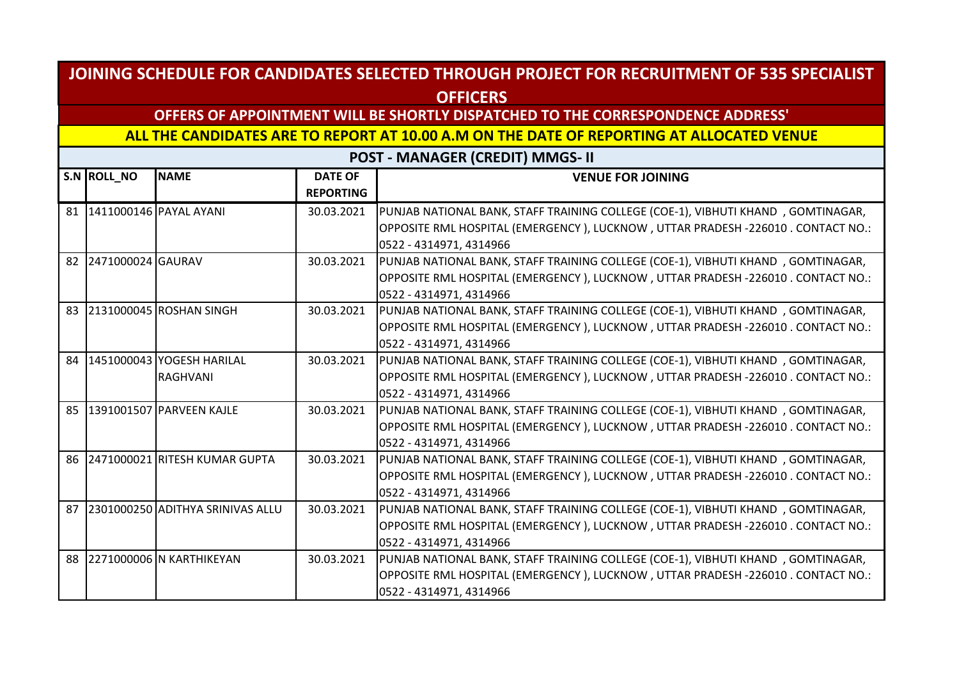## **OFFERS OF APPOINTMENT WILL BE SHORTLY DISPATCHED TO THE CORRESPONDENCE ADDRESS'**

**ALL THE CANDIDATES ARE TO REPORT AT 10.00 A.M ON THE DATE OF REPORTING AT ALLOCATED VENUE** 

|    | S.N ROLL_NO          | <b>NAME</b>                      | <b>DATE OF</b><br><b>REPORTING</b> | <b>VENUE FOR JOINING</b>                                                         |
|----|----------------------|----------------------------------|------------------------------------|----------------------------------------------------------------------------------|
|    |                      | 81 1411000146 PAYAL AYANI        | 30.03.2021                         | PUNJAB NATIONAL BANK, STAFF TRAINING COLLEGE (COE-1), VIBHUTI KHAND, GOMTINAGAR, |
|    |                      |                                  |                                    | OPPOSITE RML HOSPITAL (EMERGENCY), LUCKNOW, UTTAR PRADESH -226010. CONTACT NO.:  |
|    |                      |                                  |                                    | 0522 - 4314971, 4314966                                                          |
|    | 82 2471000024 GAURAV |                                  | 30.03.2021                         | PUNJAB NATIONAL BANK, STAFF TRAINING COLLEGE (COE-1), VIBHUTI KHAND, GOMTINAGAR, |
|    |                      |                                  |                                    | OPPOSITE RML HOSPITAL (EMERGENCY), LUCKNOW, UTTAR PRADESH -226010. CONTACT NO.:  |
|    |                      |                                  |                                    | 0522 - 4314971, 4314966                                                          |
| 83 |                      | 2131000045 ROSHAN SINGH          | 30.03.2021                         | PUNJAB NATIONAL BANK, STAFF TRAINING COLLEGE (COE-1), VIBHUTI KHAND, GOMTINAGAR, |
|    |                      |                                  |                                    | OPPOSITE RML HOSPITAL (EMERGENCY), LUCKNOW, UTTAR PRADESH -226010 . CONTACT NO.: |
|    |                      |                                  |                                    | 0522 - 4314971, 4314966                                                          |
| 84 |                      | 1451000043 YOGESH HARILAL        | 30.03.2021                         | PUNJAB NATIONAL BANK, STAFF TRAINING COLLEGE (COE-1), VIBHUTI KHAND, GOMTINAGAR, |
|    |                      | <b>RAGHVANI</b>                  |                                    | OPPOSITE RML HOSPITAL (EMERGENCY), LUCKNOW, UTTAR PRADESH -226010. CONTACT NO.:  |
|    |                      |                                  |                                    | 0522 - 4314971, 4314966                                                          |
|    |                      | 85 1391001507 PARVEEN KAJLE      | 30.03.2021                         | PUNJAB NATIONAL BANK, STAFF TRAINING COLLEGE (COE-1), VIBHUTI KHAND, GOMTINAGAR, |
|    |                      |                                  |                                    | OPPOSITE RML HOSPITAL (EMERGENCY), LUCKNOW, UTTAR PRADESH -226010 . CONTACT NO.: |
|    |                      |                                  |                                    | 0522 - 4314971, 4314966                                                          |
|    |                      | 86 2471000021 RITESH KUMAR GUPTA | 30.03.2021                         | PUNJAB NATIONAL BANK, STAFF TRAINING COLLEGE (COE-1), VIBHUTI KHAND, GOMTINAGAR, |
|    |                      |                                  |                                    | OPPOSITE RML HOSPITAL (EMERGENCY), LUCKNOW, UTTAR PRADESH -226010 . CONTACT NO.: |
|    |                      |                                  |                                    | 0522 - 4314971, 4314966                                                          |
| 87 |                      | 2301000250 ADITHYA SRINIVAS ALLU | 30.03.2021                         | PUNJAB NATIONAL BANK, STAFF TRAINING COLLEGE (COE-1), VIBHUTI KHAND, GOMTINAGAR, |
|    |                      |                                  |                                    | OPPOSITE RML HOSPITAL (EMERGENCY), LUCKNOW, UTTAR PRADESH -226010. CONTACT NO.:  |
|    |                      |                                  |                                    | 0522 - 4314971, 4314966                                                          |
|    |                      | 88 2271000006 N KARTHIKEYAN      | 30.03.2021                         | PUNJAB NATIONAL BANK, STAFF TRAINING COLLEGE (COE-1), VIBHUTI KHAND, GOMTINAGAR, |
|    |                      |                                  |                                    | OPPOSITE RML HOSPITAL (EMERGENCY), LUCKNOW, UTTAR PRADESH -226010 . CONTACT NO.: |
|    |                      |                                  |                                    | 0522 - 4314971, 4314966                                                          |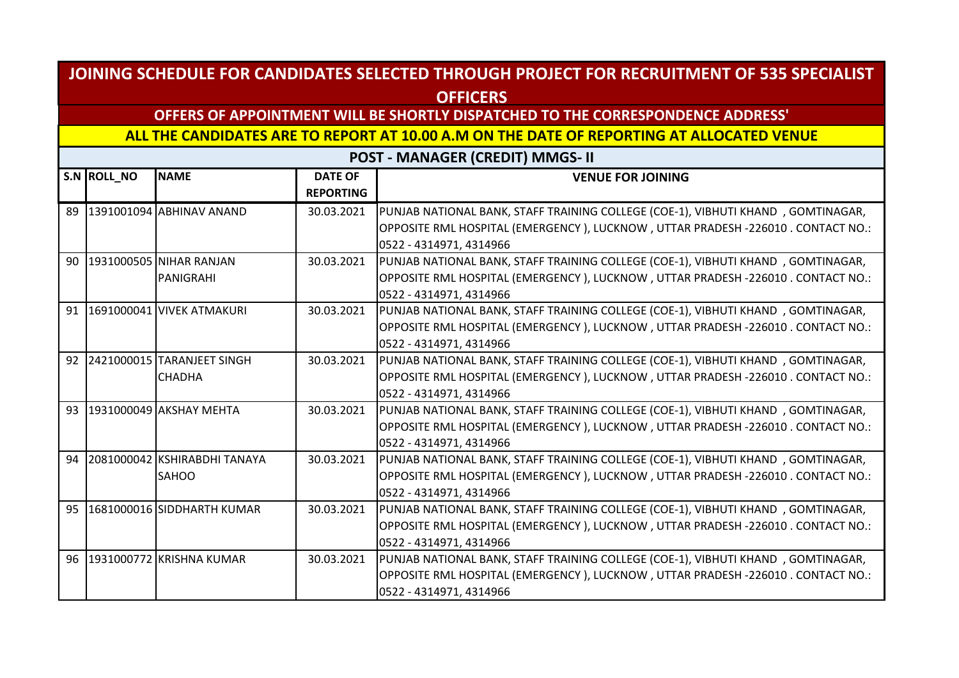## **OFFERS OF APPOINTMENT WILL BE SHORTLY DISPATCHED TO THE CORRESPONDENCE ADDRESS'**

**ALL THE CANDIDATES ARE TO REPORT AT 10.00 A.M ON THE DATE OF REPORTING AT ALLOCATED VENUE** 

|    | S.N ROLL_NO | <b>NAME</b>                  | <b>DATE OF</b><br><b>REPORTING</b> | <b>VENUE FOR JOINING</b>                                                         |
|----|-------------|------------------------------|------------------------------------|----------------------------------------------------------------------------------|
| 89 |             | 1391001094 ABHINAV ANAND     | 30.03.2021                         | PUNJAB NATIONAL BANK, STAFF TRAINING COLLEGE (COE-1), VIBHUTI KHAND, GOMTINAGAR, |
|    |             |                              |                                    | OPPOSITE RML HOSPITAL (EMERGENCY), LUCKNOW, UTTAR PRADESH -226010. CONTACT NO.:  |
|    |             |                              |                                    | 0522 - 4314971, 4314966                                                          |
|    |             | 90 1931000505 NIHAR RANJAN   | 30.03.2021                         | PUNJAB NATIONAL BANK, STAFF TRAINING COLLEGE (COE-1), VIBHUTI KHAND, GOMTINAGAR, |
|    |             | PANIGRAHI                    |                                    | OPPOSITE RML HOSPITAL (EMERGENCY), LUCKNOW, UTTAR PRADESH -226010. CONTACT NO.:  |
|    |             |                              |                                    | 0522 - 4314971, 4314966                                                          |
| 91 |             | 1691000041 VIVEK ATMAKURI    | 30.03.2021                         | PUNJAB NATIONAL BANK, STAFF TRAINING COLLEGE (COE-1), VIBHUTI KHAND, GOMTINAGAR, |
|    |             |                              |                                    | OPPOSITE RML HOSPITAL (EMERGENCY), LUCKNOW, UTTAR PRADESH -226010. CONTACT NO.:  |
|    |             |                              |                                    | 0522 - 4314971, 4314966                                                          |
| 92 |             |                              | 30.03.2021                         | PUNJAB NATIONAL BANK, STAFF TRAINING COLLEGE (COE-1), VIBHUTI KHAND, GOMTINAGAR, |
|    |             | <b>CHADHA</b>                |                                    | OPPOSITE RML HOSPITAL (EMERGENCY), LUCKNOW, UTTAR PRADESH -226010. CONTACT NO.:  |
|    |             |                              |                                    | 0522 - 4314971, 4314966                                                          |
|    |             | 93 1931000049 AKSHAY MEHTA   | 30.03.2021                         | PUNJAB NATIONAL BANK, STAFF TRAINING COLLEGE (COE-1), VIBHUTI KHAND, GOMTINAGAR, |
|    |             |                              |                                    | OPPOSITE RML HOSPITAL (EMERGENCY), LUCKNOW, UTTAR PRADESH -226010. CONTACT NO.:  |
|    |             |                              |                                    | 0522 - 4314971, 4314966                                                          |
| 94 |             | 2081000042 KSHIRABDHI TANAYA | 30.03.2021                         | PUNJAB NATIONAL BANK, STAFF TRAINING COLLEGE (COE-1), VIBHUTI KHAND, GOMTINAGAR, |
|    |             | <b>SAHOO</b>                 |                                    | OPPOSITE RML HOSPITAL (EMERGENCY), LUCKNOW, UTTAR PRADESH -226010. CONTACT NO.:  |
|    |             |                              |                                    | 0522 - 4314971, 4314966                                                          |
| 95 |             | 1681000016 SIDDHARTH KUMAR   | 30.03.2021                         | PUNJAB NATIONAL BANK, STAFF TRAINING COLLEGE (COE-1), VIBHUTI KHAND, GOMTINAGAR, |
|    |             |                              |                                    | OPPOSITE RML HOSPITAL (EMERGENCY), LUCKNOW, UTTAR PRADESH -226010. CONTACT NO.:  |
|    |             |                              |                                    | 0522 - 4314971, 4314966                                                          |
|    |             | 96 1931000772 KRISHNA KUMAR  | 30.03.2021                         | PUNJAB NATIONAL BANK, STAFF TRAINING COLLEGE (COE-1), VIBHUTI KHAND, GOMTINAGAR, |
|    |             |                              |                                    | OPPOSITE RML HOSPITAL (EMERGENCY), LUCKNOW, UTTAR PRADESH -226010 . CONTACT NO.: |
|    |             |                              |                                    | 0522 - 4314971, 4314966                                                          |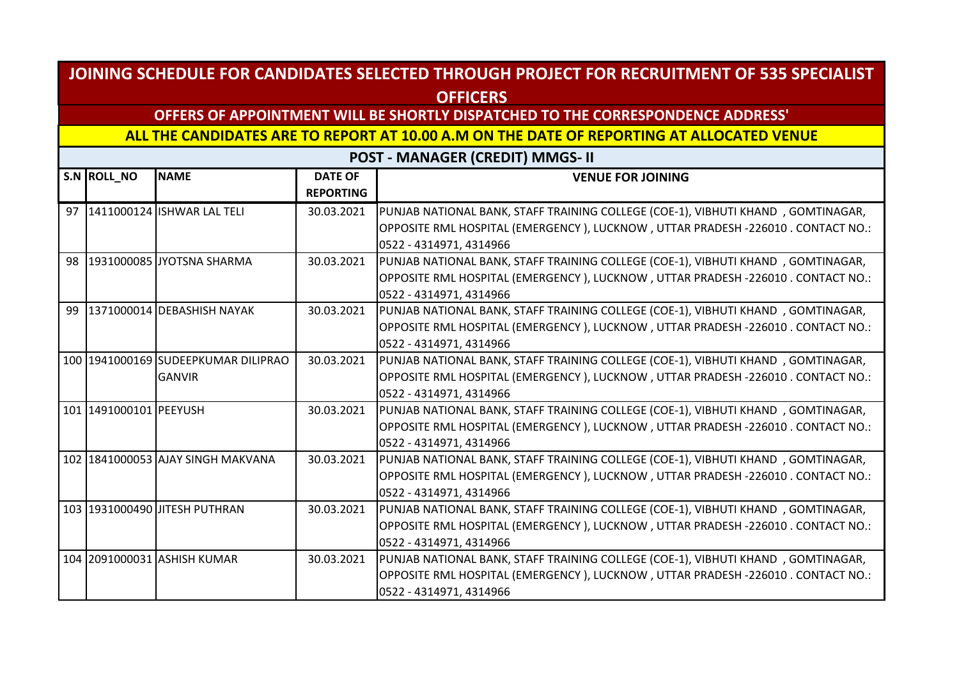## **OFFERS OF APPOINTMENT WILL BE SHORTLY DISPATCHED TO THE CORRESPONDENCE ADDRESS'**

**ALL THE CANDIDATES ARE TO REPORT AT 10.00 A.M ON THE DATE OF REPORTING AT ALLOCATED VENUE** 

|    | S.N ROLL_NO            | <b>NAME</b>                         | <b>DATE OF</b><br><b>REPORTING</b> | <b>VENUE FOR JOINING</b>                                                                                   |
|----|------------------------|-------------------------------------|------------------------------------|------------------------------------------------------------------------------------------------------------|
|    |                        | 97 1411000124 ISHWAR LAL TELI       | 30.03.2021                         | PUNJAB NATIONAL BANK, STAFF TRAINING COLLEGE (COE-1), VIBHUTI KHAND, GOMTINAGAR,                           |
|    |                        |                                     |                                    | OPPOSITE RML HOSPITAL (EMERGENCY), LUCKNOW, UTTAR PRADESH -226010. CONTACT NO.:<br>0522 - 4314971, 4314966 |
|    |                        | 98 1931000085 JYOTSNA SHARMA        | 30.03.2021                         | PUNJAB NATIONAL BANK, STAFF TRAINING COLLEGE (COE-1), VIBHUTI KHAND, GOMTINAGAR,                           |
|    |                        |                                     |                                    | OPPOSITE RML HOSPITAL (EMERGENCY), LUCKNOW, UTTAR PRADESH -226010. CONTACT NO.:<br>0522 - 4314971, 4314966 |
| 99 |                        | 1371000014 DEBASHISH NAYAK          | 30.03.2021                         | PUNJAB NATIONAL BANK, STAFF TRAINING COLLEGE (COE-1), VIBHUTI KHAND, GOMTINAGAR,                           |
|    |                        |                                     |                                    | OPPOSITE RML HOSPITAL (EMERGENCY), LUCKNOW, UTTAR PRADESH -226010. CONTACT NO.:                            |
|    |                        |                                     |                                    | 0522 - 4314971, 4314966                                                                                    |
|    |                        | 100 1941000169 SUDEEPKUMAR DILIPRAO | 30.03.2021                         | PUNJAB NATIONAL BANK, STAFF TRAINING COLLEGE (COE-1), VIBHUTI KHAND, GOMTINAGAR,                           |
|    |                        | <b>GANVIR</b>                       |                                    | OPPOSITE RML HOSPITAL (EMERGENCY), LUCKNOW, UTTAR PRADESH -226010 . CONTACT NO.:                           |
|    |                        |                                     |                                    | 0522 - 4314971, 4314966                                                                                    |
|    | 101 1491000101 PEEYUSH |                                     | 30.03.2021                         | PUNJAB NATIONAL BANK, STAFF TRAINING COLLEGE (COE-1), VIBHUTI KHAND, GOMTINAGAR,                           |
|    |                        |                                     |                                    | OPPOSITE RML HOSPITAL (EMERGENCY), LUCKNOW, UTTAR PRADESH -226010. CONTACT NO.:                            |
|    |                        |                                     |                                    | 0522 - 4314971, 4314966                                                                                    |
|    |                        | 102 1841000053 AJAY SINGH MAKVANA   | 30.03.2021                         | PUNJAB NATIONAL BANK, STAFF TRAINING COLLEGE (COE-1), VIBHUTI KHAND, GOMTINAGAR,                           |
|    |                        |                                     |                                    | OPPOSITE RML HOSPITAL (EMERGENCY), LUCKNOW, UTTAR PRADESH -226010 . CONTACT NO.:                           |
|    |                        |                                     |                                    | 0522 - 4314971, 4314966                                                                                    |
|    |                        | 103 1931000490 JITESH PUTHRAN       | 30.03.2021                         | PUNJAB NATIONAL BANK, STAFF TRAINING COLLEGE (COE-1), VIBHUTI KHAND, GOMTINAGAR,                           |
|    |                        |                                     |                                    | OPPOSITE RML HOSPITAL (EMERGENCY ), LUCKNOW , UTTAR PRADESH -226010 . CONTACT NO.:                         |
|    |                        |                                     |                                    | 0522 - 4314971, 4314966                                                                                    |
|    |                        | 104 2091000031 ASHISH KUMAR         | 30.03.2021                         | PUNJAB NATIONAL BANK, STAFF TRAINING COLLEGE (COE-1), VIBHUTI KHAND, GOMTINAGAR,                           |
|    |                        |                                     |                                    | OPPOSITE RML HOSPITAL (EMERGENCY), LUCKNOW, UTTAR PRADESH -226010 . CONTACT NO.:                           |
|    |                        |                                     |                                    | 0522 - 4314971, 4314966                                                                                    |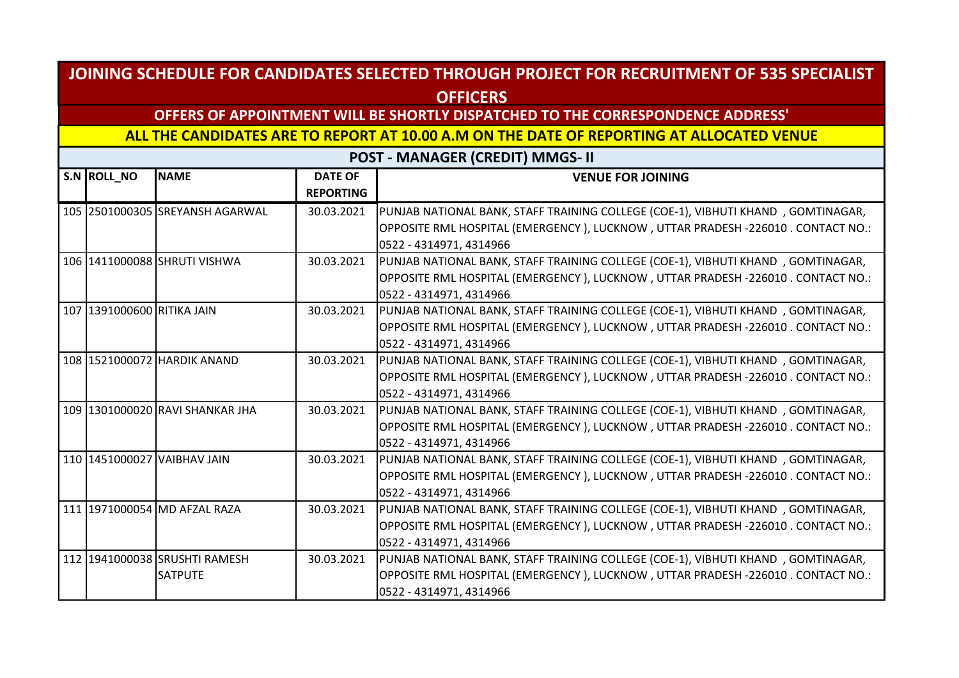## **OFFERS OF APPOINTMENT WILL BE SHORTLY DISPATCHED TO THE CORRESPONDENCE ADDRESS'**

**ALL THE CANDIDATES ARE TO REPORT AT 10.00 A.M ON THE DATE OF REPORTING AT ALLOCATED VENUE** 

| S.N ROLL_NO                | <b>NAME</b>                     | <b>DATE OF</b><br><b>REPORTING</b> | <b>VENUE FOR JOINING</b>                                                                                   |
|----------------------------|---------------------------------|------------------------------------|------------------------------------------------------------------------------------------------------------|
|                            | 105 2501000305 SREYANSH AGARWAL | 30.03.2021                         | PUNJAB NATIONAL BANK, STAFF TRAINING COLLEGE (COE-1), VIBHUTI KHAND, GOMTINAGAR,                           |
|                            |                                 |                                    | OPPOSITE RML HOSPITAL (EMERGENCY), LUCKNOW, UTTAR PRADESH -226010. CONTACT NO.:                            |
|                            |                                 |                                    | 0522 - 4314971, 4314966                                                                                    |
|                            | 106 1411000088 SHRUTI VISHWA    | 30.03.2021                         | PUNJAB NATIONAL BANK, STAFF TRAINING COLLEGE (COE-1), VIBHUTI KHAND, GOMTINAGAR,                           |
|                            |                                 |                                    | OPPOSITE RML HOSPITAL (EMERGENCY), LUCKNOW, UTTAR PRADESH -226010. CONTACT NO.:<br>0522 - 4314971, 4314966 |
| 107 1391000600 RITIKA JAIN |                                 | 30.03.2021                         | PUNJAB NATIONAL BANK, STAFF TRAINING COLLEGE (COE-1), VIBHUTI KHAND, GOMTINAGAR,                           |
|                            |                                 |                                    | OPPOSITE RML HOSPITAL (EMERGENCY), LUCKNOW, UTTAR PRADESH -226010. CONTACT NO.:                            |
|                            |                                 |                                    | 0522 - 4314971, 4314966                                                                                    |
|                            | 108 1521000072 HARDIK ANAND     | 30.03.2021                         | PUNJAB NATIONAL BANK, STAFF TRAINING COLLEGE (COE-1), VIBHUTI KHAND, GOMTINAGAR,                           |
|                            |                                 |                                    | OPPOSITE RML HOSPITAL (EMERGENCY), LUCKNOW, UTTAR PRADESH -226010. CONTACT NO.:                            |
|                            |                                 |                                    | 0522 - 4314971, 4314966                                                                                    |
|                            | 109 1301000020 RAVI SHANKAR JHA | 30.03.2021                         | PUNJAB NATIONAL BANK, STAFF TRAINING COLLEGE (COE-1), VIBHUTI KHAND, GOMTINAGAR,                           |
|                            |                                 |                                    | OPPOSITE RML HOSPITAL (EMERGENCY), LUCKNOW, UTTAR PRADESH -226010. CONTACT NO.:                            |
|                            |                                 |                                    | 0522 - 4314971, 4314966                                                                                    |
|                            | 110 1451000027 VAIBHAV JAIN     | 30.03.2021                         | PUNJAB NATIONAL BANK, STAFF TRAINING COLLEGE (COE-1), VIBHUTI KHAND, GOMTINAGAR,                           |
|                            |                                 |                                    | OPPOSITE RML HOSPITAL (EMERGENCY), LUCKNOW, UTTAR PRADESH -226010. CONTACT NO.:                            |
|                            |                                 |                                    | 0522 - 4314971, 4314966                                                                                    |
|                            | 111 1971000054 MD AFZAL RAZA    | 30.03.2021                         | PUNJAB NATIONAL BANK, STAFF TRAINING COLLEGE (COE-1), VIBHUTI KHAND, GOMTINAGAR,                           |
|                            |                                 |                                    | OPPOSITE RML HOSPITAL (EMERGENCY), LUCKNOW, UTTAR PRADESH -226010. CONTACT NO.:                            |
|                            |                                 |                                    | 0522 - 4314971, 4314966                                                                                    |
|                            | 112 1941000038 SRUSHTI RAMESH   | 30.03.2021                         | PUNJAB NATIONAL BANK, STAFF TRAINING COLLEGE (COE-1), VIBHUTI KHAND, GOMTINAGAR,                           |
|                            | <b>SATPUTE</b>                  |                                    | OPPOSITE RML HOSPITAL (EMERGENCY), LUCKNOW, UTTAR PRADESH -226010 . CONTACT NO.:                           |
|                            |                                 |                                    | 0522 - 4314971, 4314966                                                                                    |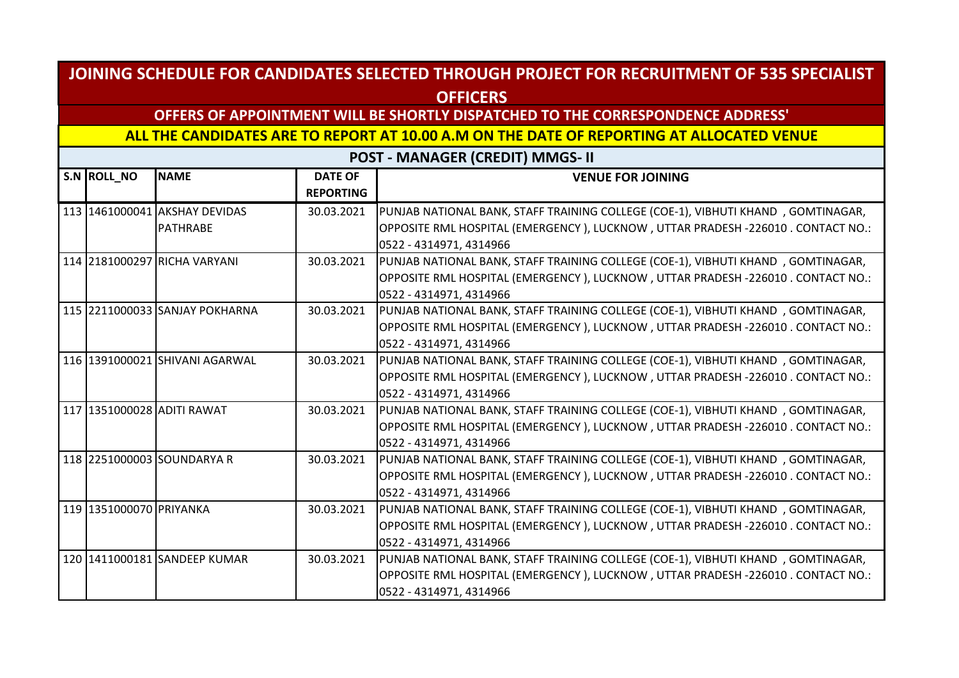## **OFFERS OF APPOINTMENT WILL BE SHORTLY DISPATCHED TO THE CORRESPONDENCE ADDRESS'**

**ALL THE CANDIDATES ARE TO REPORT AT 10.00 A.M ON THE DATE OF REPORTING AT ALLOCATED VENUE** 

| S.N ROLL_NO             | <b>NAME</b>                    | <b>DATE OF</b><br><b>REPORTING</b> | <b>VENUE FOR JOINING</b>                                                         |
|-------------------------|--------------------------------|------------------------------------|----------------------------------------------------------------------------------|
|                         | 113 1461000041 AKSHAY DEVIDAS  | 30.03.2021                         | PUNJAB NATIONAL BANK, STAFF TRAINING COLLEGE (COE-1), VIBHUTI KHAND, GOMTINAGAR, |
|                         | <b>PATHRABE</b>                |                                    | OPPOSITE RML HOSPITAL (EMERGENCY), LUCKNOW, UTTAR PRADESH -226010. CONTACT NO.:  |
|                         |                                |                                    | 0522 - 4314971, 4314966                                                          |
|                         | 114 2181000297 RICHA VARYANI   | 30.03.2021                         | PUNJAB NATIONAL BANK, STAFF TRAINING COLLEGE (COE-1), VIBHUTI KHAND, GOMTINAGAR, |
|                         |                                |                                    | OPPOSITE RML HOSPITAL (EMERGENCY), LUCKNOW, UTTAR PRADESH -226010. CONTACT NO.:  |
|                         |                                |                                    | 0522 - 4314971, 4314966                                                          |
|                         | 115 2211000033 SANJAY POKHARNA | 30.03.2021                         | PUNJAB NATIONAL BANK, STAFF TRAINING COLLEGE (COE-1), VIBHUTI KHAND, GOMTINAGAR, |
|                         |                                |                                    | OPPOSITE RML HOSPITAL (EMERGENCY), LUCKNOW, UTTAR PRADESH -226010. CONTACT NO.:  |
|                         |                                |                                    | 0522 - 4314971, 4314966                                                          |
|                         | 116 1391000021 SHIVANI AGARWAL | 30.03.2021                         | PUNJAB NATIONAL BANK, STAFF TRAINING COLLEGE (COE-1), VIBHUTI KHAND, GOMTINAGAR, |
|                         |                                |                                    | OPPOSITE RML HOSPITAL (EMERGENCY), LUCKNOW, UTTAR PRADESH -226010 . CONTACT NO.: |
|                         |                                |                                    | 0522 - 4314971, 4314966                                                          |
|                         | 117 1351000028 ADITI RAWAT     | 30.03.2021                         | PUNJAB NATIONAL BANK, STAFF TRAINING COLLEGE (COE-1), VIBHUTI KHAND, GOMTINAGAR, |
|                         |                                |                                    | OPPOSITE RML HOSPITAL (EMERGENCY), LUCKNOW, UTTAR PRADESH -226010. CONTACT NO.:  |
|                         |                                |                                    | 0522 - 4314971, 4314966                                                          |
|                         | 118 2251000003 SOUNDARYA R     | 30.03.2021                         | PUNJAB NATIONAL BANK, STAFF TRAINING COLLEGE (COE-1), VIBHUTI KHAND, GOMTINAGAR, |
|                         |                                |                                    | OPPOSITE RML HOSPITAL (EMERGENCY), LUCKNOW, UTTAR PRADESH -226010. CONTACT NO.:  |
|                         |                                |                                    | 0522 - 4314971, 4314966                                                          |
| 119 1351000070 PRIYANKA |                                | 30.03.2021                         | PUNJAB NATIONAL BANK, STAFF TRAINING COLLEGE (COE-1), VIBHUTI KHAND, GOMTINAGAR, |
|                         |                                |                                    | OPPOSITE RML HOSPITAL (EMERGENCY), LUCKNOW, UTTAR PRADESH -226010 . CONTACT NO.: |
|                         |                                |                                    | 0522 - 4314971, 4314966                                                          |
|                         | 120 1411000181 SANDEEP KUMAR   | 30.03.2021                         | PUNJAB NATIONAL BANK, STAFF TRAINING COLLEGE (COE-1), VIBHUTI KHAND, GOMTINAGAR, |
|                         |                                |                                    | OPPOSITE RML HOSPITAL (EMERGENCY), LUCKNOW, UTTAR PRADESH -226010 . CONTACT NO.: |
|                         |                                |                                    | 0522 - 4314971, 4314966                                                          |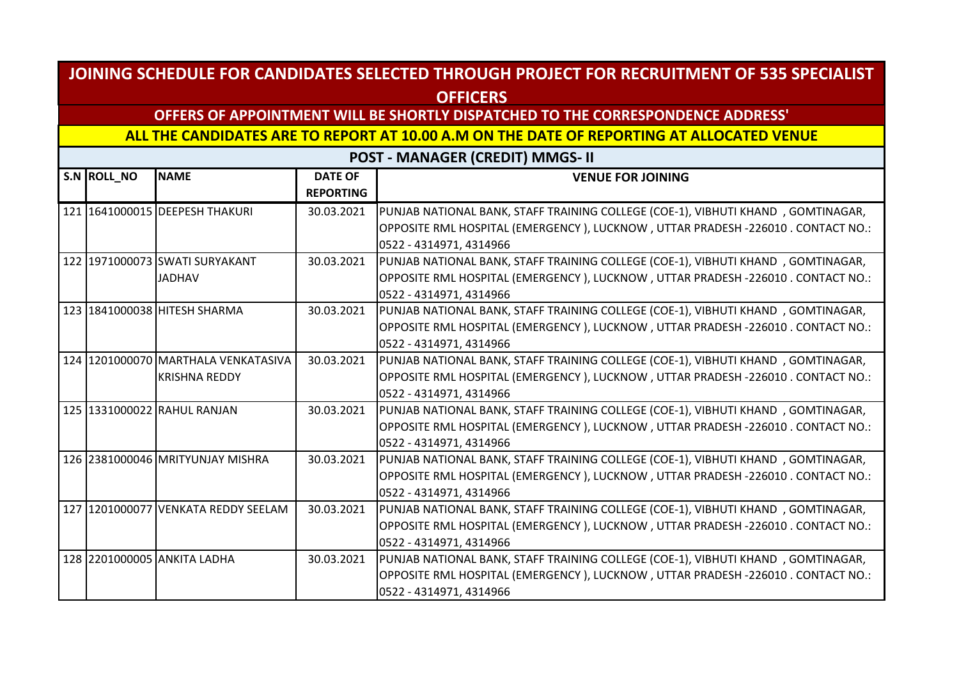## **OFFERS OF APPOINTMENT WILL BE SHORTLY DISPATCHED TO THE CORRESPONDENCE ADDRESS'**

**ALL THE CANDIDATES ARE TO REPORT AT 10.00 A.M ON THE DATE OF REPORTING AT ALLOCATED VENUE** 

| S.N ROLL_NO | <b>NAME</b>                         | <b>DATE OF</b><br><b>REPORTING</b> | <b>VENUE FOR JOINING</b>                                                         |
|-------------|-------------------------------------|------------------------------------|----------------------------------------------------------------------------------|
|             | 121 1641000015 DEEPESH THAKURI      | 30.03.2021                         | PUNJAB NATIONAL BANK, STAFF TRAINING COLLEGE (COE-1), VIBHUTI KHAND, GOMTINAGAR, |
|             |                                     |                                    | OPPOSITE RML HOSPITAL (EMERGENCY), LUCKNOW, UTTAR PRADESH -226010. CONTACT NO.:  |
|             |                                     |                                    | 0522 - 4314971, 4314966                                                          |
|             | 122 1971000073 SWATI SURYAKANT      | 30.03.2021                         | PUNJAB NATIONAL BANK, STAFF TRAINING COLLEGE (COE-1), VIBHUTI KHAND, GOMTINAGAR, |
|             | <b>JADHAV</b>                       |                                    | OPPOSITE RML HOSPITAL (EMERGENCY), LUCKNOW, UTTAR PRADESH -226010. CONTACT NO.:  |
|             |                                     |                                    | 0522 - 4314971, 4314966                                                          |
|             | 123 1841000038 HITESH SHARMA        | 30.03.2021                         | PUNJAB NATIONAL BANK, STAFF TRAINING COLLEGE (COE-1), VIBHUTI KHAND, GOMTINAGAR, |
|             |                                     |                                    | OPPOSITE RML HOSPITAL (EMERGENCY), LUCKNOW, UTTAR PRADESH -226010 . CONTACT NO.: |
|             |                                     |                                    | 0522 - 4314971, 4314966                                                          |
|             | 124 1201000070 MARTHALA VENKATASIVA | 30.03.2021                         | PUNJAB NATIONAL BANK, STAFF TRAINING COLLEGE (COE-1), VIBHUTI KHAND, GOMTINAGAR, |
|             | <b>KRISHNA REDDY</b>                |                                    | OPPOSITE RML HOSPITAL (EMERGENCY), LUCKNOW, UTTAR PRADESH -226010. CONTACT NO.:  |
|             |                                     |                                    | 0522 - 4314971, 4314966                                                          |
|             | 125 1331000022 RAHUL RANJAN         | 30.03.2021                         | PUNJAB NATIONAL BANK, STAFF TRAINING COLLEGE (COE-1), VIBHUTI KHAND, GOMTINAGAR, |
|             |                                     |                                    | OPPOSITE RML HOSPITAL (EMERGENCY), LUCKNOW, UTTAR PRADESH -226010. CONTACT NO.:  |
|             |                                     |                                    | 0522 - 4314971, 4314966                                                          |
|             | 126 2381000046 MRITYUNJAY MISHRA    | 30.03.2021                         | PUNJAB NATIONAL BANK, STAFF TRAINING COLLEGE (COE-1), VIBHUTI KHAND, GOMTINAGAR, |
|             |                                     |                                    | OPPOSITE RML HOSPITAL (EMERGENCY), LUCKNOW, UTTAR PRADESH -226010. CONTACT NO.:  |
|             |                                     |                                    | 0522 - 4314971, 4314966                                                          |
|             | 127 1201000077 VENKATA REDDY SEELAM | 30.03.2021                         | PUNJAB NATIONAL BANK, STAFF TRAINING COLLEGE (COE-1), VIBHUTI KHAND, GOMTINAGAR, |
|             |                                     |                                    | OPPOSITE RML HOSPITAL (EMERGENCY), LUCKNOW, UTTAR PRADESH -226010. CONTACT NO.:  |
|             |                                     |                                    | 0522 - 4314971, 4314966                                                          |
|             | 128 2201000005 ANKITA LADHA         | 30.03.2021                         | PUNJAB NATIONAL BANK, STAFF TRAINING COLLEGE (COE-1), VIBHUTI KHAND, GOMTINAGAR, |
|             |                                     |                                    | OPPOSITE RML HOSPITAL (EMERGENCY), LUCKNOW, UTTAR PRADESH -226010 . CONTACT NO.: |
|             |                                     |                                    | 0522 - 4314971, 4314966                                                          |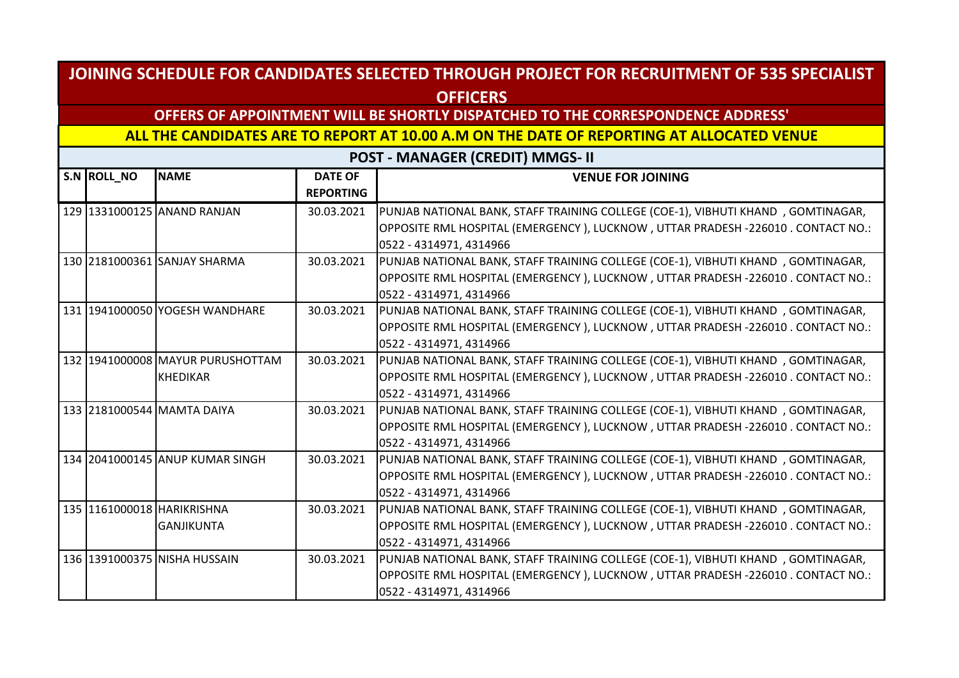## **OFFERS OF APPOINTMENT WILL BE SHORTLY DISPATCHED TO THE CORRESPONDENCE ADDRESS'**

**ALL THE CANDIDATES ARE TO REPORT AT 10.00 A.M ON THE DATE OF REPORTING AT ALLOCATED VENUE** 

| S.N ROLL NO | <b>NAME</b>                      | <b>DATE OF</b><br><b>REPORTING</b> | <b>VENUE FOR JOINING</b>                                                                                                                                            |
|-------------|----------------------------------|------------------------------------|---------------------------------------------------------------------------------------------------------------------------------------------------------------------|
|             | 129 1331000125 ANAND RANJAN      | 30.03.2021                         | PUNJAB NATIONAL BANK, STAFF TRAINING COLLEGE (COE-1), VIBHUTI KHAND, GOMTINAGAR,<br>OPPOSITE RML HOSPITAL (EMERGENCY), LUCKNOW, UTTAR PRADESH -226010. CONTACT NO.: |
|             |                                  |                                    | 0522 - 4314971, 4314966                                                                                                                                             |
|             | 130 2181000361 SANJAY SHARMA     | 30.03.2021                         | PUNJAB NATIONAL BANK, STAFF TRAINING COLLEGE (COE-1), VIBHUTI KHAND, GOMTINAGAR,<br>OPPOSITE RML HOSPITAL (EMERGENCY), LUCKNOW, UTTAR PRADESH -226010. CONTACT NO.: |
|             |                                  |                                    | 0522 - 4314971, 4314966                                                                                                                                             |
|             | 131 1941000050 YOGESH WANDHARE   | 30.03.2021                         | PUNJAB NATIONAL BANK, STAFF TRAINING COLLEGE (COE-1), VIBHUTI KHAND, GOMTINAGAR,                                                                                    |
|             |                                  |                                    | OPPOSITE RML HOSPITAL (EMERGENCY), LUCKNOW, UTTAR PRADESH -226010. CONTACT NO.:                                                                                     |
|             |                                  |                                    | 0522 - 4314971, 4314966                                                                                                                                             |
|             | 132 1941000008 MAYUR PURUSHOTTAM | 30.03.2021                         | PUNJAB NATIONAL BANK, STAFF TRAINING COLLEGE (COE-1), VIBHUTI KHAND, GOMTINAGAR,                                                                                    |
|             | <b>KHEDIKAR</b>                  |                                    | OPPOSITE RML HOSPITAL (EMERGENCY), LUCKNOW, UTTAR PRADESH -226010 . CONTACT NO.:                                                                                    |
|             |                                  |                                    | 0522 - 4314971, 4314966                                                                                                                                             |
|             | 133 2181000544 MAMTA DAIYA       | 30.03.2021                         | PUNJAB NATIONAL BANK, STAFF TRAINING COLLEGE (COE-1), VIBHUTI KHAND, GOMTINAGAR,                                                                                    |
|             |                                  |                                    | OPPOSITE RML HOSPITAL (EMERGENCY), LUCKNOW, UTTAR PRADESH -226010. CONTACT NO.:                                                                                     |
|             |                                  |                                    | 0522 - 4314971, 4314966                                                                                                                                             |
|             | 134 2041000145 ANUP KUMAR SINGH  | 30.03.2021                         | PUNJAB NATIONAL BANK, STAFF TRAINING COLLEGE (COE-1), VIBHUTI KHAND, GOMTINAGAR,                                                                                    |
|             |                                  |                                    | OPPOSITE RML HOSPITAL (EMERGENCY), LUCKNOW, UTTAR PRADESH -226010 . CONTACT NO.:                                                                                    |
|             |                                  |                                    | 0522 - 4314971, 4314966                                                                                                                                             |
|             | 135 1161000018 HARIKRISHNA       | 30.03.2021                         | PUNJAB NATIONAL BANK, STAFF TRAINING COLLEGE (COE-1), VIBHUTI KHAND, GOMTINAGAR,                                                                                    |
|             | <b>GANJIKUNTA</b>                |                                    | OPPOSITE RML HOSPITAL (EMERGENCY ), LUCKNOW , UTTAR PRADESH -226010 . CONTACT NO.:                                                                                  |
|             |                                  |                                    | 0522 - 4314971, 4314966                                                                                                                                             |
|             | 136 1391000375 NISHA HUSSAIN     | 30.03.2021                         | PUNJAB NATIONAL BANK, STAFF TRAINING COLLEGE (COE-1), VIBHUTI KHAND, GOMTINAGAR,                                                                                    |
|             |                                  |                                    | OPPOSITE RML HOSPITAL (EMERGENCY), LUCKNOW, UTTAR PRADESH -226010 . CONTACT NO.:                                                                                    |
|             |                                  |                                    | 0522 - 4314971, 4314966                                                                                                                                             |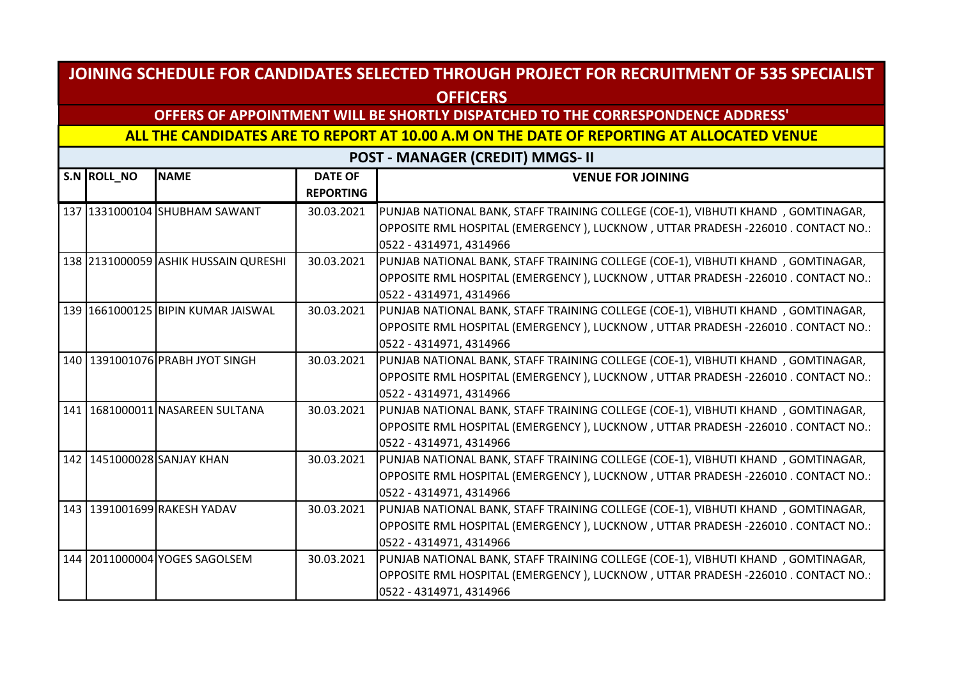## **OFFERS OF APPOINTMENT WILL BE SHORTLY DISPATCHED TO THE CORRESPONDENCE ADDRESS'**

**ALL THE CANDIDATES ARE TO REPORT AT 10.00 A.M ON THE DATE OF REPORTING AT ALLOCATED VENUE** 

| S.N ROLL_NO | <b>NAME</b>                          | <b>DATE OF</b><br><b>REPORTING</b> | <b>VENUE FOR JOINING</b>                                                         |
|-------------|--------------------------------------|------------------------------------|----------------------------------------------------------------------------------|
|             | 137 1331000104 SHUBHAM SAWANT        | 30.03.2021                         | PUNJAB NATIONAL BANK, STAFF TRAINING COLLEGE (COE-1), VIBHUTI KHAND, GOMTINAGAR, |
|             |                                      |                                    | OPPOSITE RML HOSPITAL (EMERGENCY), LUCKNOW, UTTAR PRADESH -226010. CONTACT NO.:  |
|             |                                      |                                    | 0522 - 4314971, 4314966                                                          |
|             | 138 2131000059 ASHIK HUSSAIN QURESHI | 30.03.2021                         | PUNJAB NATIONAL BANK, STAFF TRAINING COLLEGE (COE-1), VIBHUTI KHAND, GOMTINAGAR, |
|             |                                      |                                    | OPPOSITE RML HOSPITAL (EMERGENCY), LUCKNOW, UTTAR PRADESH -226010. CONTACT NO.:  |
|             |                                      |                                    | 0522 - 4314971, 4314966                                                          |
|             | 139 1661000125 BIPIN KUMAR JAISWAL   | 30.03.2021                         | PUNJAB NATIONAL BANK, STAFF TRAINING COLLEGE (COE-1), VIBHUTI KHAND, GOMTINAGAR, |
|             |                                      |                                    | OPPOSITE RML HOSPITAL (EMERGENCY), LUCKNOW, UTTAR PRADESH -226010 . CONTACT NO.: |
|             |                                      |                                    | 0522 - 4314971, 4314966                                                          |
|             | 140 1391001076 PRABH JYOT SINGH      | 30.03.2021                         | PUNJAB NATIONAL BANK, STAFF TRAINING COLLEGE (COE-1), VIBHUTI KHAND, GOMTINAGAR, |
|             |                                      |                                    | OPPOSITE RML HOSPITAL (EMERGENCY), LUCKNOW, UTTAR PRADESH -226010. CONTACT NO.:  |
|             |                                      |                                    | 0522 - 4314971, 4314966                                                          |
|             | 141   1681000011 NASAREEN SULTANA    | 30.03.2021                         | PUNJAB NATIONAL BANK, STAFF TRAINING COLLEGE (COE-1), VIBHUTI KHAND, GOMTINAGAR, |
|             |                                      |                                    | OPPOSITE RML HOSPITAL (EMERGENCY), LUCKNOW, UTTAR PRADESH -226010. CONTACT NO.:  |
|             |                                      |                                    | 0522 - 4314971, 4314966                                                          |
|             | 142 1451000028 SANJAY KHAN           | 30.03.2021                         | PUNJAB NATIONAL BANK, STAFF TRAINING COLLEGE (COE-1), VIBHUTI KHAND, GOMTINAGAR, |
|             |                                      |                                    | OPPOSITE RML HOSPITAL (EMERGENCY), LUCKNOW, UTTAR PRADESH -226010. CONTACT NO.:  |
|             |                                      |                                    | 0522 - 4314971, 4314966                                                          |
|             | 143 1391001699 RAKESH YADAV          | 30.03.2021                         | PUNJAB NATIONAL BANK, STAFF TRAINING COLLEGE (COE-1), VIBHUTI KHAND, GOMTINAGAR, |
|             |                                      |                                    | OPPOSITE RML HOSPITAL (EMERGENCY), LUCKNOW, UTTAR PRADESH -226010. CONTACT NO.:  |
|             |                                      |                                    | 0522 - 4314971, 4314966                                                          |
|             | 144 2011000004 YOGES SAGOLSEM        | 30.03.2021                         | PUNJAB NATIONAL BANK, STAFF TRAINING COLLEGE (COE-1), VIBHUTI KHAND, GOMTINAGAR, |
|             |                                      |                                    | OPPOSITE RML HOSPITAL (EMERGENCY), LUCKNOW, UTTAR PRADESH -226010 . CONTACT NO.: |
|             |                                      |                                    | 0522 - 4314971, 4314966                                                          |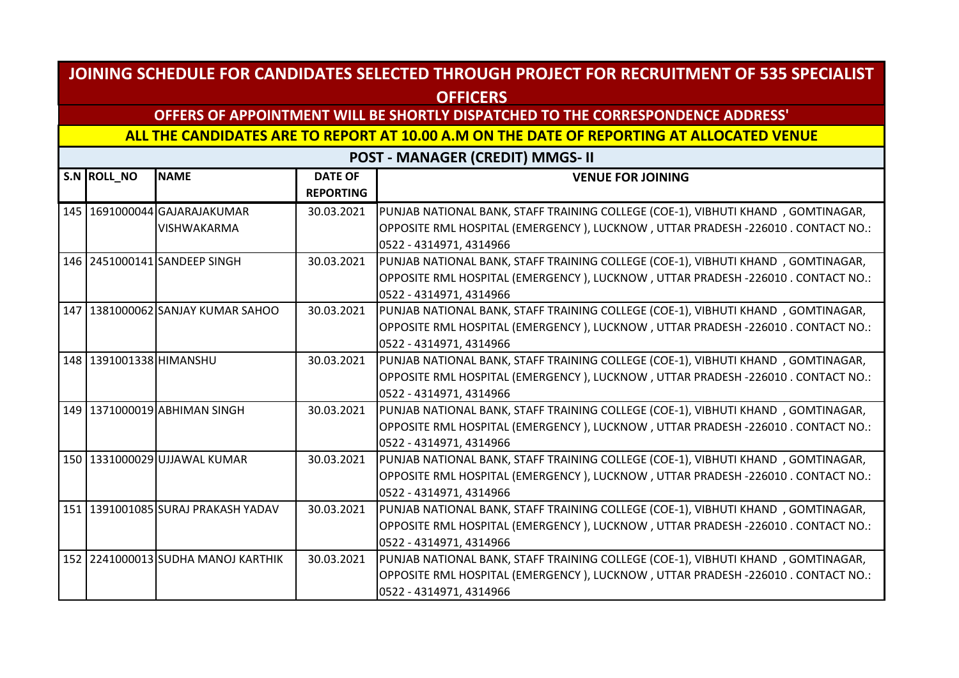## **OFFERS OF APPOINTMENT WILL BE SHORTLY DISPATCHED TO THE CORRESPONDENCE ADDRESS'**

**ALL THE CANDIDATES ARE TO REPORT AT 10.00 A.M ON THE DATE OF REPORTING AT ALLOCATED VENUE** 

| S.N ROLL NO            | <b>NAME</b>                         | <b>DATE OF</b><br><b>REPORTING</b> | <b>VENUE FOR JOINING</b>                                                         |
|------------------------|-------------------------------------|------------------------------------|----------------------------------------------------------------------------------|
|                        | 145   1691000044 GAJARAJAKUMAR      | 30.03.2021                         | PUNJAB NATIONAL BANK, STAFF TRAINING COLLEGE (COE-1), VIBHUTI KHAND, GOMTINAGAR, |
|                        | <b>VISHWAKARMA</b>                  |                                    | OPPOSITE RML HOSPITAL (EMERGENCY), LUCKNOW, UTTAR PRADESH -226010. CONTACT NO.:  |
|                        |                                     |                                    | 0522 - 4314971, 4314966                                                          |
|                        | 146 2451000141 SANDEEP SINGH        | 30.03.2021                         | PUNJAB NATIONAL BANK, STAFF TRAINING COLLEGE (COE-1), VIBHUTI KHAND, GOMTINAGAR, |
|                        |                                     |                                    | OPPOSITE RML HOSPITAL (EMERGENCY), LUCKNOW, UTTAR PRADESH -226010. CONTACT NO.:  |
|                        |                                     |                                    | 0522 - 4314971, 4314966                                                          |
|                        | 147   1381000062 SANJAY KUMAR SAHOO | 30.03.2021                         | PUNJAB NATIONAL BANK, STAFF TRAINING COLLEGE (COE-1), VIBHUTI KHAND, GOMTINAGAR, |
|                        |                                     |                                    | OPPOSITE RML HOSPITAL (EMERGENCY), LUCKNOW, UTTAR PRADESH -226010. CONTACT NO.:  |
|                        |                                     |                                    | 0522 - 4314971, 4314966                                                          |
| 148 391001338 HIMANSHU |                                     | 30.03.2021                         | PUNJAB NATIONAL BANK, STAFF TRAINING COLLEGE (COE-1), VIBHUTI KHAND, GOMTINAGAR, |
|                        |                                     |                                    | OPPOSITE RML HOSPITAL (EMERGENCY), LUCKNOW, UTTAR PRADESH -226010. CONTACT NO.:  |
|                        |                                     |                                    | 0522 - 4314971, 4314966                                                          |
|                        | 149 1371000019 ABHIMAN SINGH        | 30.03.2021                         | PUNJAB NATIONAL BANK, STAFF TRAINING COLLEGE (COE-1), VIBHUTI KHAND, GOMTINAGAR, |
|                        |                                     |                                    | OPPOSITE RML HOSPITAL (EMERGENCY), LUCKNOW, UTTAR PRADESH -226010. CONTACT NO.:  |
|                        |                                     |                                    | 0522 - 4314971, 4314966                                                          |
|                        | 150 1331000029 UJJAWAL KUMAR        | 30.03.2021                         | PUNJAB NATIONAL BANK, STAFF TRAINING COLLEGE (COE-1), VIBHUTI KHAND, GOMTINAGAR, |
|                        |                                     |                                    | OPPOSITE RML HOSPITAL (EMERGENCY), LUCKNOW, UTTAR PRADESH -226010. CONTACT NO.:  |
|                        |                                     |                                    | 0522 - 4314971, 4314966                                                          |
|                        | 151 1391001085 SURAJ PRAKASH YADAV  | 30.03.2021                         | PUNJAB NATIONAL BANK, STAFF TRAINING COLLEGE (COE-1), VIBHUTI KHAND, GOMTINAGAR, |
|                        |                                     |                                    | OPPOSITE RML HOSPITAL (EMERGENCY), LUCKNOW, UTTAR PRADESH -226010. CONTACT NO.:  |
|                        |                                     |                                    | 0522 - 4314971, 4314966                                                          |
|                        | 152 2241000013 SUDHA MANOJ KARTHIK  | 30.03.2021                         | PUNJAB NATIONAL BANK, STAFF TRAINING COLLEGE (COE-1), VIBHUTI KHAND, GOMTINAGAR, |
|                        |                                     |                                    | OPPOSITE RML HOSPITAL (EMERGENCY), LUCKNOW, UTTAR PRADESH -226010. CONTACT NO.:  |
|                        |                                     |                                    | 0522 - 4314971, 4314966                                                          |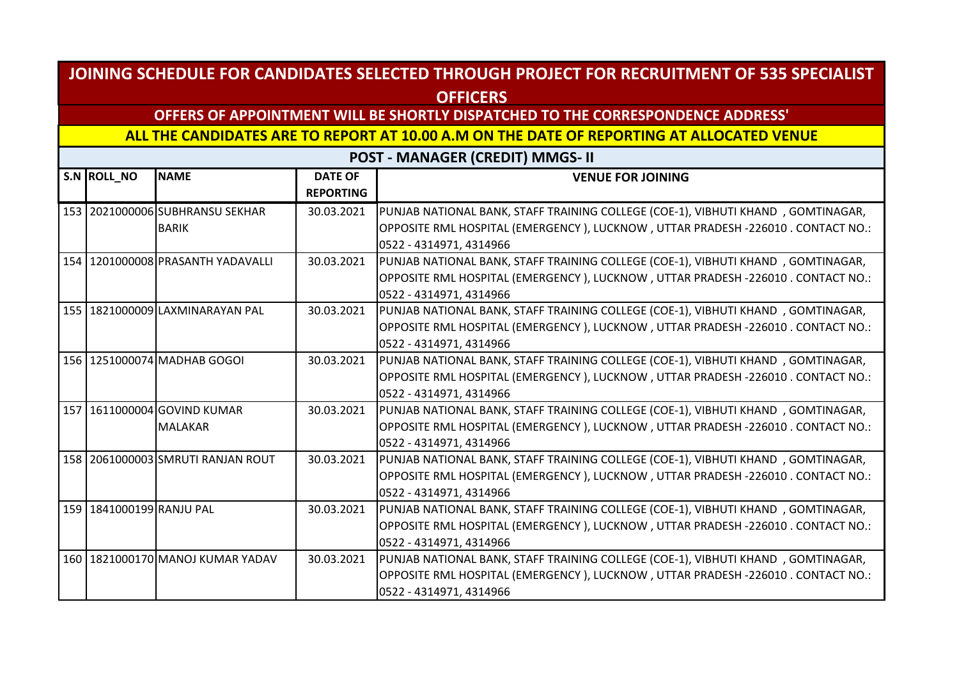## **OFFERS OF APPOINTMENT WILL BE SHORTLY DISPATCHED TO THE CORRESPONDENCE ADDRESS'**

**ALL THE CANDIDATES ARE TO REPORT AT 10.00 A.M ON THE DATE OF REPORTING AT ALLOCATED VENUE** 

| S.N ROLL_NO              | <b>NAME</b>                        | <b>DATE OF</b><br><b>REPORTING</b> | <b>VENUE FOR JOINING</b>                                                         |
|--------------------------|------------------------------------|------------------------------------|----------------------------------------------------------------------------------|
|                          | 153 2021000006 SUBHRANSU SEKHAR    | 30.03.2021                         | PUNJAB NATIONAL BANK, STAFF TRAINING COLLEGE (COE-1), VIBHUTI KHAND, GOMTINAGAR, |
|                          | <b>BARIK</b>                       |                                    | OPPOSITE RML HOSPITAL (EMERGENCY), LUCKNOW, UTTAR PRADESH -226010. CONTACT NO.:  |
|                          |                                    |                                    | 0522 - 4314971, 4314966                                                          |
|                          | 154 1201000008 PRASANTH YADAVALLI  | 30.03.2021                         | PUNJAB NATIONAL BANK, STAFF TRAINING COLLEGE (COE-1), VIBHUTI KHAND, GOMTINAGAR, |
|                          |                                    |                                    | OPPOSITE RML HOSPITAL (EMERGENCY), LUCKNOW, UTTAR PRADESH -226010. CONTACT NO.:  |
|                          |                                    |                                    | 0522 - 4314971, 4314966                                                          |
|                          | 155 1821000009 LAXMINARAYAN PAL    | 30.03.2021                         | PUNJAB NATIONAL BANK, STAFF TRAINING COLLEGE (COE-1), VIBHUTI KHAND, GOMTINAGAR, |
|                          |                                    |                                    | OPPOSITE RML HOSPITAL (EMERGENCY), LUCKNOW, UTTAR PRADESH -226010. CONTACT NO.:  |
|                          |                                    |                                    | 0522 - 4314971, 4314966                                                          |
|                          | 156 1251000074 MADHAB GOGOI        | 30.03.2021                         | PUNJAB NATIONAL BANK, STAFF TRAINING COLLEGE (COE-1), VIBHUTI KHAND, GOMTINAGAR, |
|                          |                                    |                                    | OPPOSITE RML HOSPITAL (EMERGENCY), LUCKNOW, UTTAR PRADESH -226010. CONTACT NO.:  |
|                          |                                    |                                    | 0522 - 4314971, 4314966                                                          |
|                          | 157 1611000004 GOVIND KUMAR        | 30.03.2021                         | PUNJAB NATIONAL BANK, STAFF TRAINING COLLEGE (COE-1), VIBHUTI KHAND, GOMTINAGAR, |
|                          | <b>MALAKAR</b>                     |                                    | OPPOSITE RML HOSPITAL (EMERGENCY), LUCKNOW, UTTAR PRADESH -226010. CONTACT NO.:  |
|                          |                                    |                                    | 0522 - 4314971, 4314966                                                          |
|                          | 158 2061000003 SMRUTI RANJAN ROUT  | 30.03.2021                         | PUNJAB NATIONAL BANK, STAFF TRAINING COLLEGE (COE-1), VIBHUTI KHAND, GOMTINAGAR, |
|                          |                                    |                                    | OPPOSITE RML HOSPITAL (EMERGENCY), LUCKNOW, UTTAR PRADESH -226010 . CONTACT NO.: |
|                          |                                    |                                    | 0522 - 4314971, 4314966                                                          |
| 159 1841000199 RANJU PAL |                                    | 30.03.2021                         | PUNJAB NATIONAL BANK, STAFF TRAINING COLLEGE (COE-1), VIBHUTI KHAND, GOMTINAGAR, |
|                          |                                    |                                    | OPPOSITE RML HOSPITAL (EMERGENCY), LUCKNOW, UTTAR PRADESH -226010. CONTACT NO.:  |
|                          |                                    |                                    | 0522 - 4314971, 4314966                                                          |
|                          | 160   1821000170 MANOJ KUMAR YADAV | 30.03.2021                         | PUNJAB NATIONAL BANK, STAFF TRAINING COLLEGE (COE-1), VIBHUTI KHAND, GOMTINAGAR, |
|                          |                                    |                                    | OPPOSITE RML HOSPITAL (EMERGENCY), LUCKNOW, UTTAR PRADESH -226010 . CONTACT NO.: |
|                          |                                    |                                    | 0522 - 4314971, 4314966                                                          |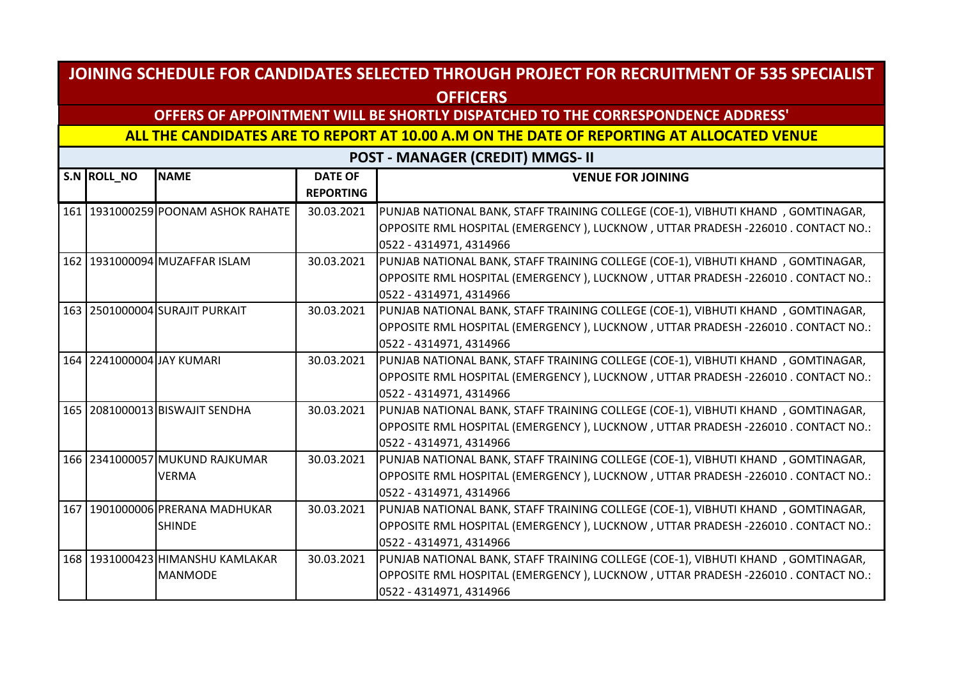## **OFFERS OF APPOINTMENT WILL BE SHORTLY DISPATCHED TO THE CORRESPONDENCE ADDRESS'**

**ALL THE CANDIDATES ARE TO REPORT AT 10.00 A.M ON THE DATE OF REPORTING AT ALLOCATED VENUE** 

| S.N ROLL_NO               | <b>NAME</b>                        | <b>DATE OF</b><br><b>REPORTING</b> | <b>VENUE FOR JOINING</b>                                                         |
|---------------------------|------------------------------------|------------------------------------|----------------------------------------------------------------------------------|
|                           | 161 1931000259 POONAM ASHOK RAHATE | 30.03.2021                         | PUNJAB NATIONAL BANK, STAFF TRAINING COLLEGE (COE-1), VIBHUTI KHAND, GOMTINAGAR, |
|                           |                                    |                                    | OPPOSITE RML HOSPITAL (EMERGENCY), LUCKNOW, UTTAR PRADESH -226010. CONTACT NO.:  |
|                           |                                    |                                    | 0522 - 4314971, 4314966                                                          |
|                           | 162 1931000094 MUZAFFAR ISLAM      | 30.03.2021                         | PUNJAB NATIONAL BANK, STAFF TRAINING COLLEGE (COE-1), VIBHUTI KHAND, GOMTINAGAR, |
|                           |                                    |                                    | OPPOSITE RML HOSPITAL (EMERGENCY), LUCKNOW, UTTAR PRADESH -226010. CONTACT NO.:  |
|                           |                                    |                                    | 0522 - 4314971, 4314966                                                          |
|                           | 163 2501000004 SURAJIT PURKAIT     | 30.03.2021                         | PUNJAB NATIONAL BANK, STAFF TRAINING COLLEGE (COE-1), VIBHUTI KHAND, GOMTINAGAR, |
|                           |                                    |                                    | OPPOSITE RML HOSPITAL (EMERGENCY), LUCKNOW, UTTAR PRADESH -226010. CONTACT NO.:  |
|                           |                                    |                                    | 0522 - 4314971, 4314966                                                          |
| 164 2241000004 JAY KUMARI |                                    | 30.03.2021                         | PUNJAB NATIONAL BANK, STAFF TRAINING COLLEGE (COE-1), VIBHUTI KHAND, GOMTINAGAR, |
|                           |                                    |                                    | OPPOSITE RML HOSPITAL (EMERGENCY), LUCKNOW, UTTAR PRADESH -226010. CONTACT NO.:  |
|                           |                                    |                                    | 0522 - 4314971, 4314966                                                          |
|                           | 165 2081000013 BISWAJIT SENDHA     | 30.03.2021                         | PUNJAB NATIONAL BANK, STAFF TRAINING COLLEGE (COE-1), VIBHUTI KHAND, GOMTINAGAR, |
|                           |                                    |                                    | OPPOSITE RML HOSPITAL (EMERGENCY), LUCKNOW, UTTAR PRADESH -226010. CONTACT NO.:  |
|                           |                                    |                                    | 0522 - 4314971, 4314966                                                          |
|                           | 166 2341000057 MUKUND RAJKUMAR     | 30.03.2021                         | PUNJAB NATIONAL BANK, STAFF TRAINING COLLEGE (COE-1), VIBHUTI KHAND, GOMTINAGAR, |
|                           | <b>VERMA</b>                       |                                    | OPPOSITE RML HOSPITAL (EMERGENCY), LUCKNOW, UTTAR PRADESH -226010 . CONTACT NO.: |
|                           |                                    |                                    | 0522 - 4314971, 4314966                                                          |
|                           | 167 1901000006 PRERANA MADHUKAR    | 30.03.2021                         | PUNJAB NATIONAL BANK, STAFF TRAINING COLLEGE (COE-1), VIBHUTI KHAND, GOMTINAGAR, |
|                           | <b>SHINDE</b>                      |                                    | OPPOSITE RML HOSPITAL (EMERGENCY), LUCKNOW, UTTAR PRADESH -226010. CONTACT NO.:  |
|                           |                                    |                                    | 0522 - 4314971, 4314966                                                          |
|                           | 168 1931000423 HIMANSHU KAMLAKAR   | 30.03.2021                         | PUNJAB NATIONAL BANK, STAFF TRAINING COLLEGE (COE-1), VIBHUTI KHAND, GOMTINAGAR, |
|                           | <b>MANMODE</b>                     |                                    | OPPOSITE RML HOSPITAL (EMERGENCY), LUCKNOW, UTTAR PRADESH -226010 . CONTACT NO.: |
|                           |                                    |                                    | 0522 - 4314971, 4314966                                                          |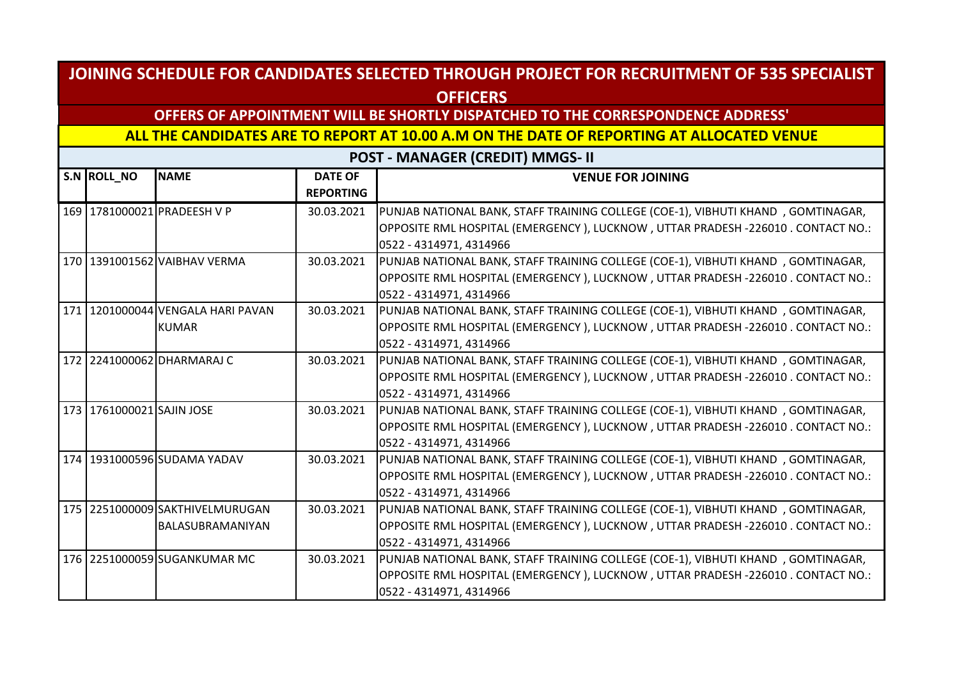## **OFFERS OF APPOINTMENT WILL BE SHORTLY DISPATCHED TO THE CORRESPONDENCE ADDRESS'**

**ALL THE CANDIDATES ARE TO REPORT AT 10.00 A.M ON THE DATE OF REPORTING AT ALLOCATED VENUE** 

| S.N ROLL_NO               | <b>NAME</b>                         | <b>DATE OF</b><br><b>REPORTING</b> | <b>VENUE FOR JOINING</b>                                                         |
|---------------------------|-------------------------------------|------------------------------------|----------------------------------------------------------------------------------|
|                           | 169 1781000021 PRADEESH V P         | 30.03.2021                         | PUNJAB NATIONAL BANK, STAFF TRAINING COLLEGE (COE-1), VIBHUTI KHAND, GOMTINAGAR, |
|                           |                                     |                                    | OPPOSITE RML HOSPITAL (EMERGENCY), LUCKNOW, UTTAR PRADESH -226010. CONTACT NO.:  |
|                           |                                     |                                    | 0522 - 4314971, 4314966                                                          |
|                           | 170 1391001562 VAIBHAV VERMA        | 30.03.2021                         | PUNJAB NATIONAL BANK, STAFF TRAINING COLLEGE (COE-1), VIBHUTI KHAND, GOMTINAGAR, |
|                           |                                     |                                    | OPPOSITE RML HOSPITAL (EMERGENCY), LUCKNOW, UTTAR PRADESH -226010 . CONTACT NO.: |
|                           |                                     |                                    | 0522 - 4314971, 4314966                                                          |
|                           | 171   1201000044 VENGALA HARI PAVAN | 30.03.2021                         | PUNJAB NATIONAL BANK, STAFF TRAINING COLLEGE (COE-1), VIBHUTI KHAND, GOMTINAGAR, |
|                           | <b>KUMAR</b>                        |                                    | OPPOSITE RML HOSPITAL (EMERGENCY), LUCKNOW, UTTAR PRADESH -226010. CONTACT NO.:  |
|                           |                                     |                                    | 0522 - 4314971, 4314966                                                          |
|                           | 172 2241000062 DHARMARAJ C          | 30.03.2021                         | PUNJAB NATIONAL BANK, STAFF TRAINING COLLEGE (COE-1), VIBHUTI KHAND, GOMTINAGAR, |
|                           |                                     |                                    | OPPOSITE RML HOSPITAL (EMERGENCY), LUCKNOW, UTTAR PRADESH -226010. CONTACT NO.:  |
|                           |                                     |                                    | 0522 - 4314971, 4314966                                                          |
| 173 1761000021 SAJIN JOSE |                                     | 30.03.2021                         | PUNJAB NATIONAL BANK, STAFF TRAINING COLLEGE (COE-1), VIBHUTI KHAND, GOMTINAGAR, |
|                           |                                     |                                    | OPPOSITE RML HOSPITAL (EMERGENCY), LUCKNOW, UTTAR PRADESH -226010. CONTACT NO.:  |
|                           |                                     |                                    | 0522 - 4314971, 4314966                                                          |
|                           | 174 1931000596 SUDAMA YADAV         | 30.03.2021                         | PUNJAB NATIONAL BANK, STAFF TRAINING COLLEGE (COE-1), VIBHUTI KHAND, GOMTINAGAR, |
|                           |                                     |                                    | OPPOSITE RML HOSPITAL (EMERGENCY), LUCKNOW, UTTAR PRADESH -226010 . CONTACT NO.: |
|                           |                                     |                                    | 0522 - 4314971, 4314966                                                          |
|                           | 175 2251000009 SAKTHIVELMURUGAN     | 30.03.2021                         | PUNJAB NATIONAL BANK, STAFF TRAINING COLLEGE (COE-1), VIBHUTI KHAND, GOMTINAGAR, |
|                           | BALASUBRAMANIYAN                    |                                    | OPPOSITE RML HOSPITAL (EMERGENCY), LUCKNOW, UTTAR PRADESH -226010. CONTACT NO.:  |
|                           |                                     |                                    | 0522 - 4314971, 4314966                                                          |
|                           | 176 2251000059 SUGANKUMAR MC        | 30.03.2021                         | PUNJAB NATIONAL BANK, STAFF TRAINING COLLEGE (COE-1), VIBHUTI KHAND, GOMTINAGAR, |
|                           |                                     |                                    | OPPOSITE RML HOSPITAL (EMERGENCY), LUCKNOW, UTTAR PRADESH -226010 . CONTACT NO.: |
|                           |                                     |                                    | 0522 - 4314971, 4314966                                                          |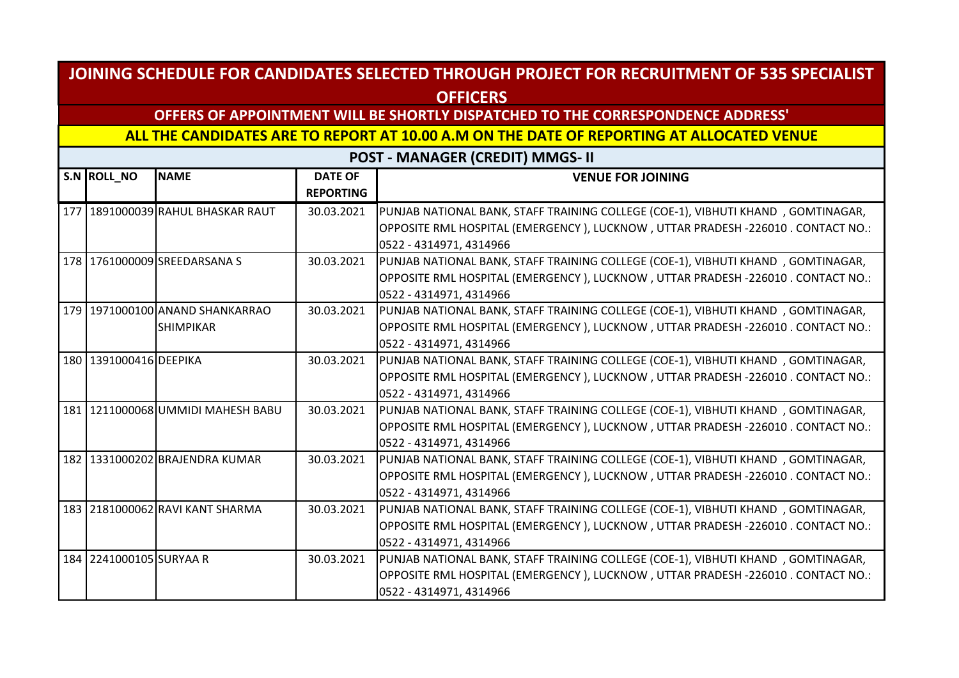## **OFFERS OF APPOINTMENT WILL BE SHORTLY DISPATCHED TO THE CORRESPONDENCE ADDRESS'**

**ALL THE CANDIDATES ARE TO REPORT AT 10.00 A.M ON THE DATE OF REPORTING AT ALLOCATED VENUE** 

| S.N ROLL_NO             | <b>NAME</b>                         | <b>DATE OF</b><br><b>REPORTING</b> | <b>VENUE FOR JOINING</b>                                                         |
|-------------------------|-------------------------------------|------------------------------------|----------------------------------------------------------------------------------|
|                         | 177   1891000039 RAHUL BHASKAR RAUT | 30.03.2021                         | PUNJAB NATIONAL BANK, STAFF TRAINING COLLEGE (COE-1), VIBHUTI KHAND, GOMTINAGAR, |
|                         |                                     |                                    | OPPOSITE RML HOSPITAL (EMERGENCY), LUCKNOW, UTTAR PRADESH -226010. CONTACT NO.:  |
|                         |                                     |                                    | 0522 - 4314971, 4314966                                                          |
|                         | 178 1761000009 SREEDARSANA S        | 30.03.2021                         | PUNJAB NATIONAL BANK, STAFF TRAINING COLLEGE (COE-1), VIBHUTI KHAND, GOMTINAGAR, |
|                         |                                     |                                    | OPPOSITE RML HOSPITAL (EMERGENCY), LUCKNOW, UTTAR PRADESH -226010. CONTACT NO.:  |
|                         |                                     |                                    | 0522 - 4314971, 4314966                                                          |
|                         | 179 1971000100 ANAND SHANKARRAO     | 30.03.2021                         | PUNJAB NATIONAL BANK, STAFF TRAINING COLLEGE (COE-1), VIBHUTI KHAND, GOMTINAGAR, |
|                         | <b>SHIMPIKAR</b>                    |                                    | OPPOSITE RML HOSPITAL (EMERGENCY), LUCKNOW, UTTAR PRADESH -226010. CONTACT NO.:  |
|                         |                                     |                                    | 0522 - 4314971, 4314966                                                          |
| 180 1391000416 DEEPIKA  |                                     | 30.03.2021                         | PUNJAB NATIONAL BANK, STAFF TRAINING COLLEGE (COE-1), VIBHUTI KHAND, GOMTINAGAR, |
|                         |                                     |                                    | OPPOSITE RML HOSPITAL (EMERGENCY), LUCKNOW, UTTAR PRADESH -226010. CONTACT NO.:  |
|                         |                                     |                                    | 0522 - 4314971, 4314966                                                          |
|                         | 181 1211000068 UMMIDI MAHESH BABU   | 30.03.2021                         | PUNJAB NATIONAL BANK, STAFF TRAINING COLLEGE (COE-1), VIBHUTI KHAND, GOMTINAGAR, |
|                         |                                     |                                    | OPPOSITE RML HOSPITAL (EMERGENCY), LUCKNOW, UTTAR PRADESH -226010. CONTACT NO.:  |
|                         |                                     |                                    | 0522 - 4314971, 4314966                                                          |
|                         | 182 1331000202 BRAJENDRA KUMAR      | 30.03.2021                         | PUNJAB NATIONAL BANK, STAFF TRAINING COLLEGE (COE-1), VIBHUTI KHAND, GOMTINAGAR, |
|                         |                                     |                                    | OPPOSITE RML HOSPITAL (EMERGENCY), LUCKNOW, UTTAR PRADESH -226010. CONTACT NO.:  |
|                         |                                     |                                    | 0522 - 4314971, 4314966                                                          |
|                         | 183 2181000062 RAVI KANT SHARMA     | 30.03.2021                         | PUNJAB NATIONAL BANK, STAFF TRAINING COLLEGE (COE-1), VIBHUTI KHAND, GOMTINAGAR, |
|                         |                                     |                                    | OPPOSITE RML HOSPITAL (EMERGENCY), LUCKNOW, UTTAR PRADESH -226010. CONTACT NO.:  |
|                         |                                     |                                    | 0522 - 4314971, 4314966                                                          |
| 184 2241000105 SURYAA R |                                     | 30.03.2021                         | PUNJAB NATIONAL BANK, STAFF TRAINING COLLEGE (COE-1), VIBHUTI KHAND, GOMTINAGAR, |
|                         |                                     |                                    | OPPOSITE RML HOSPITAL (EMERGENCY), LUCKNOW, UTTAR PRADESH -226010 . CONTACT NO.: |
|                         |                                     |                                    | 0522 - 4314971, 4314966                                                          |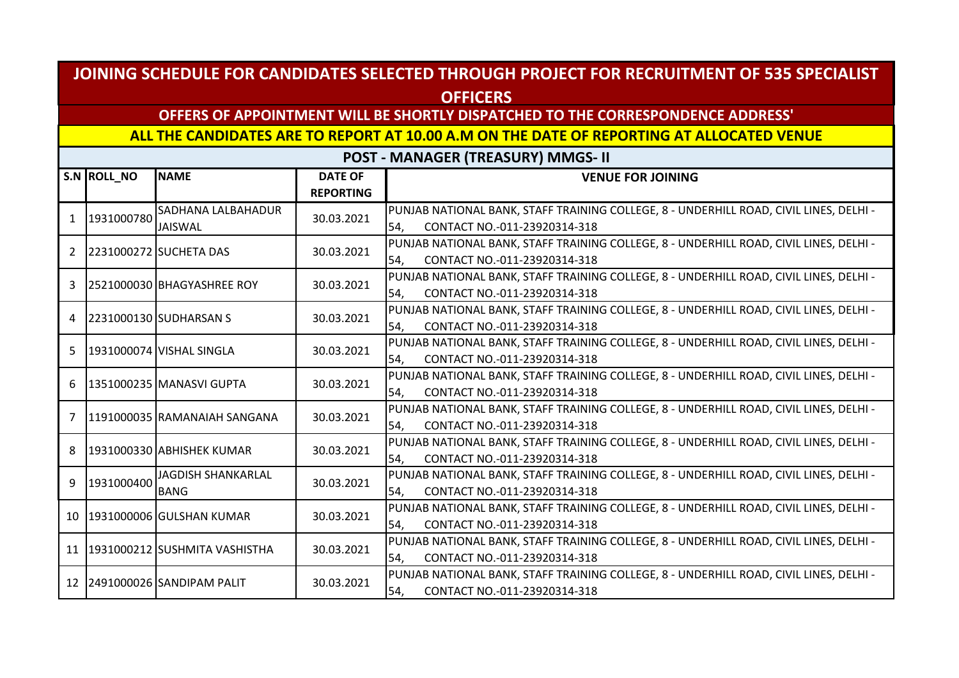## **OFFERS OF APPOINTMENT WILL BE SHORTLY DISPATCHED TO THE CORRESPONDENCE ADDRESS'**

#### **ALL THE CANDIDATES ARE TO REPORT AT 10.00 A.M ON THE DATE OF REPORTING AT ALLOCATED VENUE**

**POST - MANAGER (TREASURY) MMGS- II**

|                | S.N ROLL_NO | <b>NAME</b>                   | <b>DATE OF</b><br><b>REPORTING</b> | <b>VENUE FOR JOINING</b>                                                                                                      |
|----------------|-------------|-------------------------------|------------------------------------|-------------------------------------------------------------------------------------------------------------------------------|
| $\mathbf{1}$   | 1931000780  | SADHANA LALBAHADUR            | 30.03.2021                         | PUNJAB NATIONAL BANK, STAFF TRAINING COLLEGE, 8 - UNDERHILL ROAD, CIVIL LINES, DELHI -                                        |
|                |             | JAISWAL                       |                                    | CONTACT NO.-011-23920314-318<br>54.                                                                                           |
| $\overline{2}$ |             | 2231000272 SUCHETA DAS        | 30.03.2021                         | PUNJAB NATIONAL BANK, STAFF TRAINING COLLEGE, 8 - UNDERHILL ROAD, CIVIL LINES, DELHI -<br>CONTACT NO.-011-23920314-318<br>54, |
| 3              |             | 2521000030 BHAGYASHREE ROY    | 30.03.2021                         | PUNJAB NATIONAL BANK, STAFF TRAINING COLLEGE, 8 - UNDERHILL ROAD, CIVIL LINES, DELHI -<br>CONTACT NO.-011-23920314-318<br>54, |
| 4              |             | 2231000130 SUDHARSAN S        | 30.03.2021                         | PUNJAB NATIONAL BANK, STAFF TRAINING COLLEGE, 8 - UNDERHILL ROAD, CIVIL LINES, DELHI -                                        |
|                |             |                               |                                    | CONTACT NO.-011-23920314-318<br>54,                                                                                           |
| 5.             |             | 1931000074 VISHAL SINGLA      | 30.03.2021                         | PUNJAB NATIONAL BANK, STAFF TRAINING COLLEGE, 8 - UNDERHILL ROAD, CIVIL LINES, DELHI -                                        |
|                |             |                               |                                    | CONTACT NO.-011-23920314-318<br>54,                                                                                           |
| 6              |             | 1351000235 MANASVI GUPTA      | 30.03.2021                         | PUNJAB NATIONAL BANK, STAFF TRAINING COLLEGE, 8 - UNDERHILL ROAD, CIVIL LINES, DELHI -                                        |
|                |             |                               |                                    | CONTACT NO.-011-23920314-318<br>54,                                                                                           |
| 7              |             | 1191000035 RAMANAIAH SANGANA  | 30.03.2021                         | PUNJAB NATIONAL BANK, STAFF TRAINING COLLEGE, 8 - UNDERHILL ROAD, CIVIL LINES, DELHI -                                        |
|                |             |                               |                                    | CONTACT NO.-011-23920314-318<br>54,                                                                                           |
| 8              |             | 1931000330 ABHISHEK KUMAR     | 30.03.2021                         | PUNJAB NATIONAL BANK, STAFF TRAINING COLLEGE, 8 - UNDERHILL ROAD, CIVIL LINES, DELHI -                                        |
|                |             |                               |                                    | CONTACT NO.-011-23920314-318<br>54,                                                                                           |
| 9              | 1931000400  | <b>JAGDISH SHANKARLAL</b>     | 30.03.2021                         | PUNJAB NATIONAL BANK, STAFF TRAINING COLLEGE, 8 - UNDERHILL ROAD, CIVIL LINES, DELHI -                                        |
|                |             | <b>BANG</b>                   |                                    | CONTACT NO.-011-23920314-318<br>54.                                                                                           |
|                |             | 10 1931000006 GULSHAN KUMAR   | 30.03.2021                         | PUNJAB NATIONAL BANK, STAFF TRAINING COLLEGE, 8 - UNDERHILL ROAD, CIVIL LINES, DELHI -                                        |
|                |             |                               |                                    | CONTACT NO.-011-23920314-318<br>54,                                                                                           |
| 11             |             | 1931000212 SUSHMITA VASHISTHA | 30.03.2021                         | PUNJAB NATIONAL BANK, STAFF TRAINING COLLEGE, 8 - UNDERHILL ROAD, CIVIL LINES, DELHI -                                        |
|                |             |                               |                                    | CONTACT NO.-011-23920314-318<br>54,                                                                                           |
|                |             | 12 2491000026 SANDIPAM PALIT  | 30.03.2021                         | PUNJAB NATIONAL BANK, STAFF TRAINING COLLEGE, 8 - UNDERHILL ROAD, CIVIL LINES, DELHI -                                        |
|                |             |                               |                                    | CONTACT NO.-011-23920314-318<br>54,                                                                                           |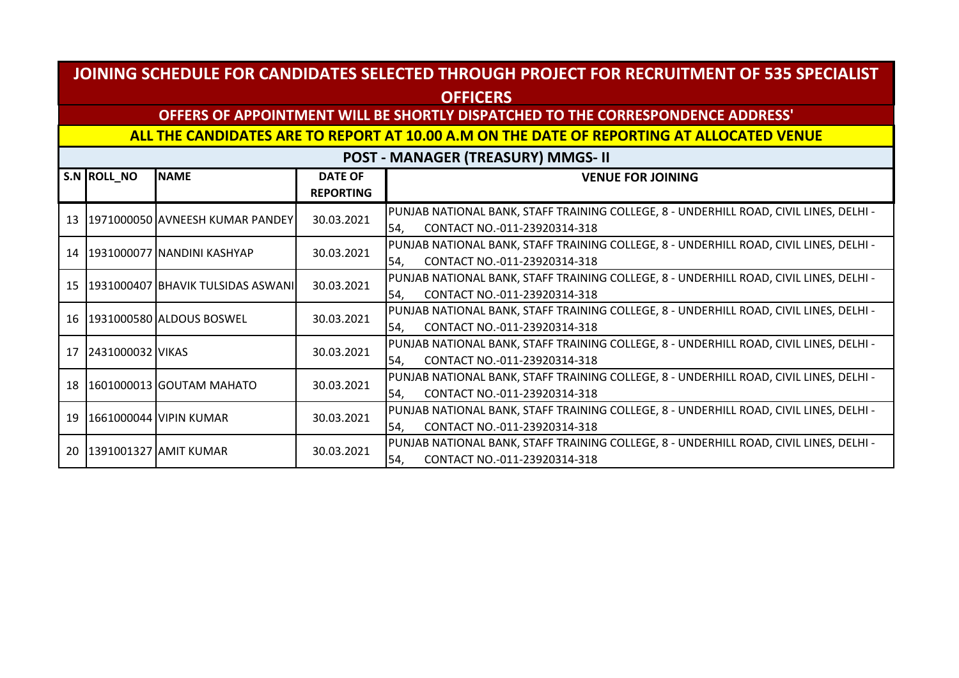## **OFFERS OF APPOINTMENT WILL BE SHORTLY DISPATCHED TO THE CORRESPONDENCE ADDRESS'**

#### **ALL THE CANDIDATES ARE TO REPORT AT 10.00 A.M ON THE DATE OF REPORTING AT ALLOCATED VENUE**

**POST - MANAGER (TREASURY) MMGS- II**

|    | S.N ROLL NO                  | <b>NAME</b>                          | <b>DATE OF</b>   | <b>VENUE FOR JOINING</b>                                                               |
|----|------------------------------|--------------------------------------|------------------|----------------------------------------------------------------------------------------|
|    |                              |                                      | <b>REPORTING</b> |                                                                                        |
|    |                              |                                      | 30.03.2021       | PUNJAB NATIONAL BANK, STAFF TRAINING COLLEGE, 8 - UNDERHILL ROAD, CIVIL LINES, DELHI - |
|    |                              | 13   1971000050 AVNEESH KUMAR PANDEY |                  | CONTACT NO.-011-23920314-318<br>54,                                                    |
|    |                              | 14   1931000077   NANDINI KASHYAP    | 30.03.2021       | PUNJAB NATIONAL BANK, STAFF TRAINING COLLEGE, 8 - UNDERHILL ROAD, CIVIL LINES, DELHI - |
|    |                              |                                      |                  | CONTACT NO.-011-23920314-318<br>54,                                                    |
|    |                              | 15 1931000407 BHAVIK TULSIDAS ASWANI | 30.03.2021       | PUNJAB NATIONAL BANK, STAFF TRAINING COLLEGE, 8 - UNDERHILL ROAD, CIVIL LINES, DELHI - |
|    |                              |                                      |                  | CONTACT NO.-011-23920314-318<br>54,                                                    |
|    |                              | 16 1931000580 ALDOUS BOSWEL          | 30.03.2021       | PUNJAB NATIONAL BANK, STAFF TRAINING COLLEGE, 8 - UNDERHILL ROAD, CIVIL LINES, DELHI - |
|    |                              |                                      |                  | CONTACT NO.-011-23920314-318<br>54,                                                    |
|    | 17 2431000032 VIKAS          |                                      | 30.03.2021       | PUNJAB NATIONAL BANK, STAFF TRAINING COLLEGE, 8 - UNDERHILL ROAD, CIVIL LINES, DELHI - |
|    |                              |                                      |                  | CONTACT NO.-011-23920314-318<br>54.                                                    |
|    |                              | 18   1601000013   GOUTAM MAHATO      | 30.03.2021       | PUNJAB NATIONAL BANK, STAFF TRAINING COLLEGE, 8 - UNDERHILL ROAD, CIVIL LINES, DELHI - |
|    |                              |                                      |                  | CONTACT NO.-011-23920314-318<br>54.                                                    |
| 19 |                              | 11661000044 VIPIN KUMAR              | 30.03.2021       | PUNJAB NATIONAL BANK, STAFF TRAINING COLLEGE, 8 - UNDERHILL ROAD, CIVIL LINES, DELHI - |
|    |                              |                                      |                  | CONTACT NO.-011-23920314-318<br>54,                                                    |
|    |                              |                                      | 30.03.2021       | PUNJAB NATIONAL BANK, STAFF TRAINING COLLEGE, 8 - UNDERHILL ROAD, CIVIL LINES, DELHI - |
|    | 20   1391001327   AMIT KUMAR |                                      |                  | CONTACT NO.-011-23920314-318<br>54.                                                    |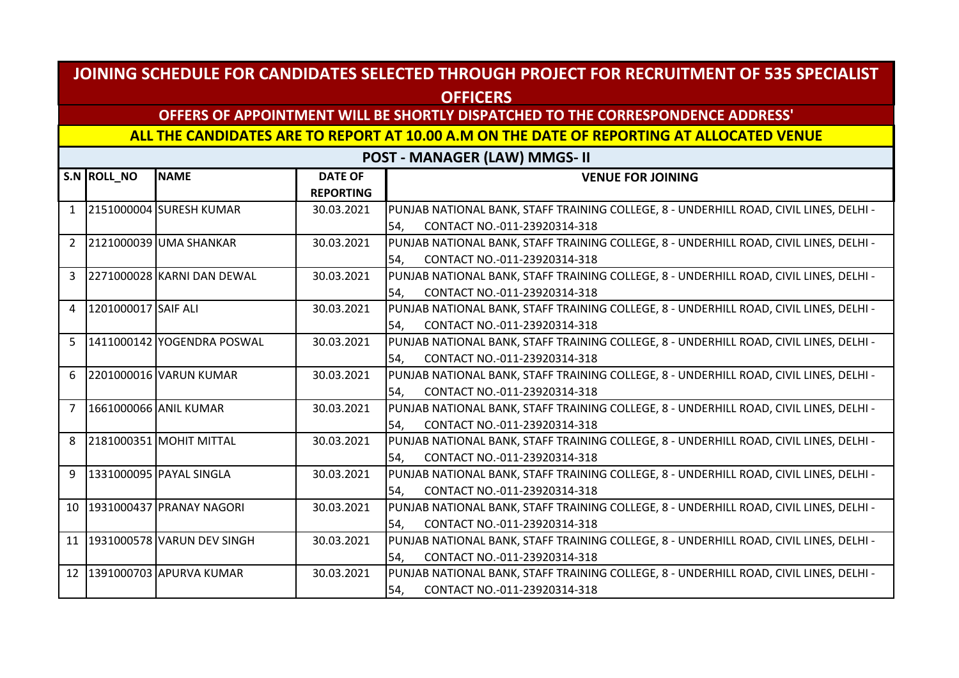#### **OFFERS OF APPOINTMENT WILL BE SHORTLY DISPATCHED TO THE CORRESPONDENCE ADDRESS'**

#### **ALL THE CANDIDATES ARE TO REPORT AT 10.00 A.M ON THE DATE OF REPORTING AT ALLOCATED VENUE**

**POST - MANAGER (LAW) MMGS- II**

|                | S.N ROLL_NO         | <b>NAME</b>                | <b>DATE OF</b>   | <b>VENUE FOR JOINING</b>                                                               |
|----------------|---------------------|----------------------------|------------------|----------------------------------------------------------------------------------------|
|                |                     |                            | <b>REPORTING</b> |                                                                                        |
| $\mathbf{1}$   |                     | 2151000004 SURESH KUMAR    | 30.03.2021       | PUNJAB NATIONAL BANK, STAFF TRAINING COLLEGE, 8 - UNDERHILL ROAD, CIVIL LINES, DELHI - |
|                |                     |                            |                  | CONTACT NO.-011-23920314-318<br>54,                                                    |
| $\overline{2}$ |                     | 2121000039 UMA SHANKAR     | 30.03.2021       | PUNJAB NATIONAL BANK, STAFF TRAINING COLLEGE, 8 - UNDERHILL ROAD, CIVIL LINES, DELHI - |
|                |                     |                            |                  | CONTACT NO.-011-23920314-318<br>54,                                                    |
| $\overline{3}$ |                     | 2271000028 KARNI DAN DEWAL | 30.03.2021       | PUNJAB NATIONAL BANK, STAFF TRAINING COLLEGE, 8 - UNDERHILL ROAD, CIVIL LINES, DELHI - |
|                |                     |                            |                  | CONTACT NO.-011-23920314-318<br>54,                                                    |
| $\overline{4}$ | 1201000017 SAIF ALI |                            | 30.03.2021       | PUNJAB NATIONAL BANK, STAFF TRAINING COLLEGE, 8 - UNDERHILL ROAD, CIVIL LINES, DELHI - |
|                |                     |                            |                  | CONTACT NO.-011-23920314-318<br>54,                                                    |
| 5              |                     | 1411000142 YOGENDRA POSWAL | 30.03.2021       | PUNJAB NATIONAL BANK, STAFF TRAINING COLLEGE, 8 - UNDERHILL ROAD, CIVIL LINES, DELHI - |
|                |                     |                            |                  | CONTACT NO.-011-23920314-318<br>54,                                                    |
| 6              |                     | 2201000016 VARUN KUMAR     | 30.03.2021       | PUNJAB NATIONAL BANK, STAFF TRAINING COLLEGE, 8 - UNDERHILL ROAD, CIVIL LINES, DELHI - |
|                |                     |                            |                  | CONTACT NO.-011-23920314-318<br>l54.                                                   |
| $\overline{7}$ |                     | 1661000066 ANIL KUMAR      | 30.03.2021       | PUNJAB NATIONAL BANK, STAFF TRAINING COLLEGE, 8 - UNDERHILL ROAD, CIVIL LINES, DELHI - |
|                |                     |                            |                  | CONTACT NO.-011-23920314-318<br>54,                                                    |
| 8              |                     | 2181000351 MOHIT MITTAL    | 30.03.2021       | PUNJAB NATIONAL BANK, STAFF TRAINING COLLEGE, 8 - UNDERHILL ROAD, CIVIL LINES, DELHI - |
|                |                     |                            |                  | CONTACT NO.-011-23920314-318<br>l54.                                                   |
| 9              |                     | 1331000095 PAYAL SINGLA    | 30.03.2021       | PUNJAB NATIONAL BANK, STAFF TRAINING COLLEGE, 8 - UNDERHILL ROAD, CIVIL LINES, DELHI - |
|                |                     |                            |                  | CONTACT NO.-011-23920314-318<br>54.                                                    |
| 10             |                     | 1931000437 PRANAY NAGORI   | 30.03.2021       | PUNJAB NATIONAL BANK, STAFF TRAINING COLLEGE, 8 - UNDERHILL ROAD, CIVIL LINES, DELHI - |
|                |                     |                            |                  | CONTACT NO.-011-23920314-318<br>54,                                                    |
| 11             |                     | 1931000578 VARUN DEV SINGH | 30.03.2021       | PUNJAB NATIONAL BANK, STAFF TRAINING COLLEGE, 8 - UNDERHILL ROAD, CIVIL LINES, DELHI - |
|                |                     |                            |                  | CONTACT NO.-011-23920314-318<br>54,                                                    |
| 12             |                     | 1391000703 APURVA KUMAR    | 30.03.2021       | PUNJAB NATIONAL BANK, STAFF TRAINING COLLEGE, 8 - UNDERHILL ROAD, CIVIL LINES, DELHI - |
|                |                     |                            |                  | CONTACT NO.-011-23920314-318<br>54,                                                    |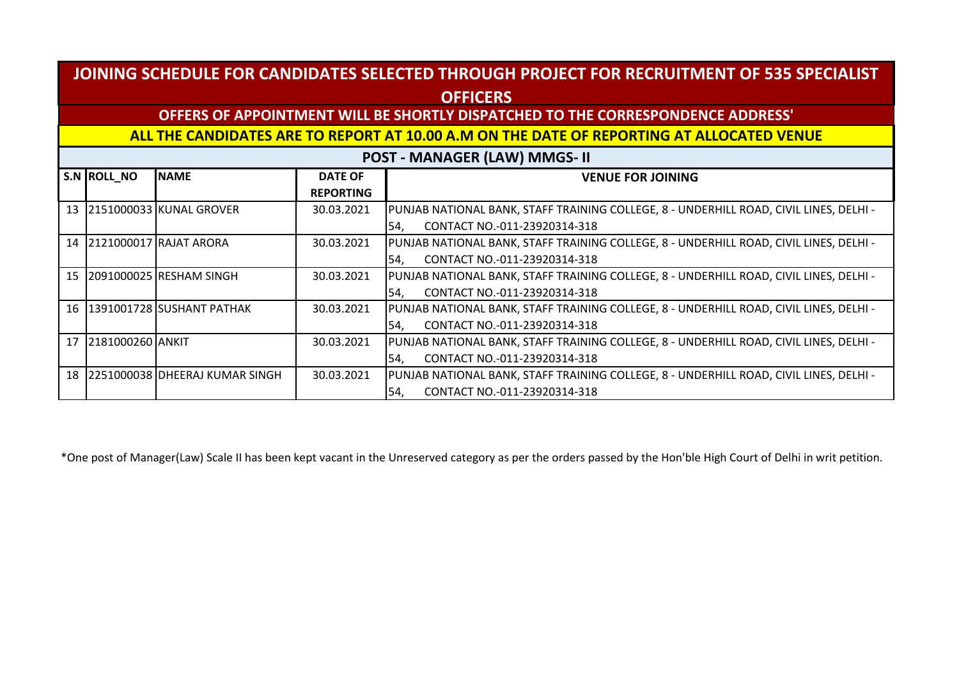## **OFFERS OF APPOINTMENT WILL BE SHORTLY DISPATCHED TO THE CORRESPONDENCE ADDRESS'**

#### **ALL THE CANDIDATES ARE TO REPORT AT 10.00 A.M ON THE DATE OF REPORTING AT ALLOCATED VENUE**

**POST - MANAGER (LAW) MMGS- II**

|    | S.N ROLL NO         | <b>NAME</b>                       | <b>DATE OF</b>   | <b>VENUE FOR JOINING</b>                                                               |
|----|---------------------|-----------------------------------|------------------|----------------------------------------------------------------------------------------|
|    |                     |                                   | <b>REPORTING</b> |                                                                                        |
|    |                     | 13 2151000033 KUNAL GROVER        | 30.03.2021       | PUNJAB NATIONAL BANK, STAFF TRAINING COLLEGE, 8 - UNDERHILL ROAD, CIVIL LINES, DELHI - |
|    |                     |                                   |                  | CONTACT NO.-011-23920314-318<br>54.                                                    |
|    |                     | 14 2121000017 RAJAT ARORA         | 30.03.2021       | PUNJAB NATIONAL BANK, STAFF TRAINING COLLEGE, 8 - UNDERHILL ROAD, CIVIL LINES, DELHI - |
|    |                     |                                   |                  | CONTACT NO.-011-23920314-318<br>54.                                                    |
| 15 |                     | 120910000251RESHAM SINGH          | 30.03.2021       | PUNJAB NATIONAL BANK, STAFF TRAINING COLLEGE, 8 - UNDERHILL ROAD, CIVIL LINES, DELHI - |
|    |                     |                                   |                  | CONTACT NO.-011-23920314-318<br>54,                                                    |
| 16 |                     | 1391001728 SUSHANT PATHAK         | 30.03.2021       | PUNJAB NATIONAL BANK, STAFF TRAINING COLLEGE, 8 - UNDERHILL ROAD, CIVIL LINES, DELHI - |
|    |                     |                                   |                  | 54,<br>CONTACT NO.-011-23920314-318                                                    |
|    | 17 2181000260 ANKIT |                                   | 30.03.2021       | PUNJAB NATIONAL BANK, STAFF TRAINING COLLEGE, 8 - UNDERHILL ROAD, CIVIL LINES, DELHI - |
|    |                     |                                   |                  | CONTACT NO.-011-23920314-318<br>54.                                                    |
|    |                     | 18 2251000038 DHEERAJ KUMAR SINGH | 30.03.2021       | PUNJAB NATIONAL BANK, STAFF TRAINING COLLEGE, 8 - UNDERHILL ROAD, CIVIL LINES, DELHI - |
|    |                     |                                   |                  | CONTACT NO.-011-23920314-318<br>I54.                                                   |

\*One post of Manager(Law) Scale II has been kept vacant in the Unreserved category as per the orders passed by the Hon'ble High Court of Delhi in writ petition.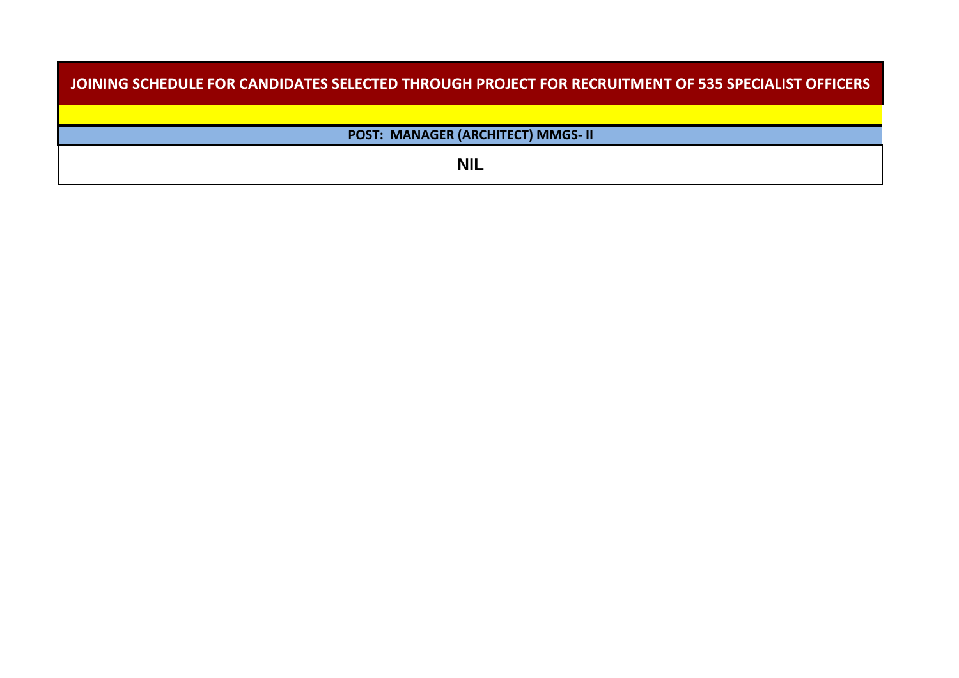| JOINING SCHEDULE FOR CANDIDATES SELECTED THROUGH PROJECT FOR RECRUITMENT OF 535 SPECIALIST OFFICERS |
|-----------------------------------------------------------------------------------------------------|
|                                                                                                     |
| POST: MANAGER (ARCHITECT) MMGS- II                                                                  |
| <b>NIL</b>                                                                                          |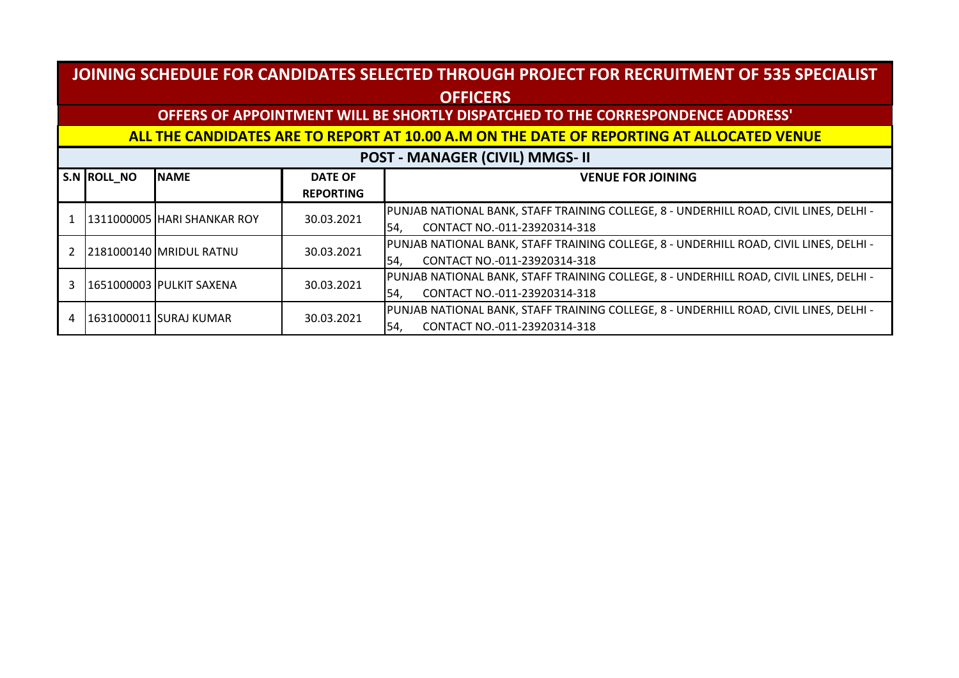## **OFFERS OF APPOINTMENT WILL BE SHORTLY DISPATCHED TO THE CORRESPONDENCE ADDRESS'**

#### **ALL THE CANDIDATES ARE TO REPORT AT 10.00 A.M ON THE DATE OF REPORTING AT ALLOCATED VENUE**

#### **POST - MANAGER (CIVIL) MMGS- II**

| S.N ROLL NO | <b>NAME</b>                            | <b>DATE OF</b>                      | <b>VENUE FOR JOINING</b>                                                               |
|-------------|----------------------------------------|-------------------------------------|----------------------------------------------------------------------------------------|
|             |                                        | <b>REPORTING</b>                    |                                                                                        |
|             | 1311000005 HARI SHANKAR ROY            | 30.03.2021                          | PUNJAB NATIONAL BANK, STAFF TRAINING COLLEGE, 8 - UNDERHILL ROAD, CIVIL LINES, DELHI - |
|             |                                        |                                     | CONTACT NO.-011-23920314-318<br>54.                                                    |
|             | 2181000140 MRIDUL RATNU                | 30.03.2021                          | PUNJAB NATIONAL BANK, STAFF TRAINING COLLEGE, 8 - UNDERHILL ROAD, CIVIL LINES, DELHI - |
|             |                                        |                                     | CONTACT NO.-011-23920314-318<br>54.                                                    |
|             |                                        |                                     | PUNJAB NATIONAL BANK, STAFF TRAINING COLLEGE, 8 - UNDERHILL ROAD, CIVIL LINES, DELHI - |
|             | 30.03.2021<br>1651000003 PULKIT SAXENA | CONTACT NO.-011-23920314-318<br>54. |                                                                                        |
|             |                                        |                                     | PUNJAB NATIONAL BANK, STAFF TRAINING COLLEGE, 8 - UNDERHILL ROAD, CIVIL LINES, DELHI - |
|             | 1631000011 SURAJ KUMAR                 | 30.03.2021                          | CONTACT NO.-011-23920314-318<br>54.                                                    |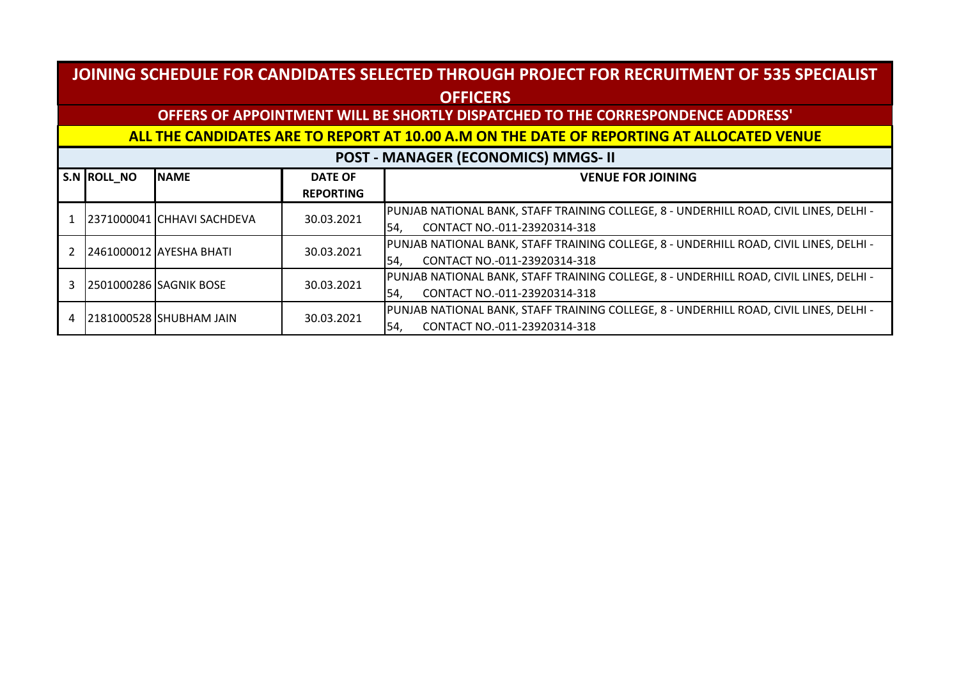## **OFFERS OF APPOINTMENT WILL BE SHORTLY DISPATCHED TO THE CORRESPONDENCE ADDRESS'**

#### **ALL THE CANDIDATES ARE TO REPORT AT 10.00 A.M ON THE DATE OF REPORTING AT ALLOCATED VENUE**

#### **POST - MANAGER (ECONOMICS) MMGS- II**

|  | S.N ROLL NO | <b>NAME</b>                | <b>DATE OF</b>                                                                         | <b>VENUE FOR JOINING</b>                                                               |
|--|-------------|----------------------------|----------------------------------------------------------------------------------------|----------------------------------------------------------------------------------------|
|  |             |                            | <b>REPORTING</b>                                                                       |                                                                                        |
|  |             | 2371000041 CHHAVI SACHDEVA | 30.03.2021                                                                             | PUNJAB NATIONAL BANK, STAFF TRAINING COLLEGE, 8 - UNDERHILL ROAD, CIVIL LINES, DELHI - |
|  |             |                            |                                                                                        | CONTACT NO.-011-23920314-318<br>54.                                                    |
|  |             | 2461000012 AYESHA BHATI    | 30.03.2021                                                                             | PUNJAB NATIONAL BANK, STAFF TRAINING COLLEGE, 8 - UNDERHILL ROAD, CIVIL LINES, DELHI - |
|  |             |                            |                                                                                        | CONTACT NO.-011-23920314-318<br>54.                                                    |
|  |             | 30.03.2021                 | PUNJAB NATIONAL BANK, STAFF TRAINING COLLEGE, 8 - UNDERHILL ROAD, CIVIL LINES, DELHI - |                                                                                        |
|  |             | 2501000286 SAGNIK BOSE     |                                                                                        | CONTACT NO.-011-23920314-318<br>54.                                                    |
|  |             | 2181000528 SHUBHAM JAIN    | 30.03.2021                                                                             | PUNJAB NATIONAL BANK, STAFF TRAINING COLLEGE, 8 - UNDERHILL ROAD, CIVIL LINES, DELHI - |
|  |             |                            |                                                                                        | CONTACT NO.-011-23920314-318<br>54.                                                    |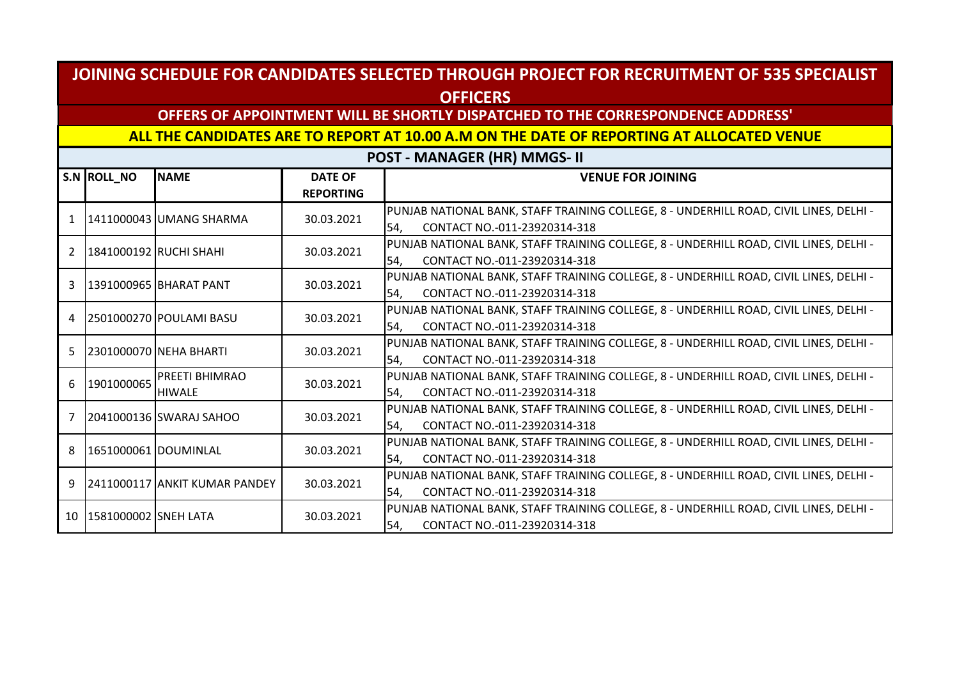## **OFFERS OF APPOINTMENT WILL BE SHORTLY DISPATCHED TO THE CORRESPONDENCE ADDRESS'**

#### **ALL THE CANDIDATES ARE TO REPORT AT 10.00 A.M ON THE DATE OF REPORTING AT ALLOCATED VENUE**

|                | S.N ROLL NO             | <b>NAME</b>                            | <b>DATE OF</b><br><b>REPORTING</b> | <b>VENUE FOR JOINING</b>                                                                                                      |
|----------------|-------------------------|----------------------------------------|------------------------------------|-------------------------------------------------------------------------------------------------------------------------------|
|                |                         | 1411000043 UMANG SHARMA                | 30.03.2021                         | PUNJAB NATIONAL BANK, STAFF TRAINING COLLEGE, 8 - UNDERHILL ROAD, CIVIL LINES, DELHI -<br>CONTACT NO.-011-23920314-318<br>54, |
| $\overline{2}$ |                         | 1841000192 RUCHI SHAHI                 | 30.03.2021                         | PUNJAB NATIONAL BANK, STAFF TRAINING COLLEGE, 8 - UNDERHILL ROAD, CIVIL LINES, DELHI -<br>CONTACT NO.-011-23920314-318<br>54, |
| 3              |                         | 1391000965 BHARAT PANT                 | 30.03.2021                         | PUNJAB NATIONAL BANK, STAFF TRAINING COLLEGE, 8 - UNDERHILL ROAD, CIVIL LINES, DELHI -<br>CONTACT NO.-011-23920314-318<br>54, |
| 4              |                         | 12501000270 POULAMI BASU               | 30.03.2021                         | PUNJAB NATIONAL BANK, STAFF TRAINING COLLEGE, 8 - UNDERHILL ROAD, CIVIL LINES, DELHI -<br>CONTACT NO.-011-23920314-318<br>54. |
| 5              |                         | 2301000070   NEHA BHARTI               | 30.03.2021                         | PUNJAB NATIONAL BANK, STAFF TRAINING COLLEGE, 8 - UNDERHILL ROAD, CIVIL LINES, DELHI -<br>CONTACT NO.-011-23920314-318<br>54, |
| 6              | 1901000065              | <b>PREETI BHIMRAO</b><br><b>HIWALE</b> | 30.03.2021                         | PUNJAB NATIONAL BANK, STAFF TRAINING COLLEGE, 8 - UNDERHILL ROAD, CIVIL LINES, DELHI -<br>CONTACT NO.-011-23920314-318<br>54, |
|                |                         | 2041000136 SWARAJ SAHOO                | 30.03.2021                         | PUNJAB NATIONAL BANK, STAFF TRAINING COLLEGE, 8 - UNDERHILL ROAD, CIVIL LINES, DELHI -<br>CONTACT NO.-011-23920314-318<br>54, |
| 8              | 1651000061 DOUMINLAL    |                                        | 30.03.2021                         | PUNJAB NATIONAL BANK, STAFF TRAINING COLLEGE, 8 - UNDERHILL ROAD, CIVIL LINES, DELHI -<br>CONTACT NO.-011-23920314-318<br>54, |
| 9              |                         | 2411000117 ANKIT KUMAR PANDEY          | 30.03.2021                         | PUNJAB NATIONAL BANK, STAFF TRAINING COLLEGE, 8 - UNDERHILL ROAD, CIVIL LINES, DELHI -<br>CONTACT NO.-011-23920314-318<br>54, |
|                | 10 1581000002 SNEH LATA |                                        | 30.03.2021                         | PUNJAB NATIONAL BANK, STAFF TRAINING COLLEGE, 8 - UNDERHILL ROAD, CIVIL LINES, DELHI -<br>CONTACT NO.-011-23920314-318<br>54, |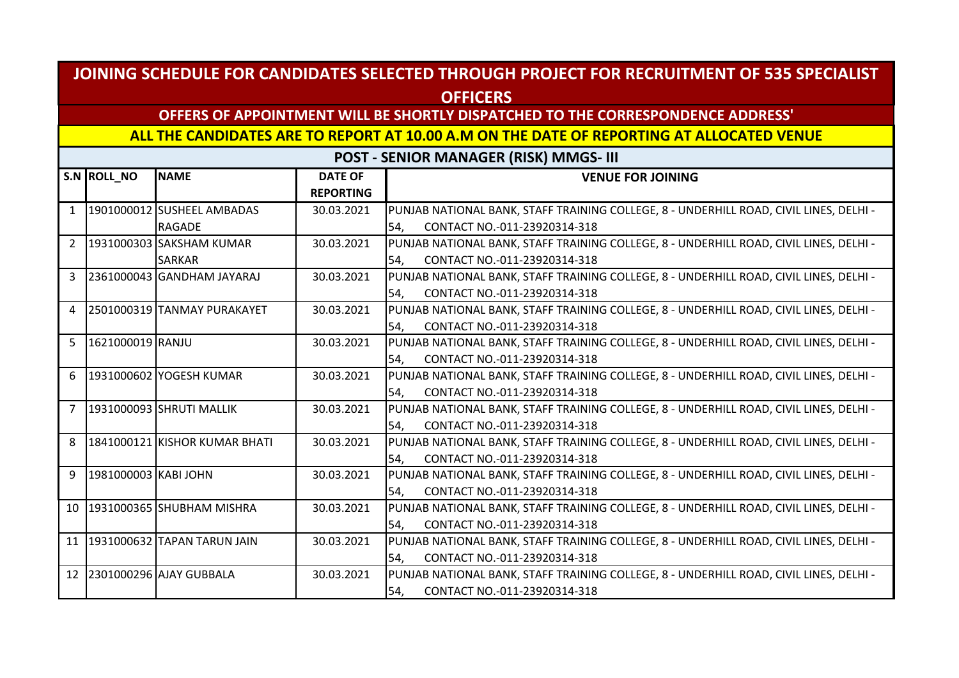## **OFFERS OF APPOINTMENT WILL BE SHORTLY DISPATCHED TO THE CORRESPONDENCE ADDRESS'**

#### **ALL THE CANDIDATES ARE TO REPORT AT 10.00 A.M ON THE DATE OF REPORTING AT ALLOCATED VENUE**

|                | S.N ROLL_NO          | <b>NAME</b>                        | <b>DATE OF</b>   | <b>VENUE FOR JOINING</b>                                                               |
|----------------|----------------------|------------------------------------|------------------|----------------------------------------------------------------------------------------|
|                |                      |                                    | <b>REPORTING</b> |                                                                                        |
| $\mathbf{1}$   |                      | 1901000012 SUSHEEL AMBADAS         | 30.03.2021       | PUNJAB NATIONAL BANK, STAFF TRAINING COLLEGE, 8 - UNDERHILL ROAD, CIVIL LINES, DELHI - |
|                |                      | <b>RAGADE</b>                      |                  | CONTACT NO.-011-23920314-318<br>I54.                                                   |
| $\overline{2}$ |                      | 1931000303 SAKSHAM KUMAR           | 30.03.2021       | PUNJAB NATIONAL BANK, STAFF TRAINING COLLEGE, 8 - UNDERHILL ROAD, CIVIL LINES, DELHI - |
|                |                      | <b>SARKAR</b>                      |                  | CONTACT NO.-011-23920314-318<br>54.                                                    |
| 3              |                      | 2361000043 GANDHAM JAYARAJ         | 30.03.2021       | PUNJAB NATIONAL BANK, STAFF TRAINING COLLEGE, 8 - UNDERHILL ROAD, CIVIL LINES, DELHI - |
|                |                      |                                    |                  | CONTACT NO.-011-23920314-318<br>I54.                                                   |
| 4              |                      | 2501000319 TANMAY PURAKAYET        | 30.03.2021       | PUNJAB NATIONAL BANK, STAFF TRAINING COLLEGE, 8 - UNDERHILL ROAD, CIVIL LINES, DELHI - |
|                |                      |                                    |                  | CONTACT NO.-011-23920314-318<br>54,                                                    |
| 5 <sup>1</sup> | 1621000019 RANJU     |                                    | 30.03.2021       | PUNJAB NATIONAL BANK, STAFF TRAINING COLLEGE, 8 - UNDERHILL ROAD, CIVIL LINES, DELHI - |
|                |                      |                                    |                  | CONTACT NO.-011-23920314-318<br>I54.                                                   |
| 6              |                      | 1931000602 YOGESH KUMAR            | 30.03.2021       | PUNJAB NATIONAL BANK, STAFF TRAINING COLLEGE, 8 - UNDERHILL ROAD, CIVIL LINES, DELHI - |
|                |                      |                                    |                  | CONTACT NO.-011-23920314-318<br>54,                                                    |
| $\overline{7}$ |                      | 1931000093 SHRUTI MALLIK           | 30.03.2021       | PUNJAB NATIONAL BANK, STAFF TRAINING COLLEGE, 8 - UNDERHILL ROAD, CIVIL LINES, DELHI - |
|                |                      |                                    |                  | CONTACT NO.-011-23920314-318<br>54,                                                    |
| 8              |                      | 1841000121 KISHOR KUMAR BHATI      | 30.03.2021       | PUNJAB NATIONAL BANK, STAFF TRAINING COLLEGE, 8 - UNDERHILL ROAD, CIVIL LINES, DELHI - |
|                |                      |                                    |                  | CONTACT NO.-011-23920314-318<br>I54.                                                   |
| 9              | 1981000003 KABI JOHN |                                    | 30.03.2021       | PUNJAB NATIONAL BANK, STAFF TRAINING COLLEGE, 8 - UNDERHILL ROAD, CIVIL LINES, DELHI - |
|                |                      |                                    |                  | CONTACT NO.-011-23920314-318<br>I54.                                                   |
|                |                      | 10 1931000365 SHUBHAM MISHRA       | 30.03.2021       | PUNJAB NATIONAL BANK, STAFF TRAINING COLLEGE, 8 - UNDERHILL ROAD, CIVIL LINES, DELHI - |
|                |                      |                                    |                  | CONTACT NO.-011-23920314-318<br>54,                                                    |
|                |                      | 11   1931000632   TAPAN TARUN JAIN | 30.03.2021       | PUNJAB NATIONAL BANK, STAFF TRAINING COLLEGE, 8 - UNDERHILL ROAD, CIVIL LINES, DELHI - |
|                |                      |                                    |                  | CONTACT NO.-011-23920314-318<br>54,                                                    |
|                |                      | 12 2301000296 AJAY GUBBALA         | 30.03.2021       | PUNJAB NATIONAL BANK, STAFF TRAINING COLLEGE, 8 - UNDERHILL ROAD, CIVIL LINES, DELHI - |
|                |                      |                                    |                  | CONTACT NO.-011-23920314-318<br>54,                                                    |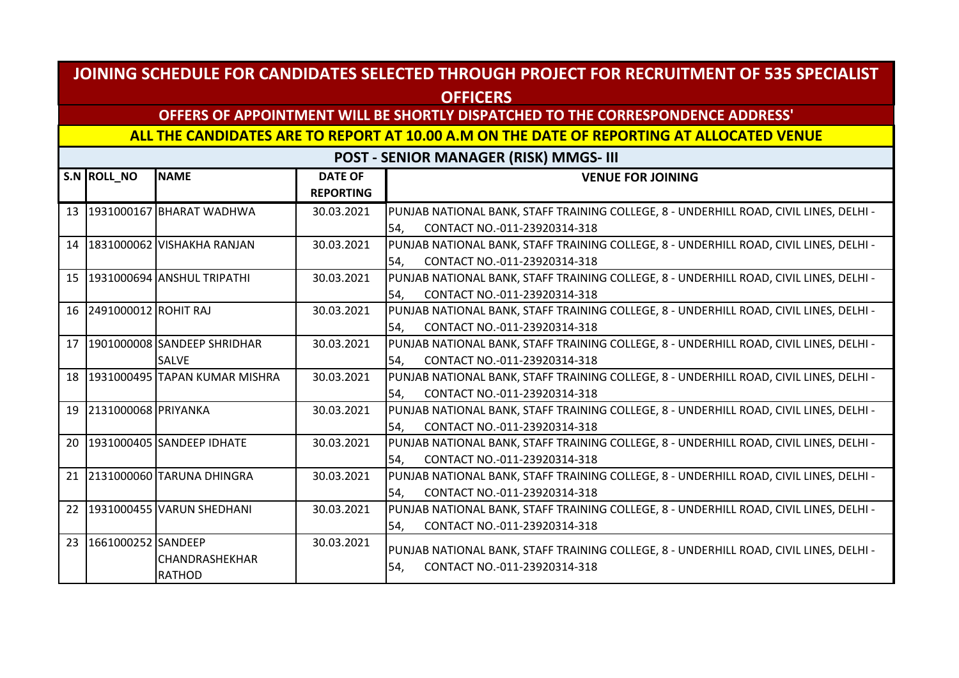## **OFFERS OF APPOINTMENT WILL BE SHORTLY DISPATCHED TO THE CORRESPONDENCE ADDRESS'**

#### **ALL THE CANDIDATES ARE TO REPORT AT 10.00 A.M ON THE DATE OF REPORTING AT ALLOCATED VENUE**

|    | S.N ROLL_NO             | <b>NAME</b>                      | <b>DATE OF</b><br><b>REPORTING</b> | <b>VENUE FOR JOINING</b>                                                               |
|----|-------------------------|----------------------------------|------------------------------------|----------------------------------------------------------------------------------------|
|    |                         | 13 1931000167 BHARAT WADHWA      | 30.03.2021                         | PUNJAB NATIONAL BANK, STAFF TRAINING COLLEGE, 8 - UNDERHILL ROAD, CIVIL LINES, DELHI - |
|    |                         |                                  |                                    | CONTACT NO.-011-23920314-318<br>54.                                                    |
|    |                         | 14 1831000062 VISHAKHA RANJAN    | 30.03.2021                         | PUNJAB NATIONAL BANK, STAFF TRAINING COLLEGE, 8 - UNDERHILL ROAD, CIVIL LINES, DELHI - |
|    |                         |                                  |                                    | CONTACT NO.-011-23920314-318<br>54,                                                    |
|    |                         | 15 1931000694 ANSHUL TRIPATHI    | 30.03.2021                         | PUNJAB NATIONAL BANK, STAFF TRAINING COLLEGE, 8 - UNDERHILL ROAD, CIVIL LINES, DELHI - |
|    |                         |                                  |                                    | CONTACT NO.-011-23920314-318<br>54,                                                    |
|    | 16 2491000012 ROHIT RAJ |                                  | 30.03.2021                         | PUNJAB NATIONAL BANK, STAFF TRAINING COLLEGE, 8 - UNDERHILL ROAD, CIVIL LINES, DELHI - |
|    |                         |                                  |                                    | CONTACT NO.-011-23920314-318<br>54,                                                    |
|    |                         | 17 1901000008 SANDEEP SHRIDHAR   | 30.03.2021                         | PUNJAB NATIONAL BANK, STAFF TRAINING COLLEGE, 8 - UNDERHILL ROAD, CIVIL LINES, DELHI - |
|    |                         | <b>SALVE</b>                     |                                    | CONTACT NO.-011-23920314-318<br>54,                                                    |
|    |                         | 18 1931000495 TAPAN KUMAR MISHRA | 30.03.2021                         | PUNJAB NATIONAL BANK, STAFF TRAINING COLLEGE, 8 - UNDERHILL ROAD, CIVIL LINES, DELHI - |
|    |                         |                                  |                                    | CONTACT NO.-011-23920314-318<br>54,                                                    |
|    | 19 2131000068 PRIYANKA  |                                  | 30.03.2021                         | PUNJAB NATIONAL BANK, STAFF TRAINING COLLEGE, 8 - UNDERHILL ROAD, CIVIL LINES, DELHI - |
|    |                         |                                  |                                    | CONTACT NO.-011-23920314-318<br>54,                                                    |
|    |                         | 20 1931000405 SANDEEP IDHATE     | 30.03.2021                         | PUNJAB NATIONAL BANK, STAFF TRAINING COLLEGE, 8 - UNDERHILL ROAD, CIVIL LINES, DELHI - |
|    |                         |                                  |                                    | CONTACT NO.-011-23920314-318<br>54,                                                    |
|    |                         | 21 2131000060 TARUNA DHINGRA     | 30.03.2021                         | PUNJAB NATIONAL BANK, STAFF TRAINING COLLEGE, 8 - UNDERHILL ROAD, CIVIL LINES, DELHI - |
|    |                         |                                  |                                    | CONTACT NO.-011-23920314-318<br>54,                                                    |
|    |                         | 22 1931000455 VARUN SHEDHANI     | 30.03.2021                         | PUNJAB NATIONAL BANK, STAFF TRAINING COLLEGE, 8 - UNDERHILL ROAD, CIVIL LINES, DELHI - |
|    |                         |                                  |                                    | CONTACT NO.-011-23920314-318<br>54,                                                    |
| 23 | 1661000252 SANDEEP      |                                  | 30.03.2021                         | PUNJAB NATIONAL BANK, STAFF TRAINING COLLEGE, 8 - UNDERHILL ROAD, CIVIL LINES, DELHI - |
|    |                         | CHANDRASHEKHAR                   |                                    | CONTACT NO.-011-23920314-318<br>54,                                                    |
|    |                         | <b>RATHOD</b>                    |                                    |                                                                                        |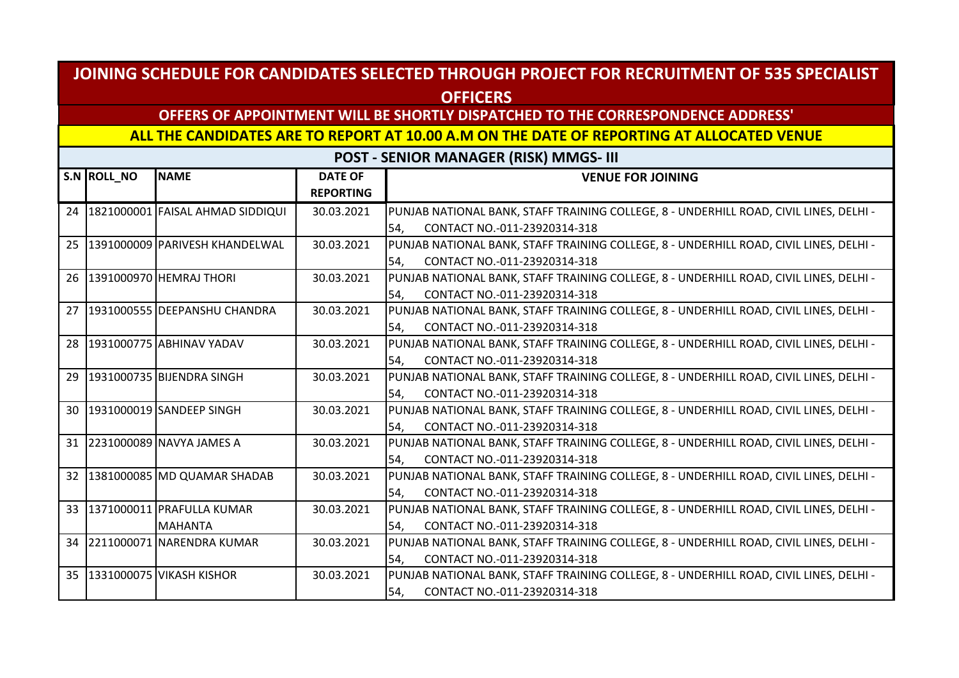### **OFFERS OF APPOINTMENT WILL BE SHORTLY DISPATCHED TO THE CORRESPONDENCE ADDRESS'**

#### **ALL THE CANDIDATES ARE TO REPORT AT 10.00 A.M ON THE DATE OF REPORTING AT ALLOCATED VENUE**

| S.N ROLL_NO | <b>NAME</b>                             | <b>DATE OF</b><br><b>REPORTING</b> | <b>VENUE FOR JOINING</b>                                                               |
|-------------|-----------------------------------------|------------------------------------|----------------------------------------------------------------------------------------|
|             | 24   1821000001   FAISAL AHMAD SIDDIQUI | 30.03.2021                         |                                                                                        |
|             |                                         |                                    | PUNJAB NATIONAL BANK, STAFF TRAINING COLLEGE, 8 - UNDERHILL ROAD, CIVIL LINES, DELHI - |
|             |                                         |                                    | CONTACT NO.-011-23920314-318<br>54.                                                    |
|             | 25 1391000009 PARIVESH KHANDELWAL       | 30.03.2021                         | PUNJAB NATIONAL BANK, STAFF TRAINING COLLEGE, 8 - UNDERHILL ROAD, CIVIL LINES, DELHI - |
|             |                                         |                                    | CONTACT NO.-011-23920314-318<br>54.                                                    |
|             | 26 1391000970 HEMRAJ THORI              | 30.03.2021                         | PUNJAB NATIONAL BANK, STAFF TRAINING COLLEGE, 8 - UNDERHILL ROAD, CIVIL LINES, DELHI - |
|             |                                         |                                    | CONTACT NO.-011-23920314-318<br>54,                                                    |
|             | 27   1931000555   DEEPANSHU CHANDRA     | 30.03.2021                         | PUNJAB NATIONAL BANK, STAFF TRAINING COLLEGE, 8 - UNDERHILL ROAD, CIVIL LINES, DELHI - |
|             |                                         |                                    | CONTACT NO.-011-23920314-318<br>54.                                                    |
|             | 28 1931000775 ABHINAV YADAV             | 30.03.2021                         | PUNJAB NATIONAL BANK, STAFF TRAINING COLLEGE, 8 - UNDERHILL ROAD, CIVIL LINES, DELHI - |
|             |                                         |                                    | CONTACT NO.-011-23920314-318<br>54,                                                    |
|             | 29 1931000735 BIJENDRA SINGH            | 30.03.2021                         | PUNJAB NATIONAL BANK, STAFF TRAINING COLLEGE, 8 - UNDERHILL ROAD, CIVIL LINES, DELHI - |
|             |                                         |                                    | CONTACT NO.-011-23920314-318<br>54,                                                    |
|             | 30 1931000019 SANDEEP SINGH             | 30.03.2021                         | PUNJAB NATIONAL BANK, STAFF TRAINING COLLEGE, 8 - UNDERHILL ROAD, CIVIL LINES, DELHI - |
|             |                                         |                                    | CONTACT NO.-011-23920314-318<br>54,                                                    |
|             | 31 2231000089 NAVYA JAMES A             | 30.03.2021                         | PUNJAB NATIONAL BANK, STAFF TRAINING COLLEGE, 8 - UNDERHILL ROAD, CIVIL LINES, DELHI - |
|             |                                         |                                    | CONTACT NO.-011-23920314-318<br>54,                                                    |
|             | 32 1381000085 MD QUAMAR SHADAB          | 30.03.2021                         | PUNJAB NATIONAL BANK, STAFF TRAINING COLLEGE, 8 - UNDERHILL ROAD, CIVIL LINES, DELHI - |
|             |                                         |                                    | CONTACT NO.-011-23920314-318<br>54.                                                    |
|             | 33 1371000011 PRAFULLA KUMAR            | 30.03.2021                         | PUNJAB NATIONAL BANK, STAFF TRAINING COLLEGE, 8 - UNDERHILL ROAD, CIVIL LINES, DELHI - |
|             | <b>MAHANTA</b>                          |                                    | CONTACT NO.-011-23920314-318<br>54,                                                    |
|             | 34 2211000071 NARENDRA KUMAR            | 30.03.2021                         | PUNJAB NATIONAL BANK, STAFF TRAINING COLLEGE, 8 - UNDERHILL ROAD, CIVIL LINES, DELHI - |
|             |                                         |                                    | CONTACT NO.-011-23920314-318<br>54,                                                    |
|             | 35 1331000075 VIKASH KISHOR             | 30.03.2021                         | PUNJAB NATIONAL BANK, STAFF TRAINING COLLEGE, 8 - UNDERHILL ROAD, CIVIL LINES, DELHI - |
|             |                                         |                                    | CONTACT NO.-011-23920314-318<br>54,                                                    |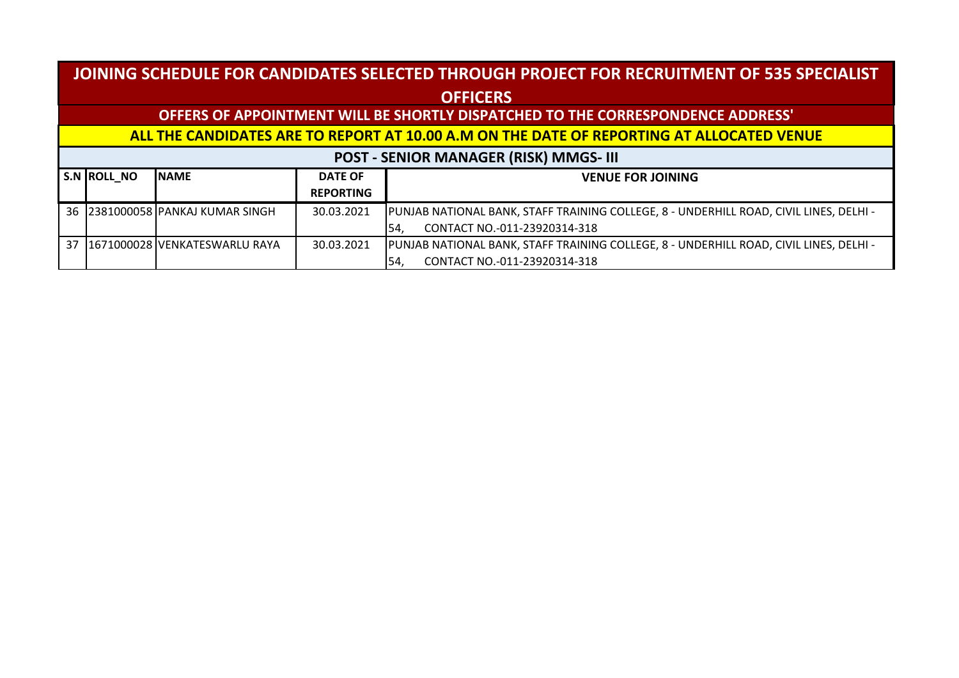#### **S.N ROLL\_NO NAME DATE OF REPORTING VENUE FOR JOINING JOINING SCHEDULE FOR CANDIDATES SELECTED THROUGH PROJECT FOR RECRUITMENT OF 535 SPECIALIST OFFICERS OFFERS OF APPOINTMENT WILL BE SHORTLY DISPATCHED TO THE CORRESPONDENCE ADDRESS' ALL THE CANDIDATES ARE TO REPORT AT 10.00 A.M ON THE DATE OF REPORTING AT ALLOCATED VENUE POST - SENIOR MANAGER (RISK) MMGS- III** 36 2381000058 PANKAJ KUMAR SINGH 30.03.2021 PUNJAB NATIONAL BANK, STAFF TRAINING COLLEGE, 8 - UNDERHILL ROAD, CIVIL LINES, DELHI - 54, CONTACT NO.-011-23920314-318 37 1671000028 VENKATESWARLU RAYA 30.03.2021 PUNJAB NATIONAL BANK, STAFF TRAINING COLLEGE, 8 - UNDERHILL ROAD, CIVIL LINES, DELHI - 54, CONTACT NO.-011-23920314-318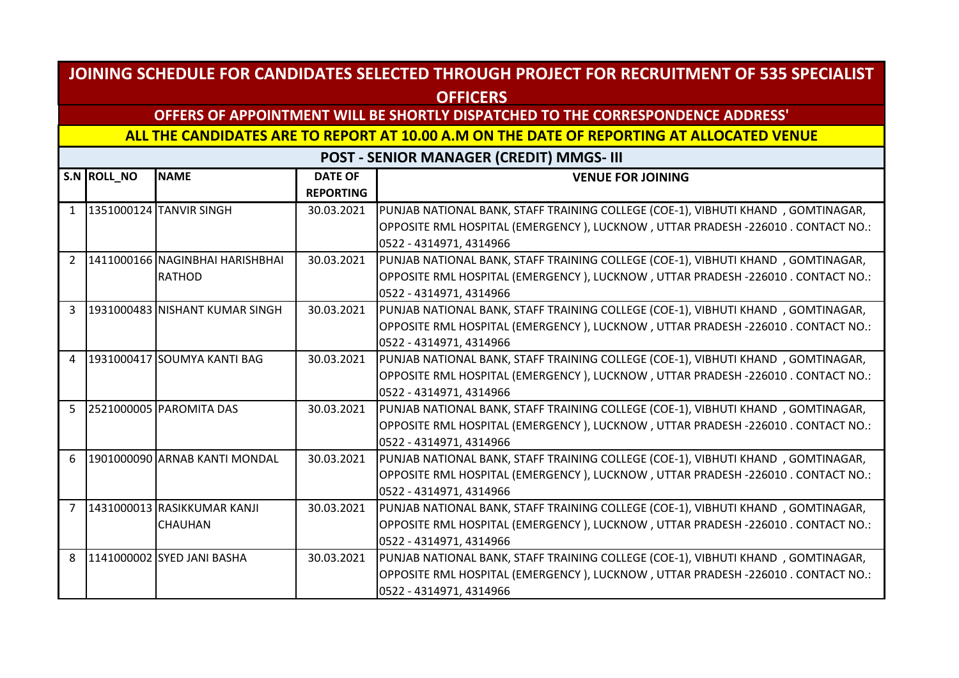## **OFFERS OF APPOINTMENT WILL BE SHORTLY DISPATCHED TO THE CORRESPONDENCE ADDRESS'**

#### **ALL THE CANDIDATES ARE TO REPORT AT 10.00 A.M ON THE DATE OF REPORTING AT ALLOCATED VENUE**

|                | S.N ROLL_NO | <b>NAME</b>                     | <b>DATE OF</b>   | <b>VENUE FOR JOINING</b>                                                           |
|----------------|-------------|---------------------------------|------------------|------------------------------------------------------------------------------------|
|                |             |                                 | <b>REPORTING</b> |                                                                                    |
| $\mathbf{1}$   |             | 1351000124 TANVIR SINGH         | 30.03.2021       | PUNJAB NATIONAL BANK, STAFF TRAINING COLLEGE (COE-1), VIBHUTI KHAND, GOMTINAGAR,   |
|                |             |                                 |                  | OPPOSITE RML HOSPITAL (EMERGENCY), LUCKNOW, UTTAR PRADESH -226010. CONTACT NO.:    |
|                |             |                                 |                  | 0522 - 4314971, 4314966                                                            |
| $\overline{2}$ |             | 1411000166 NAGINBHAI HARISHBHAI | 30.03.2021       | PUNJAB NATIONAL BANK, STAFF TRAINING COLLEGE (COE-1), VIBHUTI KHAND, GOMTINAGAR,   |
|                |             | <b>RATHOD</b>                   |                  | OPPOSITE RML HOSPITAL (EMERGENCY), LUCKNOW, UTTAR PRADESH -226010. CONTACT NO.:    |
|                |             |                                 |                  | 0522 - 4314971, 4314966                                                            |
| 3              |             | 1931000483 NISHANT KUMAR SINGH  | 30.03.2021       | PUNJAB NATIONAL BANK, STAFF TRAINING COLLEGE (COE-1), VIBHUTI KHAND, GOMTINAGAR,   |
|                |             |                                 |                  | OPPOSITE RML HOSPITAL (EMERGENCY ), LUCKNOW , UTTAR PRADESH -226010 . CONTACT NO.: |
|                |             |                                 |                  | 0522 - 4314971, 4314966                                                            |
| $\overline{4}$ |             | 1931000417 SOUMYA KANTI BAG     | 30.03.2021       | PUNJAB NATIONAL BANK, STAFF TRAINING COLLEGE (COE-1), VIBHUTI KHAND, GOMTINAGAR,   |
|                |             |                                 |                  | OPPOSITE RML HOSPITAL (EMERGENCY), LUCKNOW, UTTAR PRADESH -226010. CONTACT NO.:    |
|                |             |                                 |                  | 0522 - 4314971, 4314966                                                            |
| 5              |             | 2521000005 PAROMITA DAS         | 30.03.2021       | PUNJAB NATIONAL BANK, STAFF TRAINING COLLEGE (COE-1), VIBHUTI KHAND, GOMTINAGAR,   |
|                |             |                                 |                  | OPPOSITE RML HOSPITAL (EMERGENCY), LUCKNOW, UTTAR PRADESH -226010. CONTACT NO.:    |
|                |             |                                 |                  | 0522 - 4314971, 4314966                                                            |
| 6              |             | 1901000090 ARNAB KANTI MONDAL   | 30.03.2021       | PUNJAB NATIONAL BANK, STAFF TRAINING COLLEGE (COE-1), VIBHUTI KHAND, GOMTINAGAR,   |
|                |             |                                 |                  | OPPOSITE RML HOSPITAL (EMERGENCY), LUCKNOW, UTTAR PRADESH -226010. CONTACT NO.:    |
|                |             |                                 |                  | 0522 - 4314971, 4314966                                                            |
| $\overline{7}$ |             | 1431000013 RASIKKUMAR KANJI     | 30.03.2021       | PUNJAB NATIONAL BANK, STAFF TRAINING COLLEGE (COE-1), VIBHUTI KHAND, GOMTINAGAR,   |
|                |             | <b>CHAUHAN</b>                  |                  | OPPOSITE RML HOSPITAL (EMERGENCY), LUCKNOW, UTTAR PRADESH -226010. CONTACT NO.:    |
|                |             |                                 |                  | 0522 - 4314971, 4314966                                                            |
| 8              |             | 1141000002 SYED JANI BASHA      | 30.03.2021       | PUNJAB NATIONAL BANK, STAFF TRAINING COLLEGE (COE-1), VIBHUTI KHAND, GOMTINAGAR,   |
|                |             |                                 |                  | OPPOSITE RML HOSPITAL (EMERGENCY), LUCKNOW, UTTAR PRADESH -226010 . CONTACT NO.:   |
|                |             |                                 |                  | 0522 - 4314971, 4314966                                                            |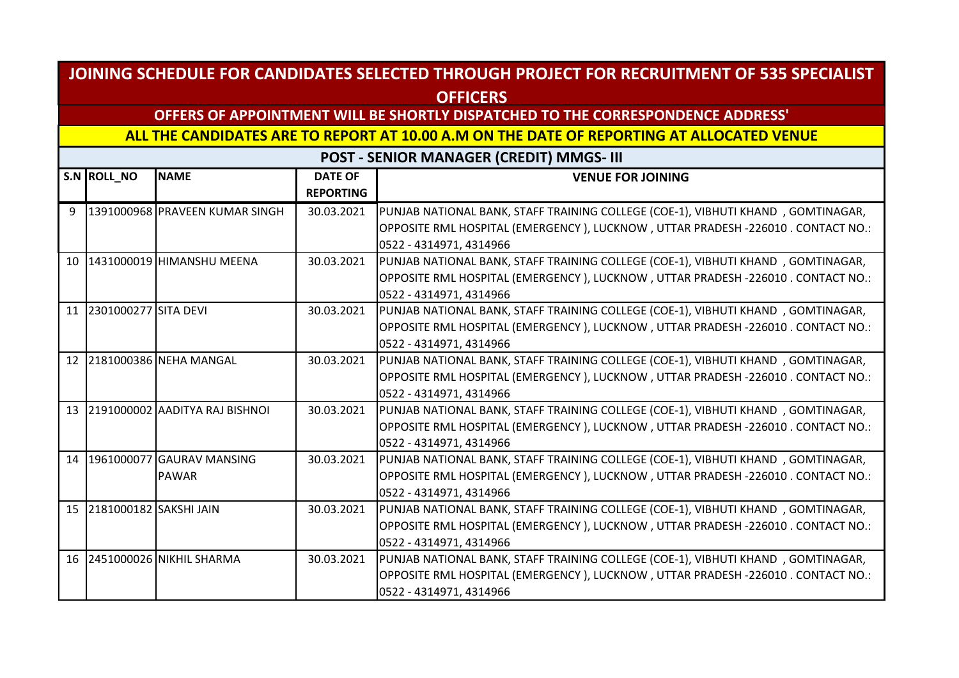## **OFFERS OF APPOINTMENT WILL BE SHORTLY DISPATCHED TO THE CORRESPONDENCE ADDRESS'**

#### **ALL THE CANDIDATES ARE TO REPORT AT 10.00 A.M ON THE DATE OF REPORTING AT ALLOCATED VENUE**

|   | S.N ROLL_NO               | <b>NAME</b>                       | <b>DATE OF</b>   | <b>VENUE FOR JOINING</b>                                                           |
|---|---------------------------|-----------------------------------|------------------|------------------------------------------------------------------------------------|
|   |                           |                                   | <b>REPORTING</b> |                                                                                    |
| 9 |                           | 1391000968 PRAVEEN KUMAR SINGH    | 30.03.2021       | PUNJAB NATIONAL BANK, STAFF TRAINING COLLEGE (COE-1), VIBHUTI KHAND, GOMTINAGAR,   |
|   |                           |                                   |                  | OPPOSITE RML HOSPITAL (EMERGENCY), LUCKNOW, UTTAR PRADESH -226010 . CONTACT NO.:   |
|   |                           |                                   |                  | 0522 - 4314971, 4314966                                                            |
|   |                           | 10 1431000019 HIMANSHU MEENA      | 30.03.2021       | PUNJAB NATIONAL BANK, STAFF TRAINING COLLEGE (COE-1), VIBHUTI KHAND, GOMTINAGAR,   |
|   |                           |                                   |                  | OPPOSITE RML HOSPITAL (EMERGENCY), LUCKNOW, UTTAR PRADESH -226010 . CONTACT NO.:   |
|   |                           |                                   |                  | 0522 - 4314971, 4314966                                                            |
|   | 11 2301000277 SITA DEVI   |                                   | 30.03.2021       | PUNJAB NATIONAL BANK, STAFF TRAINING COLLEGE (COE-1), VIBHUTI KHAND, GOMTINAGAR,   |
|   |                           |                                   |                  | OPPOSITE RML HOSPITAL (EMERGENCY), LUCKNOW, UTTAR PRADESH -226010. CONTACT NO.:    |
|   |                           |                                   |                  | 0522 - 4314971, 4314966                                                            |
|   |                           | 12 2181000386 NEHA MANGAL         | 30.03.2021       | PUNJAB NATIONAL BANK, STAFF TRAINING COLLEGE (COE-1), VIBHUTI KHAND, GOMTINAGAR,   |
|   |                           |                                   |                  | OPPOSITE RML HOSPITAL (EMERGENCY), LUCKNOW, UTTAR PRADESH -226010 . CONTACT NO.:   |
|   |                           |                                   |                  | 0522 - 4314971, 4314966                                                            |
|   |                           | 13 2191000002 AADITYA RAJ BISHNOI | 30.03.2021       | PUNJAB NATIONAL BANK, STAFF TRAINING COLLEGE (COE-1), VIBHUTI KHAND, GOMTINAGAR,   |
|   |                           |                                   |                  | OPPOSITE RML HOSPITAL (EMERGENCY ), LUCKNOW , UTTAR PRADESH -226010 . CONTACT NO.: |
|   |                           |                                   |                  | 0522 - 4314971, 4314966                                                            |
|   |                           | 14 1961000077 GAURAV MANSING      | 30.03.2021       | PUNJAB NATIONAL BANK, STAFF TRAINING COLLEGE (COE-1), VIBHUTI KHAND, GOMTINAGAR,   |
|   |                           | <b>PAWAR</b>                      |                  | OPPOSITE RML HOSPITAL (EMERGENCY), LUCKNOW, UTTAR PRADESH -226010. CONTACT NO.:    |
|   |                           |                                   |                  | 0522 - 4314971, 4314966                                                            |
|   | 15 2181000182 SAKSHI JAIN |                                   | 30.03.2021       | PUNJAB NATIONAL BANK, STAFF TRAINING COLLEGE (COE-1), VIBHUTI KHAND, GOMTINAGAR,   |
|   |                           |                                   |                  | OPPOSITE RML HOSPITAL (EMERGENCY), LUCKNOW, UTTAR PRADESH -226010. CONTACT NO.:    |
|   |                           |                                   |                  | 0522 - 4314971, 4314966                                                            |
|   |                           | 16 2451000026 NIKHIL SHARMA       | 30.03.2021       | PUNJAB NATIONAL BANK, STAFF TRAINING COLLEGE (COE-1), VIBHUTI KHAND, GOMTINAGAR,   |
|   |                           |                                   |                  | OPPOSITE RML HOSPITAL (EMERGENCY), LUCKNOW, UTTAR PRADESH -226010. CONTACT NO.:    |
|   |                           |                                   |                  | 0522 - 4314971, 4314966                                                            |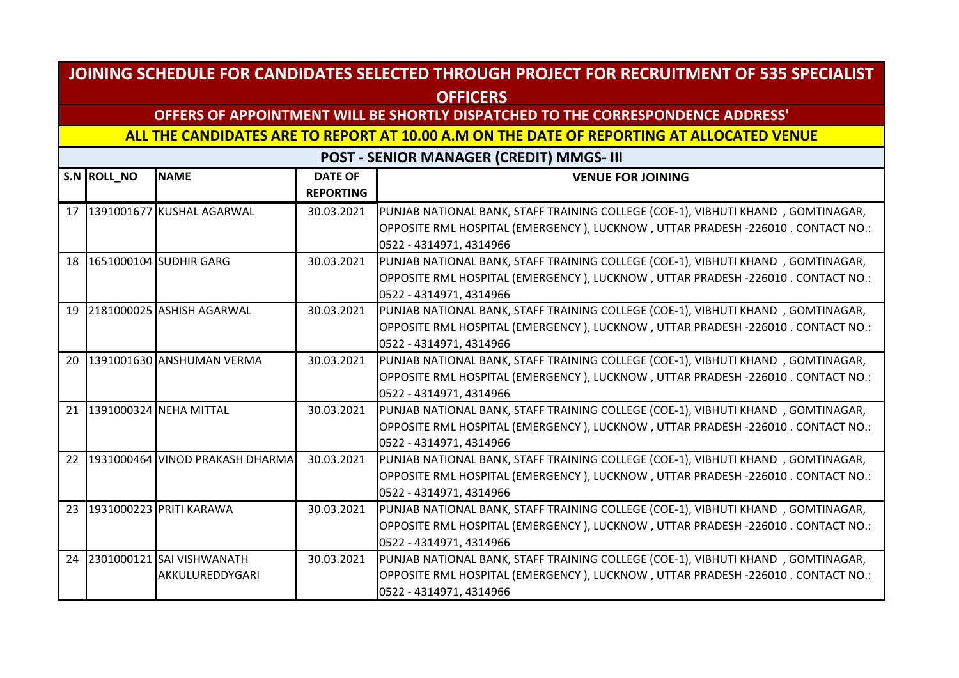## **OFFERS OF APPOINTMENT WILL BE SHORTLY DISPATCHED TO THE CORRESPONDENCE ADDRESS'**

#### **ALL THE CANDIDATES ARE TO REPORT AT 10.00 A.M ON THE DATE OF REPORTING AT ALLOCATED VENUE**

|    | S.N ROLL NO | <b>NAME</b>                        | <b>DATE OF</b>   | <b>VENUE FOR JOINING</b>                                                         |
|----|-------------|------------------------------------|------------------|----------------------------------------------------------------------------------|
|    |             |                                    | <b>REPORTING</b> |                                                                                  |
|    |             | 17   1391001677   KUSHAL AGARWAL   | 30.03.2021       | PUNJAB NATIONAL BANK, STAFF TRAINING COLLEGE (COE-1), VIBHUTI KHAND, GOMTINAGAR, |
|    |             |                                    |                  | OPPOSITE RML HOSPITAL (EMERGENCY), LUCKNOW, UTTAR PRADESH -226010 . CONTACT NO.: |
|    |             |                                    |                  | 0522 - 4314971, 4314966                                                          |
|    |             | 18 1651000104 SUDHIR GARG          | 30.03.2021       | PUNJAB NATIONAL BANK, STAFF TRAINING COLLEGE (COE-1), VIBHUTI KHAND, GOMTINAGAR, |
|    |             |                                    |                  | OPPOSITE RML HOSPITAL (EMERGENCY), LUCKNOW, UTTAR PRADESH -226010. CONTACT NO.:  |
|    |             |                                    |                  | 0522 - 4314971, 4314966                                                          |
| 19 |             | 2181000025 ASHISH AGARWAL          | 30.03.2021       | PUNJAB NATIONAL BANK, STAFF TRAINING COLLEGE (COE-1), VIBHUTI KHAND, GOMTINAGAR, |
|    |             |                                    |                  | OPPOSITE RML HOSPITAL (EMERGENCY), LUCKNOW, UTTAR PRADESH -226010. CONTACT NO.:  |
|    |             |                                    |                  | 0522 - 4314971, 4314966                                                          |
|    |             | 20 1391001630 ANSHUMAN VERMA       | 30.03.2021       | PUNJAB NATIONAL BANK, STAFF TRAINING COLLEGE (COE-1), VIBHUTI KHAND, GOMTINAGAR, |
|    |             |                                    |                  | OPPOSITE RML HOSPITAL (EMERGENCY), LUCKNOW, UTTAR PRADESH -226010 . CONTACT NO.: |
|    |             |                                    |                  | 0522 - 4314971, 4314966                                                          |
|    |             | 21 391000324 NEHA MITTAL           | 30.03.2021       | PUNJAB NATIONAL BANK, STAFF TRAINING COLLEGE (COE-1), VIBHUTI KHAND, GOMTINAGAR, |
|    |             |                                    |                  | OPPOSITE RML HOSPITAL (EMERGENCY), LUCKNOW, UTTAR PRADESH -226010. CONTACT NO.:  |
|    |             |                                    |                  | 0522 - 4314971, 4314966                                                          |
|    |             | 22 1931000464 VINOD PRAKASH DHARMA | 30.03.2021       | PUNJAB NATIONAL BANK, STAFF TRAINING COLLEGE (COE-1), VIBHUTI KHAND, GOMTINAGAR, |
|    |             |                                    |                  | OPPOSITE RML HOSPITAL (EMERGENCY), LUCKNOW, UTTAR PRADESH -226010. CONTACT NO.:  |
|    |             |                                    |                  | 0522 - 4314971, 4314966                                                          |
|    |             | 23 1931000223 PRITI KARAWA         | 30.03.2021       | PUNJAB NATIONAL BANK, STAFF TRAINING COLLEGE (COE-1), VIBHUTI KHAND, GOMTINAGAR, |
|    |             |                                    |                  | OPPOSITE RML HOSPITAL (EMERGENCY), LUCKNOW, UTTAR PRADESH -226010. CONTACT NO.:  |
|    |             |                                    |                  | 0522 - 4314971, 4314966                                                          |
| 24 |             | 2301000121 SAI VISHWANATH          | 30.03.2021       | PUNJAB NATIONAL BANK, STAFF TRAINING COLLEGE (COE-1), VIBHUTI KHAND, GOMTINAGAR, |
|    |             | AKKULUREDDYGARI                    |                  | OPPOSITE RML HOSPITAL (EMERGENCY), LUCKNOW, UTTAR PRADESH -226010. CONTACT NO.:  |
|    |             |                                    |                  | 0522 - 4314971, 4314966                                                          |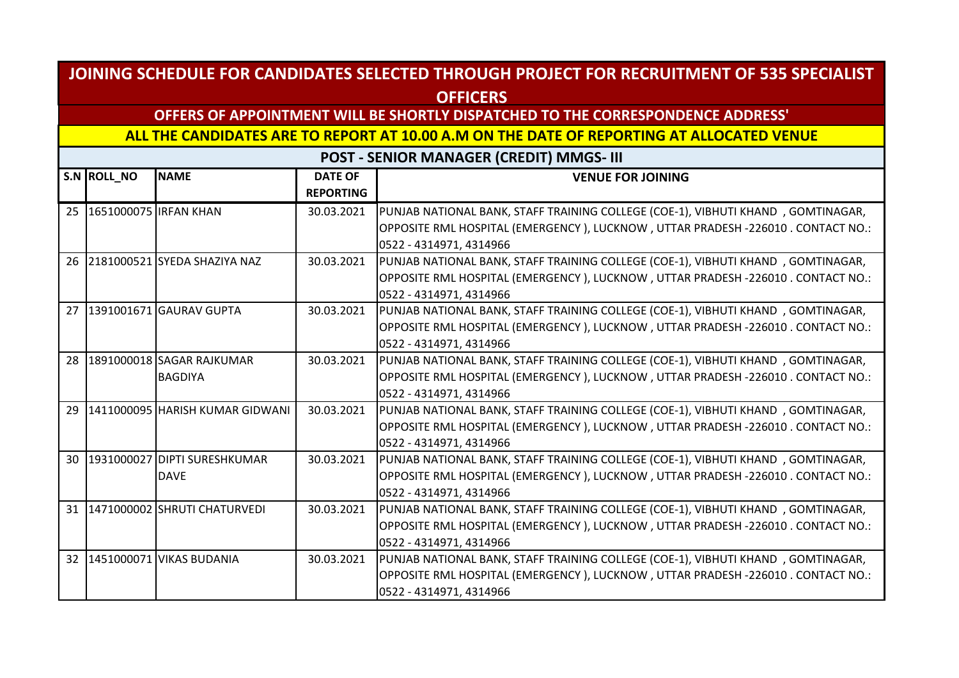## **OFFERS OF APPOINTMENT WILL BE SHORTLY DISPATCHED TO THE CORRESPONDENCE ADDRESS'**

#### **ALL THE CANDIDATES ARE TO REPORT AT 10.00 A.M ON THE DATE OF REPORTING AT ALLOCATED VENUE**

|    | S.N ROLL NO                  | <b>NAME</b>                     | <b>DATE OF</b>   | <b>VENUE FOR JOINING</b>                                                         |
|----|------------------------------|---------------------------------|------------------|----------------------------------------------------------------------------------|
|    |                              |                                 | <b>REPORTING</b> |                                                                                  |
|    | 25   1651000075   IRFAN KHAN |                                 | 30.03.2021       | PUNJAB NATIONAL BANK, STAFF TRAINING COLLEGE (COE-1), VIBHUTI KHAND, GOMTINAGAR, |
|    |                              |                                 |                  | OPPOSITE RML HOSPITAL (EMERGENCY), LUCKNOW, UTTAR PRADESH -226010 . CONTACT NO.: |
|    |                              |                                 |                  | 0522 - 4314971, 4314966                                                          |
|    |                              | 26 2181000521 SYEDA SHAZIYA NAZ | 30.03.2021       | PUNJAB NATIONAL BANK, STAFF TRAINING COLLEGE (COE-1), VIBHUTI KHAND, GOMTINAGAR, |
|    |                              |                                 |                  | OPPOSITE RML HOSPITAL (EMERGENCY), LUCKNOW, UTTAR PRADESH -226010. CONTACT NO.:  |
|    |                              |                                 |                  | 0522 - 4314971, 4314966                                                          |
|    |                              | 27 1391001671 GAURAV GUPTA      | 30.03.2021       | PUNJAB NATIONAL BANK, STAFF TRAINING COLLEGE (COE-1), VIBHUTI KHAND, GOMTINAGAR, |
|    |                              |                                 |                  | OPPOSITE RML HOSPITAL (EMERGENCY), LUCKNOW, UTTAR PRADESH -226010. CONTACT NO.:  |
|    |                              |                                 |                  | 0522 - 4314971, 4314966                                                          |
|    |                              | 28 1891000018 SAGAR RAJKUMAR    | 30.03.2021       | PUNJAB NATIONAL BANK, STAFF TRAINING COLLEGE (COE-1), VIBHUTI KHAND, GOMTINAGAR, |
|    |                              | <b>BAGDIYA</b>                  |                  | OPPOSITE RML HOSPITAL (EMERGENCY), LUCKNOW, UTTAR PRADESH -226010 . CONTACT NO.: |
|    |                              |                                 |                  | 0522 - 4314971, 4314966                                                          |
| 29 |                              | 1411000095 HARISH KUMAR GIDWANI | 30.03.2021       | PUNJAB NATIONAL BANK, STAFF TRAINING COLLEGE (COE-1), VIBHUTI KHAND, GOMTINAGAR, |
|    |                              |                                 |                  | OPPOSITE RML HOSPITAL (EMERGENCY), LUCKNOW, UTTAR PRADESH -226010. CONTACT NO.:  |
|    |                              |                                 |                  | 0522 - 4314971, 4314966                                                          |
|    |                              | 30 1931000027 DIPTI SURESHKUMAR | 30.03.2021       | PUNJAB NATIONAL BANK, STAFF TRAINING COLLEGE (COE-1), VIBHUTI KHAND, GOMTINAGAR, |
|    |                              | <b>DAVE</b>                     |                  | OPPOSITE RML HOSPITAL (EMERGENCY), LUCKNOW, UTTAR PRADESH -226010. CONTACT NO.:  |
|    |                              |                                 |                  | 0522 - 4314971, 4314966                                                          |
|    |                              | 31 1471000002 SHRUTI CHATURVEDI | 30.03.2021       | PUNJAB NATIONAL BANK, STAFF TRAINING COLLEGE (COE-1), VIBHUTI KHAND, GOMTINAGAR, |
|    |                              |                                 |                  | OPPOSITE RML HOSPITAL (EMERGENCY), LUCKNOW, UTTAR PRADESH -226010. CONTACT NO.:  |
|    |                              |                                 |                  | 0522 - 4314971, 4314966                                                          |
|    |                              | 32 1451000071 VIKAS BUDANIA     | 30.03.2021       | PUNJAB NATIONAL BANK, STAFF TRAINING COLLEGE (COE-1), VIBHUTI KHAND, GOMTINAGAR, |
|    |                              |                                 |                  | OPPOSITE RML HOSPITAL (EMERGENCY), LUCKNOW, UTTAR PRADESH -226010. CONTACT NO.:  |
|    |                              |                                 |                  | 0522 - 4314971, 4314966                                                          |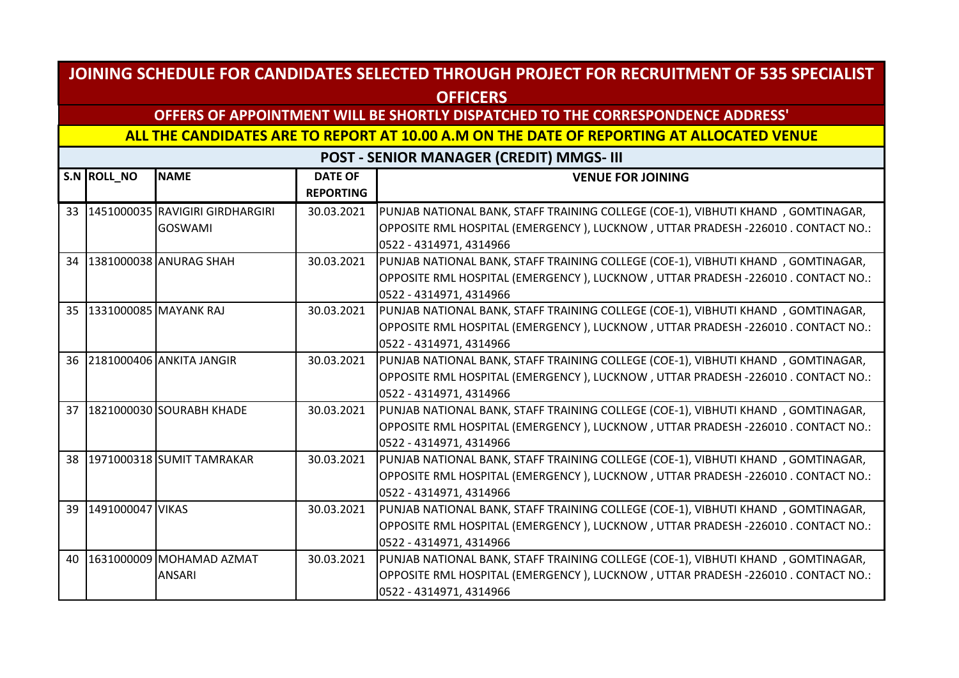## **OFFERS OF APPOINTMENT WILL BE SHORTLY DISPATCHED TO THE CORRESPONDENCE ADDRESS'**

**ALL THE CANDIDATES ARE TO REPORT AT 10.00 A.M ON THE DATE OF REPORTING AT ALLOCATED VENUE** 

|    | S.N ROLL NO      | <b>NAME</b>                            | <b>DATE OF</b>   | <b>VENUE FOR JOINING</b>                                                           |
|----|------------------|----------------------------------------|------------------|------------------------------------------------------------------------------------|
|    |                  |                                        | <b>REPORTING</b> |                                                                                    |
|    |                  | 33   1451000035   RAVIGIRI GIRDHARGIRI | 30.03.2021       | PUNJAB NATIONAL BANK, STAFF TRAINING COLLEGE (COE-1), VIBHUTI KHAND, GOMTINAGAR,   |
|    |                  | <b>GOSWAMI</b>                         |                  | OPPOSITE RML HOSPITAL (EMERGENCY), LUCKNOW, UTTAR PRADESH -226010 . CONTACT NO.:   |
|    |                  |                                        |                  | 0522 - 4314971, 4314966                                                            |
| 34 |                  | 1381000038 ANURAG SHAH                 | 30.03.2021       | PUNJAB NATIONAL BANK, STAFF TRAINING COLLEGE (COE-1), VIBHUTI KHAND, GOMTINAGAR,   |
|    |                  |                                        |                  | OPPOSITE RML HOSPITAL (EMERGENCY ), LUCKNOW , UTTAR PRADESH -226010 . CONTACT NO.: |
|    |                  |                                        |                  | 0522 - 4314971, 4314966                                                            |
|    |                  | 35 331000085 MAYANK RAJ                | 30.03.2021       | PUNJAB NATIONAL BANK, STAFF TRAINING COLLEGE (COE-1), VIBHUTI KHAND, GOMTINAGAR,   |
|    |                  |                                        |                  | OPPOSITE RML HOSPITAL (EMERGENCY), LUCKNOW, UTTAR PRADESH -226010. CONTACT NO.:    |
|    |                  |                                        |                  | 0522 - 4314971, 4314966                                                            |
|    |                  | 36 2181000406 ANKITA JANGIR            | 30.03.2021       | PUNJAB NATIONAL BANK, STAFF TRAINING COLLEGE (COE-1), VIBHUTI KHAND, GOMTINAGAR,   |
|    |                  |                                        |                  | OPPOSITE RML HOSPITAL (EMERGENCY), LUCKNOW, UTTAR PRADESH -226010 . CONTACT NO.:   |
|    |                  |                                        |                  | 0522 - 4314971, 4314966                                                            |
|    |                  | 37 1821000030 SOURABH KHADE            | 30.03.2021       | PUNJAB NATIONAL BANK, STAFF TRAINING COLLEGE (COE-1), VIBHUTI KHAND, GOMTINAGAR,   |
|    |                  |                                        |                  | OPPOSITE RML HOSPITAL (EMERGENCY), LUCKNOW, UTTAR PRADESH -226010. CONTACT NO.:    |
|    |                  |                                        |                  | 0522 - 4314971, 4314966                                                            |
|    |                  | 38 1971000318 SUMIT TAMRAKAR           | 30.03.2021       | PUNJAB NATIONAL BANK, STAFF TRAINING COLLEGE (COE-1), VIBHUTI KHAND, GOMTINAGAR,   |
|    |                  |                                        |                  | OPPOSITE RML HOSPITAL (EMERGENCY), LUCKNOW, UTTAR PRADESH -226010. CONTACT NO.:    |
|    |                  |                                        |                  | 0522 - 4314971, 4314966                                                            |
| 39 | 1491000047 VIKAS |                                        | 30.03.2021       | PUNJAB NATIONAL BANK, STAFF TRAINING COLLEGE (COE-1), VIBHUTI KHAND, GOMTINAGAR,   |
|    |                  |                                        |                  | OPPOSITE RML HOSPITAL (EMERGENCY), LUCKNOW, UTTAR PRADESH -226010 . CONTACT NO.:   |
|    |                  |                                        |                  | 0522 - 4314971, 4314966                                                            |
| 40 |                  | 1631000009 MOHAMAD AZMAT               | 30.03.2021       | PUNJAB NATIONAL BANK, STAFF TRAINING COLLEGE (COE-1), VIBHUTI KHAND, GOMTINAGAR,   |
|    |                  | <b>ANSARI</b>                          |                  | OPPOSITE RML HOSPITAL (EMERGENCY ), LUCKNOW , UTTAR PRADESH -226010 . CONTACT NO.: |
|    |                  |                                        |                  | 0522 - 4314971, 4314966                                                            |